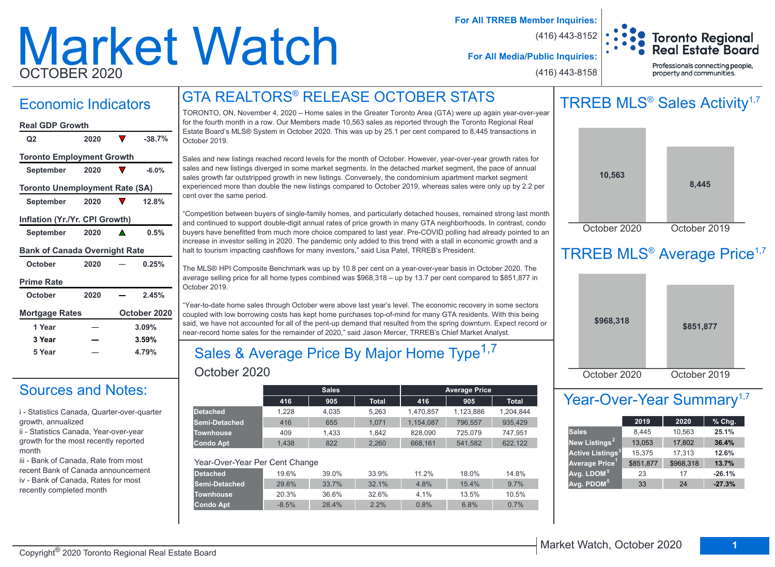# Market Watch OCTOBER 2020

**For All TRREB Member Inquiries:**

(416) 443-8152

(416) 443-8158



**For All Media/Public Inquiries:**

Professionals connecting people, property and communities.

## GTA REALTORS® RELEASE OCTOBER STATS

## Economic Indicators

### **October 2020 0.25%** September 2020 **△** 0.5% **September 2020 12.8% September 2020 -6.0% Q2 2020 -38.7% Real GDP Growth Toronto Employment Growth Toronto Unemployment Rate (SA) Inflation (Yr./Yr. CPI Growth) Bank of Canada Overnight Rate**

| October               | zuzu | U.ZJ70       |
|-----------------------|------|--------------|
| <b>Prime Rate</b>     |      |              |
| <b>October</b>        | 2020 | 2.45%        |
| <b>Mortgage Rates</b> |      | October 2020 |
| 1 Year                |      | 3.09%        |
| 3 Year                |      | 3.59%        |
| 5 Year                |      | 4.79%        |

## Sources and Notes:

i - Statistics Canada, Quarter-over-quarter growth, annualized

ii - Statistics Canada, Year-over-year growth for the most recently reported month

iii - Bank of Canada, Rate from most recent Bank of Canada announcement iv - Bank of Canada, Rates for most recently completed month

TORONTO, ON, November 4, 2020 – Home sales in the Greater Toronto Area (GTA) were up again year-over-year for the fourth month in a row. Our Members made 10,563 sales as reported through the Toronto Regional Real Estate Board's MLS® System in October 2020. This was up by 25.1 per cent compared to 8,445 transactions in October 2019.

Sales and new listings reached record levels for the month of October. However, year-over-year growth rates for sales and new listings diverged in some market segments. In the detached market segment, the pace of annual sales growth far outstripped growth in new listings. Conversely, the condominium apartment market segment experienced more than double the new listings compared to October 2019, whereas sales were only up by 2.2 per cent over the same period.

"Competition between buyers of single-family homes, and particularly detached houses, remained strong last month and continued to support double-digit annual rates of price growth in many GTA neighborhoods. In contrast, condo buyers have benefitted from much more choice compared to last year. Pre-COVID polling had already pointed to an increase in investor selling in 2020. The pandemic only added to this trend with a stall in economic growth and a halt to tourism impacting cashflows for many investors," said Lisa Patel, TRREB's President.

The MLS® HPI Composite Benchmark was up by 10.8 per cent on a year-over-year basis in October 2020. The average selling price for all home types combined was \$968,318 – up by 13.7 per cent compared to \$851,877 in October 2019.

"Year-to-date home sales through October were above last year's level. The economic recovery in some sectors coupled with low borrowing costs has kept home purchases top-of-mind for many GTA residents. With this being said, we have not accounted for all of the pent-up demand that resulted from the spring downturn. Expect record or near-record home sales for the remainder of 2020," said Jason Mercer, TRREB's Chief Market Analyst.

### October 2020 Sales & Average Price By Major Home Type<sup>1,7</sup>

|                                |         | <b>Sales</b> |              |           | <b>Average Price</b> |              |
|--------------------------------|---------|--------------|--------------|-----------|----------------------|--------------|
|                                | 416     | 905          | <b>Total</b> | 416       | 905                  | <b>Total</b> |
| <b>Detached</b>                | 1.228   | 4.035        | 5.263        | 1.470.857 | 1.123.886            | 1.204.844    |
| Semi-Detached                  | 416     | 655          | 1.071        | 1,154,087 | 796,557              | 935.429      |
| <b>Townhouse</b>               | 409     | 1.433        | 1.842        | 828.090   | 725,079              | 747.951      |
| <b>Condo Apt</b>               | 1.438   | 822          | 2.260        | 668.161   | 541.582              | 622,122      |
|                                |         |              |              |           |                      |              |
| Year-Over-Year Per Cent Change |         |              |              |           |                      |              |
| <b>Detached</b>                | 19.6%   | 39.0%        | 33.9%        | 11.2%     | 18.0%                | 14.8%        |
| Semi-Detached                  | 29.6%   | 33.7%        | 32.1%        | 4.8%      | 15.4%                | 9.7%         |
| <b>Townhouse</b>               | 20.3%   | 36.6%        | 32.6%        | 4.1%      | 13.5%                | 10.5%        |
| <b>Condo Apt</b>               | $-8.5%$ | 28.4%        | 2.2%         | 0.8%      | 6.8%                 | 0.7%         |
|                                |         |              |              |           |                      |              |

## TRREB MLS<sup>®</sup> Sales Activity<sup>1,7</sup>



## TRREB MLS<sup>®</sup> Average Price<sup>1,7</sup>

| \$968,318    | \$851,877    |
|--------------|--------------|
| October 2020 | October 2019 |

## Year-Over-Year Summary<sup>1,7</sup>

|                                    | 2019      | 2020      | % Chg.   |
|------------------------------------|-----------|-----------|----------|
| <b>Sales</b>                       | 8,445     | 10,563    | 25.1%    |
| New Listings <sup>2</sup>          | 13,053    | 17,802    | 36.4%    |
| <b>Active Listings<sup>3</sup></b> | 15,375    | 17,313    | 12.6%    |
| Average Price <sup>1</sup>         | \$851,877 | \$968,318 | 13.7%    |
| Avg. LDOM <sup>5</sup>             | 23        | 17        | $-26.1%$ |
| Avg. PDOM <sup>51</sup>            | 33        | 24        | $-27.3%$ |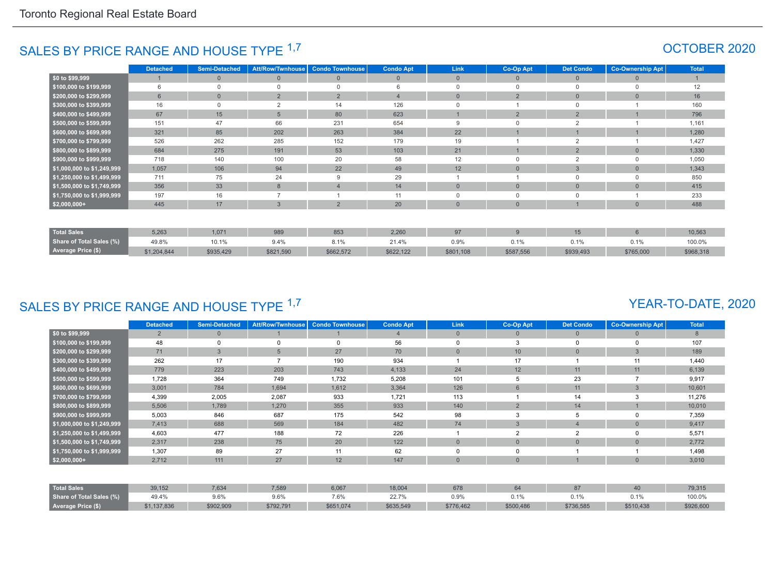## SALES BY PRICE RANGE AND HOUSE TYPE <sup>1,7</sup> And the set of the set of the set of the set of the set of the set of the set of the set of the set of the set of the set of the set of the set of the set of the set of the set of

|                            | <b>Detached</b> | <b>Semi-Detached</b> | <b>Att/Row/Twnhouse</b> | <b>Condo Townhouse</b> | <b>Condo Apt</b> | Link           | <b>Co-Op Apt</b> | <b>Det Condo</b> | <b>Co-Ownership Apt</b> | <b>Total</b> |
|----------------------------|-----------------|----------------------|-------------------------|------------------------|------------------|----------------|------------------|------------------|-------------------------|--------------|
| \$0 to \$99,999            |                 | $\Omega$             | $\mathbf{0}$            | $\Omega$               | $\overline{0}$   | $\mathbf{0}$   | $\Omega$         | $\mathbf{0}$     |                         |              |
| \$100,000 to \$199,999     | 6               | $\Omega$             | 0                       | $\Omega$               |                  | $\Omega$       | $\Omega$         | $\mathbf 0$      |                         | 12           |
| \$200,000 to \$299,999     | $6\overline{6}$ | $\overline{0}$       | $\overline{2}$          | $\overline{2}$         | $\overline{4}$   | $\overline{0}$ | $\overline{2}$   | $\mathbf 0$      |                         | 16           |
| \$300,000 to \$399,999     | 16              | $\Omega$             | $\overline{c}$          | 14                     | 126              | $\Omega$       |                  | $\Omega$         |                         | 160          |
| \$400,000 to \$499,999     | 67              | 15                   | 5                       | 80                     | 623              |                | $\Omega$         | $\overline{2}$   |                         | 796          |
| \$500,000 to \$599,999     | 151             | 47                   | 66                      | 231                    | 654              | 9              | $\Omega$         | $\Omega$         |                         | 1,161        |
| \$600,000 to \$699,999     | 321             | 85                   | 202                     | 263                    | 384              | 22             |                  |                  |                         | 1,280        |
| \$700,000 to \$799,999     | 526             | 262                  | 285                     | 152                    | 179              | 19             |                  | $\overline{2}$   |                         | 1,427        |
| \$800,000 to \$899,999     | 684             | 275                  | 191                     | 53                     | 103              | 21             |                  | $\overline{2}$   |                         | 1,330        |
| \$900,000 to \$999,999     | 718             | 140                  | 100                     | 20                     | 58               | 12             | $\Omega$         | 2                |                         | 1,050        |
| \$1,000,000 to \$1,249,999 | 1,057           | 106                  | 94                      | 22                     | 49               | 12             | $\Omega$         | $\mathbf{3}$     |                         | 1,343        |
| \$1,250,000 to \$1,499,999 | 711             | 75                   | 24                      | 9                      | 29               |                |                  | $\mathbf 0$      |                         | 850          |
| \$1,500,000 to \$1,749,999 | 356             | 33                   | 8                       | $\overline{4}$         | 14               | $\overline{0}$ | $\Omega$         | $\mathbf{0}$     |                         | 415          |
| \$1,750,000 to \$1,999,999 | 197             | 16                   |                         |                        | 11               | $\mathbf 0$    | $\Omega$         | $\mathbf 0$      |                         | 233          |
| $$2,000,000+$              | 445             | 17                   | $\overline{3}$          | 2                      | 20               | $\overline{0}$ | $\Omega$         |                  |                         | 488          |
|                            |                 |                      |                         |                        |                  |                |                  |                  |                         |              |
| <b>Total Sales</b>         | 5,263           | 1,071                | 989                     | 853                    | 2,260            | 97             | 9                | 15               | $6 \overline{6}$        | 10,563       |
| Share of Total Sales (%)   | 49.8%           | 10.1%                | 9.4%                    | 8.1%                   | 21.4%            | 0.9%           | 0.1%             | 0.1%             | 0.1%                    | 100.0%       |
| Average Price (\$)         | \$1,204,844     | \$935,429            | \$821,590               | \$662,572              | \$622,122        | \$801,108      | \$587,556        | \$939,493        | \$765,000               | \$968,318    |

## SALES BY PRICE RANGE AND HOUSE TYPE 1,7

#### YEAR-TO-DATE, 2020

|                            | <b>Detached</b> | <b>Semi-Detached</b> | Att/Row/Twnhouse | <b>Condo Townhouse</b> | <b>Condo Apt</b> | <b>Link</b>    | Co-Op Apt       | <b>Det Condo</b> | <b>Co-Ownership Apt</b> | <b>Total</b> |
|----------------------------|-----------------|----------------------|------------------|------------------------|------------------|----------------|-----------------|------------------|-------------------------|--------------|
| \$0 to \$99,999            | $\overline{2}$  |                      |                  |                        |                  | $\overline{0}$ | 0               | $\mathbf{0}$     | $\Omega$                | 8            |
| \$100,000 to \$199,999     | 48              |                      | $\Omega$         | $\Omega$               | 56               | 0              | 3               | 0                | 0                       | 107          |
| \$200,000 to \$299,999     | 71              | 3                    | 5                | 27                     | 70               | $\Omega$       | 10 <sup>°</sup> | $\overline{0}$   | 3                       | 189          |
| \$300,000 to \$399,999     | 262             | 17                   |                  | 190                    | 934              |                | 17              |                  | 11                      | 1,440        |
| \$400,000 to \$499,999     | 779             | 223                  | 203              | 743                    | 4,133            | 24             | 12              | 11               | 11                      | 6,139        |
| \$500,000 to \$599,999     | 1,728           | 364                  | 749              | 1,732                  | 5,208            | 101            |                 | 23               |                         | 9,917        |
| \$600,000 to \$699,999     | 3,001           | 784                  | 1,694            | 1,612                  | 3,364            | 126            | 6               | 11               | 3                       | 10,601       |
| \$700,000 to \$799,999     | 4,399           | 2,005                | 2,087            | 933                    | 1,721            | 113            |                 | 14               |                         | 11,276       |
| \$800,000 to \$899,999     | 5,506           | 1,789                | 1,270            | 355                    | 933              | 140            | $\overline{2}$  | 14               |                         | 10,010       |
| \$900,000 to \$999,999     | 5,003           | 846                  | 687              | 175                    | 542              | 98             |                 | 5                | 0                       | 7,359        |
| \$1,000,000 to \$1,249,999 | 7,413           | 688                  | 569              | 184                    | 482              | 74             | 3               | $\overline{4}$   | $\Omega$                | 9,417        |
| \$1,250,000 to \$1,499,999 | 4,603           | 477                  | 188              | 72                     | 226              |                | $\overline{2}$  | $\overline{2}$   | 0                       | 5,571        |
| \$1,500,000 to \$1,749,999 | 2,317           | 238                  | 75               | 20                     | 122              | $\Omega$       | $\Omega$        | $\overline{0}$   | $\Omega$                | 2,772        |
| \$1,750,000 to \$1,999,999 | 1,307           | 89                   | 27               | 11                     | 62               | 0              |                 |                  |                         | 1,498        |
| $$2,000,000+$              | 2,712           | 111                  | 27               | 12                     | 147              | $\overline{0}$ | $\overline{0}$  |                  | $\overline{0}$          | 3,010        |
|                            |                 |                      |                  |                        |                  |                |                 |                  |                         |              |
| <b>Total Sales</b>         | 39,152          | 7,634                | 7,589            | 6,067                  | 18,004           | 678            | 64              | 87               | 40                      | 79,315       |
| Share of Total Sales (%)   | 49.4%           | 9.6%                 | 9.6%             | 7.6%                   | 22.7%            | 0.9%           | 0.1%            | 0.1%             | 0.1%                    | 100.0%       |
| Average Price (\$)         | \$1,137,836     | \$902,909            | \$792,791        | \$651,074              | \$635,549        | \$776,462      | \$500,486       | \$736,585        | \$510,438               | \$926,600    |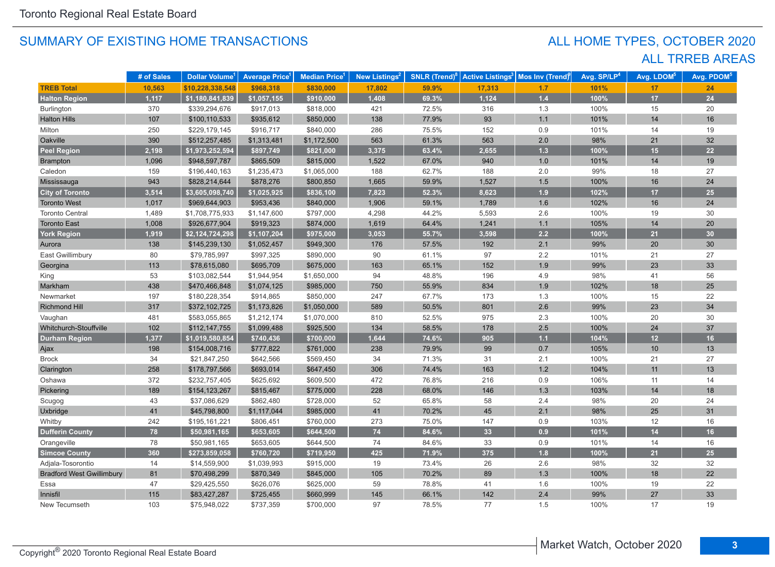## ALL TRREB AREAS ALL HOME TYPES, OCTOBER 2020

|                                  | # of Sales | <b>Dollar Volume</b> <sup>1</sup> | <b>Average Price</b> <sup>1</sup> | Median Price <sup>1</sup> | New Listings <sup>2</sup> | <b>SNLR</b> (Trend) $8$ | <b>Active Listings<sup>3</sup></b> | Mos Inv (Trend) | Avg. SP/LP <sup>4</sup> | Avg. LDOM <sup>5</sup> | Avg. PDOM <sup>5</sup> |
|----------------------------------|------------|-----------------------------------|-----------------------------------|---------------------------|---------------------------|-------------------------|------------------------------------|-----------------|-------------------------|------------------------|------------------------|
| <b>TREB Total</b>                | 10,563     | \$10,228,338,548                  | \$968,318                         | \$830,000                 | 17,802                    | 59.9%                   | 17,313                             | 1.7             | 101%                    | 17                     | 24                     |
| <b>Halton Region</b>             | 1,117      | \$1,180,841,839                   | \$1,057,155                       | \$910,000                 | 1,408                     | 69.3%                   | 1,124                              | $1.4$           | 100%                    | 17                     | 24                     |
| <b>Burlington</b>                | 370        | \$339,294,676                     | \$917,013                         | \$818,000                 | 421                       | 72.5%                   | 316                                | 1.3             | 100%                    | 15                     | 20                     |
| <b>Halton Hills</b>              | 107        | \$100,110,533                     | \$935,612                         | \$850,000                 | 138                       | 77.9%                   | 93                                 | 1.1             | 101%                    | 14                     | 16                     |
| Milton                           | 250        | \$229,179,145                     | \$916,717                         | \$840,000                 | 286                       | 75.5%                   | 152                                | 0.9             | 101%                    | 14                     | 19                     |
| Oakville                         | 390        | \$512,257,485                     | \$1,313,481                       | \$1,172,500               | 563                       | 61.3%                   | 563                                | 2.0             | 98%                     | 21                     | 32                     |
| <b>Peel Region</b>               | 2,198      | \$1,973,252,594                   | \$897,749                         | \$821,000                 | 3,375                     | 63.4%                   | 2,655                              | $1.3$           | 100%                    | 15                     | 22                     |
| Brampton                         | 1,096      | \$948,597,787                     | \$865,509                         | \$815,000                 | 1,522                     | 67.0%                   | 940                                | 1.0             | 101%                    | 14                     | 19                     |
| Caledon                          | 159        | \$196,440,163                     | \$1,235,473                       | \$1,065,000               | 188                       | 62.7%                   | 188                                | 2.0             | 99%                     | 18                     | 27                     |
| Mississauga                      | 943        | \$828,214,644                     | \$878,276                         | \$800,850                 | 1,665                     | 59.9%                   | 1,527                              | 1.5             | 100%                    | 16                     | 24                     |
| <b>City of Toronto</b>           | 3,514      | \$3,605,098,740                   | \$1,025,925                       | \$836,100                 | 7,823                     | 52.3%                   | 8,623                              | 1.9             | 102%                    | 17                     | 25                     |
| <b>Toronto West</b>              | 1,017      | \$969,644,903                     | \$953,436                         | \$840,000                 | 1,906                     | 59.1%                   | 1,789                              | 1.6             | 102%                    | 16                     | 24                     |
| <b>Toronto Central</b>           | 1,489      | \$1,708,775,933                   | \$1,147,600                       | \$797,000                 | 4,298                     | 44.2%                   | 5,593                              | 2.6             | 100%                    | 19                     | 30                     |
| <b>Toronto East</b>              | 1,008      | \$926,677,904                     | \$919,323                         | \$874,000                 | 1,619                     | 64.4%                   | 1,241                              | $1.1$           | 105%                    | 14                     | 20                     |
| <b>York Region</b>               | 1,919      | \$2,124,724,298                   | \$1,107,204                       | \$975,000                 | 3,053                     | 55.7%                   | 3,598                              | 2.2             | 100%                    | 21                     | 30                     |
| Aurora                           | 138        | \$145,239,130                     | \$1,052,457                       | \$949,300                 | 176                       | 57.5%                   | 192                                | 2.1             | 99%                     | 20                     | 30                     |
| East Gwillimbury                 | 80         | \$79,785,997                      | \$997,325                         | \$890,000                 | 90                        | 61.1%                   | 97                                 | 2.2             | 101%                    | 21                     | 27                     |
| Georgina                         | 113        | \$78,615,080                      | \$695,709                         | \$675,000                 | 163                       | 65.1%                   | 152                                | 1.9             | 99%                     | 23                     | 33                     |
| King                             | 53         | \$103,082,544                     | \$1,944,954                       | \$1,650,000               | 94                        | 48.8%                   | 196                                | 4.9             | 98%                     | 41                     | 56                     |
| Markham                          | 438        | \$470,466,848                     | \$1,074,125                       | \$985,000                 | 750                       | 55.9%                   | 834                                | 1.9             | 102%                    | 18                     | 25                     |
| Newmarket                        | 197        | \$180,228,354                     | \$914,865                         | \$850,000                 | 247                       | 67.7%                   | 173                                | 1.3             | 100%                    | 15                     | 22                     |
| <b>Richmond Hill</b>             | 317        | \$372,102,725                     | \$1,173,826                       | \$1,050,000               | 589                       | 50.5%                   | 801                                | 2.6             | 99%                     | 23                     | 34                     |
| Vaughan                          | 481        | \$583,055,865                     | \$1,212,174                       | \$1,070,000               | 810                       | 52.5%                   | 975                                | 2.3             | 100%                    | 20                     | 30                     |
| Whitchurch-Stouffville           | 102        | \$112,147,755                     | \$1,099,488                       | \$925,500                 | 134                       | 58.5%                   | 178                                | 2.5             | 100%                    | 24                     | 37                     |
| <b>Durham Region</b>             | 1,377      | \$1,019,580,854                   | \$740,436                         | \$700,000                 | 1,644                     | 74.6%                   | 905                                | $1.1$           | 104%                    | 12                     | 16                     |
| Ajax                             | 198        | \$154,008,716                     | \$777,822                         | \$761,000                 | 238                       | 79.9%                   | 99                                 | 0.7             | 105%                    | 10                     | 13                     |
| <b>Brock</b>                     | 34         | \$21,847,250                      | \$642,566                         | \$569,450                 | 34                        | 71.3%                   | 31                                 | 2.1             | 100%                    | 21                     | 27                     |
| Clarington                       | 258        | \$178,797,566                     | \$693,014                         | \$647,450                 | 306                       | 74.4%                   | 163                                | 1.2             | 104%                    | 11                     | 13                     |
| Oshawa                           | 372        | \$232,757,405                     | \$625,692                         | \$609,500                 | 472                       | 76.8%                   | 216                                | 0.9             | 106%                    | 11                     | 14                     |
| Pickering                        | 189        | \$154,123,267                     | \$815,467                         | \$775,000                 | 228                       | 68.0%                   | 146                                | 1.3             | 103%                    | 14                     | 18                     |
| Scugog                           | 43         | \$37,086,629                      | \$862,480                         | \$728,000                 | 52                        | 65.8%                   | 58                                 | 2.4             | 98%                     | 20                     | 24                     |
| Uxbridge                         | 41         | \$45,798,800                      | \$1,117,044                       | \$985,000                 | 41                        | 70.2%                   | 45                                 | 2.1             | 98%                     | 25                     | 31                     |
| Whitby                           | 242        | \$195,161,221                     | \$806,451                         | \$760,000                 | 273                       | 75.0%                   | 147                                | 0.9             | 103%                    | 12                     | 16                     |
| <b>Dufferin County</b>           | 78         | \$50,981,165                      | \$653,605                         | \$644,500                 | 74                        | 84.6%                   | 33                                 | 0.9             | 101%                    | 14                     | 16                     |
| Orangeville                      | 78         | \$50,981,165                      | \$653,605                         | \$644,500                 | 74                        | 84.6%                   | 33                                 | 0.9             | 101%                    | 14                     | 16                     |
| <b>Simcoe County</b>             | 360        | \$273,859,058                     | \$760,720                         | \$719,950                 | 425                       | 71.9%                   | 375                                | 1.8             | 100%                    | 21                     | 25                     |
| Adjala-Tosorontio                | 14         | \$14,559,900                      | \$1,039,993                       | \$915,000                 | 19                        | 73.4%                   | 26                                 | $2.6\,$         | 98%                     | 32                     | 32                     |
| <b>Bradford West Gwillimbury</b> | 81         | \$70,498,299                      | \$870,349                         | \$845,000                 | 105                       | 70.2%                   | 89                                 | 1.3             | 100%                    | 18                     | 22                     |
| Essa                             | 47         | \$29,425,550                      | \$626,076                         | \$625,000                 | 59                        | 78.8%                   | 41                                 | 1.6             | 100%                    | 19                     | 22                     |
| Innisfil                         | 115        | \$83,427,287                      | \$725,455                         | \$660,999                 | 145                       | 66.1%                   | 142                                | 2.4             | 99%                     | 27                     | 33                     |
| New Tecumseth                    | 103        | \$75,948,022                      | \$737,359                         | \$700,000                 | 97                        | 78.5%                   | 77                                 | 1.5             | 100%                    | 17                     | 19                     |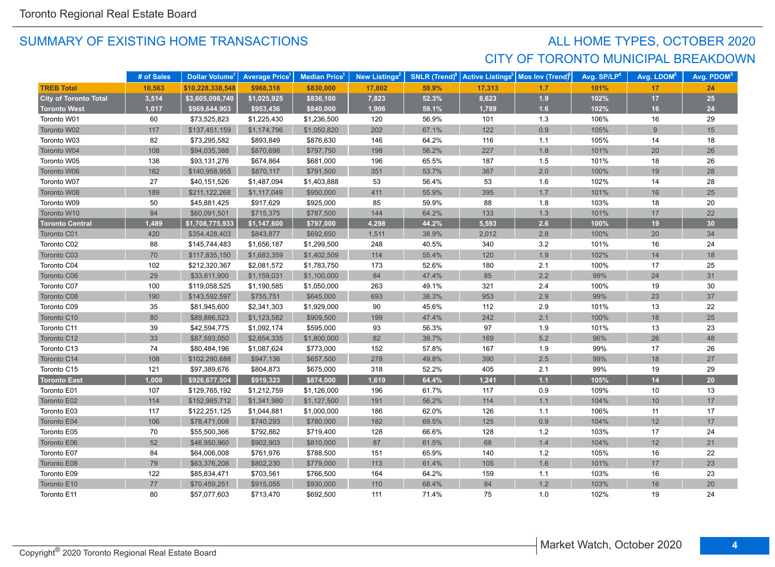## SUMMARY OF EXISTING HOME TRANSACTIONS **ALL HOME TYPES, OCTOBER 2020** CITY OF TORONTO MUNICIPAL BREAKDOWN

|                              | # of Sales | Dollar Volume <sup>1</sup> | <b>Average Price<sup>1</sup></b> | <b>Median Price</b> | New Listings <sup>2</sup> | <b>SNLR</b> (Trend) $8$ | <b>Active Listings<sup>3</sup></b> | Mos Inv (Trend) | Avg. SP/LP <sup>4</sup> | Avg. LDOM <sup>5</sup> | Avg. PDOM <sup>5</sup> |
|------------------------------|------------|----------------------------|----------------------------------|---------------------|---------------------------|-------------------------|------------------------------------|-----------------|-------------------------|------------------------|------------------------|
| <b>TREB Total</b>            | 10,563     | \$10,228,338,548           | \$968,318                        | \$830,000           | 17,802                    | 59.9%                   | 17,313                             | 1.7             | 101%                    | 17                     | 24                     |
| <b>City of Toronto Total</b> | 3,514      | \$3,605,098,740            | \$1,025,925                      | \$836,100           | 7,823                     | 52.3%                   | 8,623                              | 1.9             | 102%                    | 17                     | 25                     |
| <b>Toronto West</b>          | 1,017      | \$969,644,903              | \$953,436                        | \$840,000           | 1,906                     | 59.1%                   | 1,789                              | 1.6             | 102%                    | 16                     | 24                     |
| Toronto W01                  | 60         | \$73,525,823               | \$1,225,430                      | \$1,236,500         | 120                       | 56.9%                   | 101                                | 1.3             | 106%                    | 16                     | 29                     |
| Toronto W02                  | 117        | \$137,451,159              | \$1,174,796                      | \$1,050,820         | 202                       | 67.1%                   | 122                                | 0.9             | 105%                    | 9                      | 15                     |
| Toronto W03                  | 82         | \$73,295,582               | \$893,849                        | \$876,630           | 146                       | 64.2%                   | 116                                | 1.1             | 105%                    | 14                     | 18                     |
| Toronto W04                  | 108        | \$94,035,388               | \$870,698                        | \$797,750           | 198                       | 56.2%                   | 227                                | 1.8             | 101%                    | 20                     | 26                     |
| Toronto W05                  | 138        | \$93,131,276               | \$674,864                        | \$681,000           | 196                       | 65.5%                   | 187                                | 1.5             | 101%                    | 18                     | 26                     |
| Toronto W06                  | 162        | \$140,958,955              | \$870,117                        | \$791,500           | 351                       | 53.7%                   | 367                                | 2.0             | 100%                    | 19                     | 28                     |
| Toronto W07                  | 27         | \$40,151,526               | \$1,487,094                      | \$1,403,888         | 53                        | 56.4%                   | 53                                 | 1.6             | 102%                    | 14                     | 28                     |
| Toronto W08                  | 189        | \$211,122,268              | \$1,117,049                      | \$950,000           | 411                       | 55.9%                   | 395                                | 1.7             | 101%                    | 16                     | 25                     |
| Toronto W09                  | 50         | \$45,881,425               | \$917,629                        | \$925,000           | 85                        | 59.9%                   | 88                                 | 1.8             | 103%                    | 18                     | 20                     |
| Toronto W10                  | 84         | \$60,091,501               | \$715,375                        | \$787,500           | 144                       | 64.2%                   | 133                                | 1.3             | 101%                    | 17                     | 22                     |
| <b>Toronto Central</b>       | 1,489      | \$1,708,775,933            | \$1,147,600                      | \$797,000           | 4,298                     | 44.2%                   | 5,593                              | 2.6             | 100%                    | 19                     | 30 <sub>o</sub>        |
| Toronto C01                  | 420        | \$354,428,403              | \$843,877                        | \$692,650           | 1,511                     | 38.9%                   | 2,012                              | $2.8\,$         | 100%                    | 20                     | 34                     |
| Toronto C02                  | 88         | \$145,744,483              | \$1,656,187                      | \$1,299,500         | 248                       | 40.5%                   | 340                                | 3.2             | 101%                    | 16                     | 24                     |
| Toronto C03                  | 70         | \$117,835,150              | \$1,683,359                      | \$1,402,509         | 114                       | 55.4%                   | 120                                | 1.9             | 102%                    | 14                     | 18                     |
| Toronto C04                  | 102        | \$212,320,367              | \$2,081,572                      | \$1,783,750         | 173                       | 52.6%                   | 180                                | 2.1             | 100%                    | 17                     | 25                     |
| Toronto C06                  | 29         | \$33,611,900               | \$1,159,031                      | \$1,100,000         | 84                        | 47.4%                   | 85                                 | 2.2             | 99%                     | 24                     | 31                     |
| Toronto C07                  | 100        | \$119,058,525              | \$1,190,585                      | \$1,050,000         | 263                       | 49.1%                   | 321                                | 2.4             | 100%                    | 19                     | 30                     |
| Toronto C08                  | 190        | \$143,592,597              | \$755,751                        | \$645,000           | 693                       | 38.3%                   | 953                                | 2.9             | 99%                     | 23                     | 37                     |
| Toronto C09                  | 35         | \$81,945,600               | \$2,341,303                      | \$1,929,000         | 90                        | 45.6%                   | 112                                | 2.9             | 101%                    | 13                     | 22                     |
| Toronto C10                  | 80         | \$89,886,523               | \$1,123,582                      | \$909,500           | 199                       | 47.4%                   | 242                                | 2.1             | 100%                    | 18                     | 25                     |
| Toronto C11                  | 39         | \$42,594,775               | \$1,092,174                      | \$595,000           | 93                        | 56.3%                   | 97                                 | 1.9             | 101%                    | 13                     | 23                     |
| Toronto C12                  | 33         | \$87,593,050               | \$2,654,335                      | \$1,800,000         | 82                        | 39.7%                   | 169                                | 5.2             | 96%                     | 26                     | 48                     |
| Toronto C13                  | 74         | \$80,484,196               | \$1,087,624                      | \$773,000           | 152                       | 57.8%                   | 167                                | 1.9             | 99%                     | 17                     | 26                     |
| Toronto C14                  | 108        | \$102,290,688              | \$947,136                        | \$657,500           | 278                       | 49.8%                   | 390                                | 2.5             | 99%                     | 18                     | 27                     |
| Toronto C15                  | 121        | \$97,389,676               | \$804,873                        | \$675,000           | 318                       | 52.2%                   | 405                                | 2.1             | 99%                     | 19                     | 29                     |
| <b>Toronto East</b>          | 1,008      | \$926,677,904              | \$919,323                        | \$874,000           | 1,619                     | 64.4%                   | 1.241                              | 1.1             | 105%                    | 14                     | 20                     |
| Toronto E01                  | 107        | \$129,765,192              | \$1,212,759                      | \$1,126,000         | 196                       | 61.7%                   | 117                                | 0.9             | 109%                    | 10                     | 13                     |
| Toronto E02                  | 114        | \$152,985,712              | \$1,341,980                      | \$1,127,500         | 191                       | 56.2%                   | 114                                | 1.1             | 104%                    | 10                     | 17                     |
| Toronto E03                  | 117        | \$122,251,125              | \$1,044,881                      | \$1,000,000         | 186                       | 62.0%                   | 126                                | 1.1             | 106%                    | 11                     | 17                     |
| Toronto E04                  | 106        | \$78,471,008               | \$740,293                        | \$780,000           | 182                       | 69.5%                   | 125                                | 0.9             | 104%                    | 12                     | 17                     |
| Toronto E05                  | 70         | \$55,500,366               | \$792,862                        | \$719,400           | 128                       | 66.6%                   | 128                                | $1.2$           | 103%                    | 17                     | 24                     |
| Toronto E06                  | 52         | \$46,950,960               | \$902,903                        | \$810,000           | 87                        | 61.5%                   | 68                                 | 1.4             | 104%                    | 12                     | 21                     |
| Toronto E07                  | 84         | \$64,006,008               | \$761,976                        | \$788,500           | 151                       | 65.9%                   | 140                                | $1.2$           | 105%                    | 16                     | 22                     |
| Toronto E08                  | 79         | \$63,376,208               | \$802,230                        | \$779,000           | 113                       | 61.4%                   | 105                                | 1.6             | 101%                    | 17                     | 23                     |
| Toronto E09                  | 122        | \$85,834,471               | \$703,561                        | \$766,500           | 164                       | 64.2%                   | 159                                | 1.1             | 103%                    | 16                     | 23                     |
| Toronto E10                  | 77         | \$70,459,251               | \$915,055                        | \$930,000           | 110                       | 68.4%                   | 84                                 | 1.2             | 103%                    | 16                     | 20                     |
| Toronto E11                  | 80         | \$57,077,603               | \$713,470                        | \$692.500           | 111                       | 71.4%                   | 75                                 | 1.0             | 102%                    | 19                     | 24                     |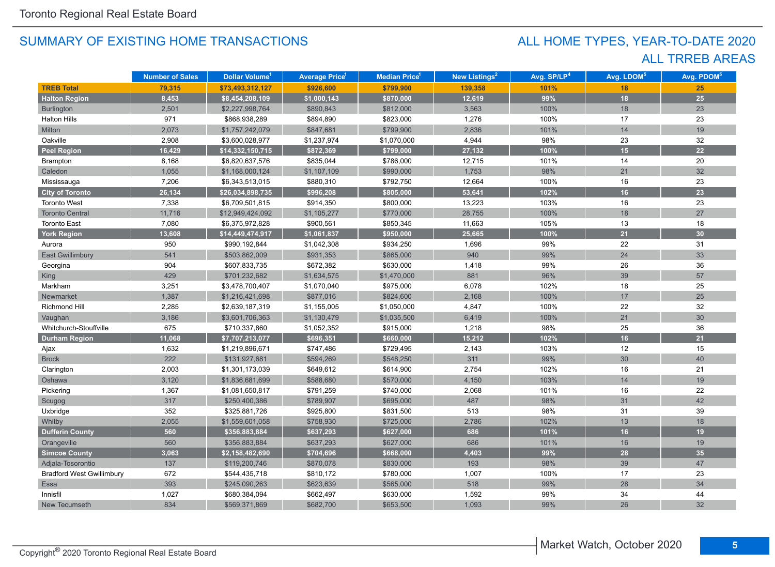## ALL TRREB AREAS ALL HOME TYPES, YEAR-TO-DATE 2020

|                                  | <b>Number of Sales</b> | Dollar Volume <sup>1</sup> | <b>Average Price</b> <sup>1</sup> | Median Price <sup>1</sup> | New Listings <sup>2</sup> | Avg. SP/LP <sup>4</sup> | Avg. LDOM <sup>5</sup> | Avg. PDOM <sup>5</sup> |
|----------------------------------|------------------------|----------------------------|-----------------------------------|---------------------------|---------------------------|-------------------------|------------------------|------------------------|
| <b>TREB Total</b>                | 79,315                 | \$73,493,312,127           | \$926,600                         | \$799,900                 | 139,358                   | 101%                    | 18                     | 25                     |
| <b>Halton Region</b>             | 8,453                  | \$8,454,208,109            | \$1,000,143                       | \$870,000                 | 12,619                    | 99%                     | 18                     | $25\overline{)}$       |
| Burlington                       | 2,501                  | \$2,227,998,764            | \$890,843                         | \$812,000                 | 3,563                     | 100%                    | 18                     | 23                     |
| <b>Halton Hills</b>              | 971                    | \$868,938,289              | \$894,890                         | \$823,000                 | 1,276                     | 100%                    | 17                     | 23                     |
| Milton                           | 2,073                  | \$1,757,242,079            | \$847,681                         | \$799,900                 | 2,836                     | 101%                    | 14                     | 19                     |
| Oakville                         | 2,908                  | \$3,600,028,977            | \$1,237,974                       | \$1,070,000               | 4,944                     | 98%                     | 23                     | 32                     |
| <b>Peel Region</b>               | 16,429                 | \$14,332,150,715           | \$872,369                         | \$799,000                 | 27,132                    | 100%                    | 15                     | 22                     |
| Brampton                         | 8,168                  | \$6,820,637,576            | \$835,044                         | \$786,000                 | 12,715                    | 101%                    | 14                     | 20                     |
| Caledon                          | 1,055                  | \$1,168,000,124            | \$1,107,109                       | \$990,000                 | 1,753                     | 98%                     | 21                     | 32                     |
| Mississauga                      | 7,206                  | \$6,343,513,015            | \$880,310                         | \$792,750                 | 12,664                    | 100%                    | 16                     | 23                     |
| <b>City of Toronto</b>           | 26,134                 | \$26,034,898,735           | \$996,208                         | \$805,000                 | 53,641                    | 102%                    | 16                     | 23                     |
| <b>Toronto West</b>              | 7,338                  | \$6,709,501,815            | \$914,350                         | \$800,000                 | 13,223                    | 103%                    | 16                     | 23                     |
| <b>Toronto Central</b>           | 11,716                 | \$12,949,424,092           | \$1,105,277                       | \$770,000                 | 28,755                    | 100%                    | 18                     | 27                     |
| <b>Toronto East</b>              | 7,080                  | \$6,375,972,828            | \$900,561                         | \$850,345                 | 11,663                    | 105%                    | 13                     | 18                     |
| <b>York Region</b>               | 13,608                 | \$14,449,474,917           | \$1,061,837                       | \$950,000                 | 25,665                    | 100%                    | 21                     | 30                     |
| Aurora                           | 950                    | \$990,192,844              | \$1,042,308                       | \$934,250                 | 1,696                     | 99%                     | 22                     | 31                     |
| <b>East Gwillimbury</b>          | 541                    | \$503,862,009              | \$931,353                         | \$865,000                 | 940                       | 99%                     | 24                     | 33                     |
| Georgina                         | 904                    | \$607,833,735              | \$672,382                         | \$630,000                 | 1,418                     | 99%                     | 26                     | 36                     |
| <b>King</b>                      | 429                    | \$701,232,682              | \$1,634,575                       | \$1,470,000               | 881                       | 96%                     | 39                     | 57                     |
| Markham                          | 3,251                  | \$3,478,700,407            | \$1,070,040                       | \$975,000                 | 6,078                     | 102%                    | 18                     | 25                     |
| Newmarket                        | 1,387                  | \$1,216,421,698            | \$877,016                         | \$824,600                 | 2,168                     | 100%                    | 17                     | 25                     |
| Richmond Hill                    | 2,285                  | \$2,639,187,319            | \$1,155,005                       | \$1,050,000               | 4,847                     | 100%                    | 22                     | 32                     |
| Vaughan                          | 3,186                  | \$3,601,706,363            | \$1,130,479                       | \$1,035,500               | 6,419                     | 100%                    | 21                     | 30                     |
| Whitchurch-Stouffville           | 675                    | \$710,337,860              | \$1,052,352                       | \$915,000                 | 1,218                     | 98%                     | 25                     | 36                     |
| <b>Durham Region</b>             | 11,068                 | \$7,707,213,077            | \$696,351                         | \$660,000                 | 15,212                    | 102%                    | 16                     | 21                     |
| Ajax                             | 1,632                  | \$1,219,896,671            | \$747,486                         | \$729,495                 | 2,143                     | 103%                    | 12                     | 15                     |
| <b>Brock</b>                     | 222                    | \$131,927,681              | \$594,269                         | \$548,250                 | 311                       | 99%                     | 30                     | 40                     |
| Clarington                       | 2,003                  | \$1,301,173,039            | \$649,612                         | \$614,900                 | 2,754                     | 102%                    | 16                     | 21                     |
| Oshawa                           | 3,120                  | \$1,836,681,699            | \$588,680                         | \$570,000                 | 4,150                     | 103%                    | 14                     | 19                     |
| Pickering                        | 1,367                  | \$1,081,650,817            | \$791,259                         | \$740,000                 | 2,068                     | 101%                    | 16                     | 22                     |
| Scugog                           | 317                    | \$250,400,386              | \$789,907                         | \$695,000                 | 487                       | 98%                     | 31                     | 42                     |
| Uxbridge                         | 352                    | \$325,881,726              | \$925,800                         | \$831,500                 | 513                       | 98%                     | 31                     | 39                     |
| Whitby                           | 2,055                  | \$1,559,601,058            | \$758,930                         | \$725,000                 | 2,786                     | 102%                    | 13                     | 18                     |
| <b>Dufferin County</b>           | 560                    | \$356,883,884              | \$637,293                         | \$627,000                 | 686                       | 101%                    | 16                     | 19                     |
| Orangeville                      | 560                    | \$356,883,884              | \$637,293                         | \$627,000                 | 686                       | 101%                    | 16                     | 19                     |
| <b>Simcoe County</b>             | 3,063                  | \$2,158,482,690            | \$704,696                         | \$668,000                 | 4,403                     | 99%                     | 28                     | 35                     |
| Adjala-Tosorontio                | 137                    | \$119,200,746              | \$870,078                         | \$830,000                 | 193                       | 98%                     | 39                     | 47                     |
| <b>Bradford West Gwillimbury</b> | 672                    | \$544,435,718              | \$810,172                         | \$780,000                 | 1,007                     | 100%                    | 17                     | 23                     |
| <b>Essa</b>                      | 393                    | \$245,090,263              | \$623,639                         | \$565,000                 | 518                       | 99%                     | 28                     | 34                     |
| Innisfil                         | 1,027                  | \$680,384,094              | \$662,497                         | \$630,000                 | 1,592                     | 99%                     | 34                     | 44                     |
| New Tecumseth                    | 834                    | \$569,371,869              | \$682,700                         | \$653,500                 | 1,093                     | 99%                     | 26                     | 32                     |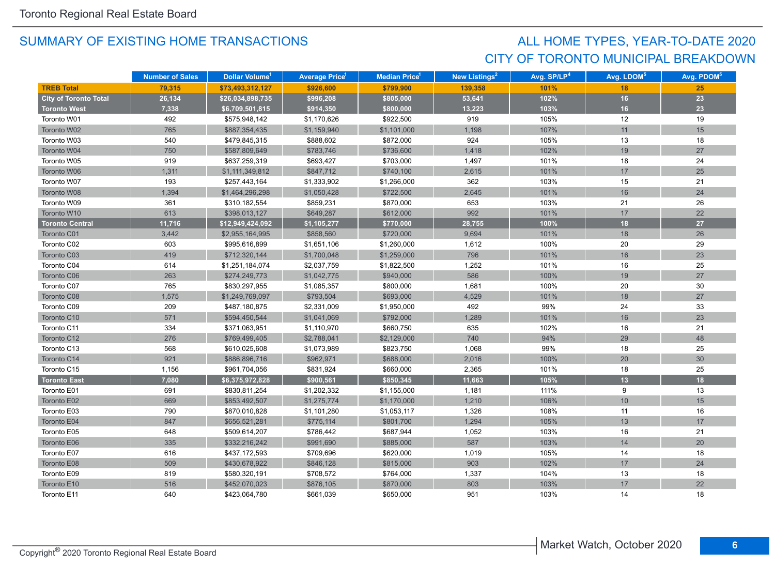## CITY OF TORONTO MUNICIPAL BREAKDOWN ALL HOME TYPES, YEAR-TO-DATE 2020

|                              | <b>Number of Sales</b> | Dollar Volume <sup>1</sup> | <b>Average Price</b> | Median Price <sup>1</sup> | New Listings <sup>2</sup> | Avg. SP/LP <sup>4</sup> | Avg. LDOM <sup>5</sup> | Avg. PDOM <sup>5</sup> |
|------------------------------|------------------------|----------------------------|----------------------|---------------------------|---------------------------|-------------------------|------------------------|------------------------|
| <b>TREB Total</b>            | 79.315                 | \$73,493,312,127           | \$926,600            | \$799.900                 | 139,358                   | 101%                    | 18                     | 25                     |
| <b>City of Toronto Total</b> | 26,134                 | \$26,034,898,735           | \$996,208            | \$805,000                 | 53,641                    | 102%                    | 16                     | 23                     |
| <b>Toronto West</b>          | 7,338                  | \$6,709,501,815            | \$914,350            | \$800,000                 | 13,223                    | 103%                    | 16                     | 23                     |
| Toronto W01                  | 492                    | \$575,948,142              | \$1,170,626          | \$922,500                 | 919                       | 105%                    | 12                     | 19                     |
| Toronto W02                  | 765                    | \$887,354,435              | \$1,159,940          | \$1,101,000               | 1,198                     | 107%                    | 11                     | 15                     |
| Toronto W03                  | 540                    | \$479,845,315              | \$888,602            | \$872,000                 | 924                       | 105%                    | 13                     | 18                     |
| Toronto W04                  | 750                    | \$587,809,649              | \$783,746            | \$736,600                 | 1,418                     | 102%                    | 19                     | 27                     |
| Toronto W05                  | 919                    | \$637,259,319              | \$693,427            | \$703,000                 | 1,497                     | 101%                    | 18                     | 24                     |
| Toronto W06                  | 1,311                  | \$1,111,349,812            | \$847,712            | \$740,100                 | 2,615                     | 101%                    | 17                     | 25                     |
| Toronto W07                  | 193                    | \$257,443,164              | \$1,333,902          | \$1,266,000               | 362                       | 103%                    | 15                     | 21                     |
| Toronto W08                  | 1,394                  | \$1,464,296,298            | \$1,050,428          | \$722,500                 | 2,645                     | 101%                    | 16                     | 24                     |
| Toronto W09                  | 361                    | \$310,182,554              | \$859,231            | \$870,000                 | 653                       | 103%                    | 21                     | 26                     |
| Toronto W10                  | 613                    | \$398,013,127              | \$649,287            | \$612,000                 | 992                       | 101%                    | 17                     | 22                     |
| <b>Toronto Central</b>       | 11,716                 | \$12,949,424,092           | \$1,105,277          | \$770,000                 | 28,755                    | 100%                    | 18                     | 27                     |
| Toronto C01                  | 3,442                  | \$2,955,164,995            | \$858,560            | \$720,000                 | 9,694                     | 101%                    | 18                     | 26                     |
| Toronto C02                  | 603                    | \$995,616,899              | \$1,651,106          | \$1,260,000               | 1,612                     | 100%                    | 20                     | 29                     |
| Toronto C03                  | 419                    | \$712,320,144              | \$1,700,048          | \$1,259,000               | 796                       | 101%                    | 16                     | 23                     |
| Toronto C04                  | 614                    | \$1,251,184,074            | \$2,037,759          | \$1,822,500               | 1,252                     | 101%                    | 16                     | 25                     |
| Toronto C06                  | 263                    | \$274,249,773              | \$1,042,775          | \$940,000                 | 586                       | 100%                    | 19                     | 27                     |
| Toronto C07                  | 765                    | \$830,297,955              | \$1,085,357          | \$800,000                 | 1,681                     | 100%                    | 20                     | 30                     |
| Toronto C08                  | 1,575                  | \$1,249,769,097            | \$793,504            | \$693,000                 | 4,529                     | 101%                    | 18                     | 27                     |
| Toronto C09                  | 209                    | \$487,180,875              | \$2,331,009          | \$1,950,000               | 492                       | 99%                     | 24                     | 33                     |
| Toronto C10                  | 571                    | \$594,450,544              | \$1,041,069          | \$792,000                 | 1,289                     | 101%                    | 16                     | 23                     |
| Toronto C11                  | 334                    | \$371,063,951              | \$1,110,970          | \$660,750                 | 635                       | 102%                    | 16                     | 21                     |
| Toronto C12                  | 276                    | \$769,499,405              | \$2,788,041          | \$2,129,000               | 740                       | 94%                     | 29                     | 48                     |
| Toronto C13                  | 568                    | \$610,025,608              | \$1,073,989          | \$823,750                 | 1,068                     | 99%                     | 18                     | 25                     |
| Toronto C14                  | 921                    | \$886,896,716              | \$962,971            | \$688,000                 | 2,016                     | 100%                    | 20                     | 30                     |
| Toronto C15                  | 1,156                  | \$961,704,056              | \$831,924            | \$660,000                 | 2,365                     | 101%                    | 18                     | 25                     |
| <b>Toronto East</b>          | 7,080                  | \$6,375,972,828            | \$900,561            | \$850,345                 | 11,663                    | 105%                    | 13                     | 18                     |
| Toronto E01                  | 691                    | \$830,811,254              | \$1,202,332          | \$1,155,000               | 1,181                     | 111%                    | 9                      | 13                     |
| Toronto E02                  | 669                    | \$853,492,507              | \$1,275,774          | \$1,170,000               | 1,210                     | 106%                    | 10                     | 15                     |
| Toronto E03                  | 790                    | \$870,010,828              | \$1,101,280          | \$1,053,117               | 1,326                     | 108%                    | 11                     | 16                     |
| Toronto E04                  | 847                    | \$656,521,281              | \$775,114            | \$801,700                 | 1,294                     | 105%                    | 13                     | 17                     |
| Toronto E05                  | 648                    | \$509,614,207              | \$786,442            | \$687,944                 | 1,052                     | 103%                    | 16                     | 21                     |
| Toronto E06                  | 335                    | \$332,216,242              | \$991,690            | \$885,000                 | 587                       | 103%                    | 14                     | 20                     |
| Toronto E07                  | 616                    | \$437,172,593              | \$709,696            | \$620,000                 | 1,019                     | 105%                    | 14                     | 18                     |
| Toronto E08                  | 509                    | \$430,678,922              | \$846,128            | \$815,000                 | 903                       | 102%                    | 17                     | 24                     |
| Toronto E09                  | 819                    | \$580,320,191              | \$708,572            | \$764,000                 | 1,337                     | 104%                    | 13                     | 18                     |
| Toronto E10                  | 516                    | \$452,070,023              | \$876,105            | \$870,000                 | 803                       | 103%                    | 17                     | 22                     |
| Toronto E11                  | 640                    | \$423,064,780              | \$661,039            | \$650,000                 | 951                       | 103%                    | 14                     | 18                     |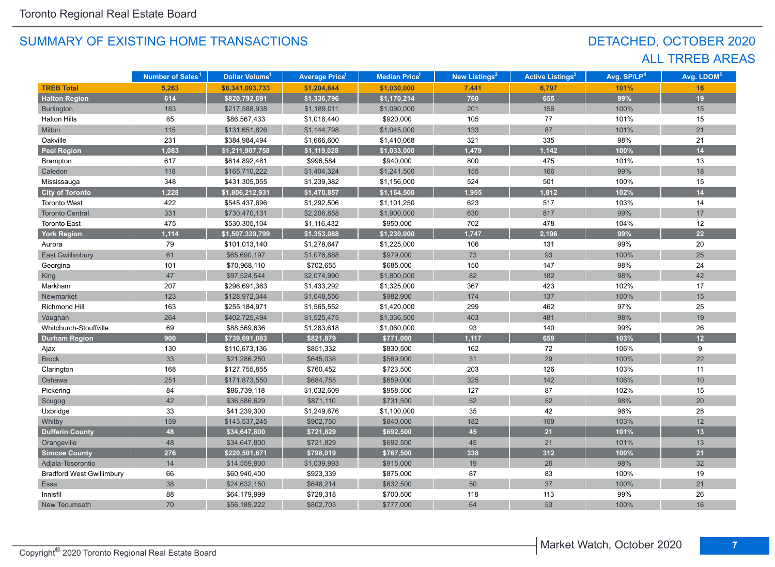## DETACHED, OCTOBER 2020 ALL TRREB AREAS

|                                  | Number of Sales <sup>1</sup> | Dollar Volume <sup>1</sup> | <b>Average Price<sup>1</sup></b> | <b>Median Price<sup>1</sup></b> | New Listings <sup>2</sup> | <b>Active Listings<sup>3</sup></b> | Avg. SP/LP <sup>4</sup> | Avg. LDOM <sup>5</sup> |
|----------------------------------|------------------------------|----------------------------|----------------------------------|---------------------------------|---------------------------|------------------------------------|-------------------------|------------------------|
| <b>TREB Total</b>                | 5,263                        | \$6,341,093,733            | \$1,204,844                      | \$1,030,000                     | 7,441                     | 6,797                              | 101%                    | 16                     |
| <b>Halton Region</b>             | 614                          | \$820,792,691              | \$1,336,796                      | \$1,170,214                     | 760                       | 655                                | 99%                     | 19                     |
| Burlington                       | 183                          | \$217,588,938              | \$1,189,011                      | \$1,090,000                     | 201                       | 156                                | 100%                    | 15                     |
| <b>Halton Hills</b>              | 85                           | \$86,567,433               | \$1,018,440                      | \$920,000                       | 105                       | 77                                 | 101%                    | 15                     |
| Milton                           | 115                          | \$131,651,826              | \$1,144,798                      | \$1,045,000                     | 133                       | 87                                 | 101%                    | 21                     |
| Oakville                         | 231                          | \$384,984,494              | \$1,666,600                      | \$1,410,068                     | 321                       | 335                                | 98%                     | 21                     |
| <b>Peel Region</b>               | 1,083                        | \$1,211,907,758            | \$1,119,028                      | \$1,033,000                     | 1,479                     | 1,142                              | 100%                    | 14                     |
| Brampton                         | 617                          | \$614,892,481              | \$996,584                        | \$940,000                       | 800                       | 475                                | 101%                    | 13                     |
| Caledon                          | 118                          | \$165,710,222              | \$1,404,324                      | \$1,241,500                     | 155                       | 166                                | 99%                     | 18                     |
| Mississauga                      | 348                          | \$431,305,055              | \$1,239,382                      | \$1,156,000                     | 524                       | 501                                | 100%                    | 15                     |
| <b>City of Toronto</b>           | 1,228                        | \$1,806,212,931            | \$1,470,857                      | \$1,164,500                     | 1,955                     | 1,812                              | 102%                    | 14                     |
| <b>Toronto West</b>              | 422                          | \$545,437,696              | \$1,292,506                      | \$1,101,250                     | 623                       | 517                                | 103%                    | 14                     |
| <b>Toronto Central</b>           | 331                          | \$730,470,131              | \$2,206,858                      | \$1,900,000                     | 630                       | 817                                | 99%                     | 17                     |
| <b>Toronto East</b>              | 475                          | \$530,305,104              | \$1,116,432                      | \$950,000                       | 702                       | 478                                | 104%                    | 12                     |
| <b>York Region</b>               | 1,114                        | \$1,507,339,799            | \$1,353,088                      | \$1,230,000                     | 1,747                     | 2,196                              | 99%                     | 22                     |
| Aurora                           | 79                           | \$101,013,140              | \$1,278,647                      | \$1,225,000                     | 106                       | 131                                | 99%                     | 20                     |
| <b>East Gwillimbury</b>          | 61                           | \$65,690,197               | \$1,076,888                      | \$979,000                       | 73                        | 93                                 | 100%                    | 25                     |
| Georgina                         | 101                          | \$70,968,110               | \$702,655                        | \$685,000                       | 150                       | 147                                | 98%                     | 24                     |
| King                             | 47                           | \$97,524,544               | \$2,074,990                      | \$1,800,000                     | 82                        | 182                                | 98%                     | 42                     |
| Markham                          | 207                          | \$296,691,363              | \$1,433,292                      | \$1,325,000                     | 367                       | 423                                | 102%                    | 17                     |
| Newmarket                        | 123                          | \$128,972,344              | \$1,048,556                      | \$982,900                       | 174                       | 137                                | 100%                    | 15                     |
| <b>Richmond Hill</b>             | 163                          | \$255,184,971              | \$1,565,552                      | \$1,420,000                     | 299                       | 462                                | 97%                     | 25                     |
| Vaughan                          | 264                          | \$402,725,494              | \$1,525,475                      | \$1,336,500                     | 403                       | 481                                | 98%                     | 19                     |
| Whitchurch-Stouffville           | 69                           | \$88,569,636               | \$1,283,618                      | \$1,060,000                     | 93                        | 140                                | 99%                     | 26                     |
| <b>Durham Region</b>             | 900                          | \$739,691,083              | \$821,879                        | \$771,000                       | 1,117                     | 659                                | 103%                    | 12                     |
| Ajax                             | 130                          | \$110,673,136              | \$851,332                        | \$830,500                       | 162                       | 72                                 | 106%                    | 9                      |
| <b>Brock</b>                     | 33                           | \$21,286,250               | \$645,038                        | \$569,900                       | 31                        | 29                                 | 100%                    | 22                     |
| Clarington                       | 168                          | \$127,755,855              | \$760,452                        | \$723,500                       | 203                       | 126                                | 103%                    | 11                     |
| Oshawa                           | 251                          | \$171,873,550              | \$684,755                        | \$659,000                       | 325                       | 142                                | 106%                    | 10                     |
| Pickering                        | 84                           | \$86,739,118               | \$1,032,609                      | \$958,500                       | 127                       | 87                                 | 102%                    | 15                     |
| Scugog                           | 42                           | \$36,586,629               | \$871,110                        | \$731,500                       | 52                        | 52                                 | 98%                     | 20                     |
| Uxbridge                         | 33                           | \$41,239,300               | \$1,249,676                      | \$1,100,000                     | 35                        | 42                                 | 98%                     | 28                     |
| Whitby                           | 159                          | \$143,537,245              | \$902,750                        | \$840,000                       | 182                       | 109                                | 103%                    | 12                     |
| <b>Dufferin County</b>           | 48                           | \$34,647,800               | \$721,829                        | \$692,500                       | 45                        | 21                                 | 101%                    | 13                     |
| Orangeville                      | 48                           | \$34,647,800               | \$721,829                        | \$692,500                       | 45                        | 21                                 | 101%                    | 13                     |
| <b>Simcoe County</b>             | 276                          | \$220,501,671              | \$798,919                        | \$767,500                       | 338                       | 312                                | 100%                    | 21                     |
| Adjala-Tosorontio                | 14                           | \$14,559,900               | \$1,039,993                      | \$915,000                       | 19                        | 26                                 | 98%                     | 32                     |
| <b>Bradford West Gwillimbury</b> | 66                           | \$60,940,400               | \$923,339                        | \$875,000                       | 87                        | 83                                 | 100%                    | 19                     |
| Essa                             | 38                           | \$24,632,150               | \$648,214                        | \$632,500                       | 50                        | 37                                 | 100%                    | 21                     |
| Innisfil                         | 88                           | \$64,179,999               | \$729,318                        | \$700,500                       | 118                       | 113                                | 99%                     | 26                     |
| New Tecumseth                    | 70                           | \$56,189,222               | \$802,703                        | \$777,000                       | 64                        | 53                                 | 100%                    | 16                     |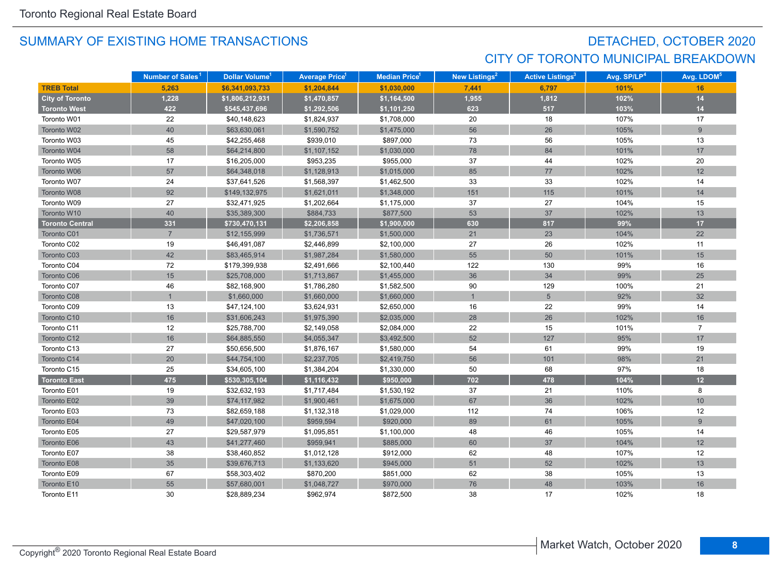## DETACHED, OCTOBER 2020 CITY OF TORONTO MUNICIPAL BREAKDOWN

|                        | Number of Sales <sup>1</sup> | Dollar Volume <sup>1</sup> | <b>Average Price<sup>1</sup></b> | <b>Median Price</b> <sup>1</sup> | New Listings <sup>2</sup> | <b>Active Listings<sup>3</sup></b> | Avg. SP/LP <sup>4</sup> | Avg. LDOM <sup>5</sup> |
|------------------------|------------------------------|----------------------------|----------------------------------|----------------------------------|---------------------------|------------------------------------|-------------------------|------------------------|
| <b>TREB Total</b>      | 5,263                        | \$6,341,093,733            | \$1,204,844                      | \$1,030,000                      | 7,441                     | 6,797                              | 101%                    | 16                     |
| <b>City of Toronto</b> | 1,228                        | \$1,806,212,931            | \$1,470,857                      | \$1,164,500                      | 1,955                     | 1,812                              | 102%                    | 14                     |
| <b>Toronto West</b>    | 422                          | \$545,437,696              | \$1,292,506                      | \$1,101,250                      | 623                       | 517                                | 103%                    | $14$                   |
| Toronto W01            | 22                           | \$40,148,623               | \$1,824,937                      | \$1,708,000                      | 20                        | 18                                 | 107%                    | 17                     |
| Toronto W02            | 40                           | \$63,630,061               | \$1,590,752                      | \$1,475,000                      | 56                        | 26                                 | 105%                    | 9                      |
| Toronto W03            | 45                           | \$42,255,468               | \$939,010                        | \$897,000                        | 73                        | 56                                 | 105%                    | 13                     |
| Toronto W04            | 58                           | \$64,214,800               | \$1,107,152                      | \$1,030,000                      | 78                        | 84                                 | 101%                    | 17                     |
| Toronto W05            | 17                           | \$16,205,000               | \$953,235                        | \$955,000                        | 37                        | 44                                 | 102%                    | 20                     |
| Toronto W06            | 57                           | \$64,348,018               | \$1,128,913                      | \$1,015,000                      | 85                        | 77                                 | 102%                    | 12                     |
| Toronto W07            | 24                           | \$37,641,526               | \$1,568,397                      | \$1,462,500                      | 33                        | 33                                 | 102%                    | 14                     |
| Toronto W08            | 92                           | \$149,132,975              | \$1,621,011                      | \$1,348,000                      | 151                       | 115                                | 101%                    | 14                     |
| Toronto W09            | 27                           | \$32,471,925               | \$1,202,664                      | \$1,175,000                      | 37                        | 27                                 | 104%                    | 15                     |
| Toronto W10            | 40                           | \$35,389,300               | \$884,733                        | \$877,500                        | 53                        | 37                                 | 102%                    | 13                     |
| <b>Toronto Central</b> | 331                          | \$730,470,131              | \$2,206,858                      | \$1,900,000                      | 630                       | 817                                | 99%                     | 17                     |
| Toronto C01            | $\overline{7}$               | \$12,155,999               | \$1,736,571                      | \$1,500,000                      | 21                        | 23                                 | 104%                    | 22                     |
| Toronto C02            | 19                           | \$46,491,087               | \$2,446,899                      | \$2,100,000                      | 27                        | 26                                 | 102%                    | 11                     |
| Toronto C03            | 42                           | \$83,465,914               | \$1,987,284                      | \$1,580,000                      | 55                        | 50                                 | 101%                    | 15                     |
| Toronto C04            | 72                           | \$179,399,938              | \$2,491,666                      | \$2,100,440                      | 122                       | 130                                | 99%                     | 16                     |
| Toronto C06            | 15                           | \$25,708,000               | \$1,713,867                      | \$1,455,000                      | 36                        | 34                                 | 99%                     | 25                     |
| Toronto C07            | 46                           | \$82,168,900               | \$1,786,280                      | \$1,582,500                      | 90                        | 129                                | 100%                    | 21                     |
| Toronto C08            |                              | \$1,660,000                | \$1,660,000                      | \$1,660,000                      | $\overline{1}$            | $5\phantom{.}$                     | 92%                     | 32                     |
| Toronto C09            | 13                           | \$47,124,100               | \$3,624,931                      | \$2,650,000                      | 16                        | 22                                 | 99%                     | 14                     |
| Toronto C10            | 16                           | \$31,606,243               | \$1,975,390                      | \$2,035,000                      | 28                        | 26                                 | 102%                    | 16                     |
| Toronto C11            | 12                           | \$25,788,700               | \$2,149,058                      | \$2,084,000                      | 22                        | 15                                 | 101%                    | $\overline{7}$         |
| Toronto C12            | 16                           | \$64,885,550               | \$4,055,347                      | \$3,492,500                      | 52                        | 127                                | 95%                     | 17                     |
| Toronto C13            | 27                           | \$50,656,500               | \$1,876,167                      | \$1,580,000                      | 54                        | 61                                 | 99%                     | 19                     |
| Toronto C14            | $20\,$                       | \$44,754,100               | \$2,237,705                      | \$2,419,750                      | 56                        | 101                                | 98%                     | 21                     |
| Toronto C15            | 25                           | \$34,605,100               | \$1,384,204                      | \$1,330,000                      | 50                        | 68                                 | 97%                     | 18                     |
| <b>Toronto East</b>    | 475                          | \$530,305,104              | \$1,116,432                      | \$950,000                        | 702                       | 478                                | 104%                    | 12                     |
| Toronto E01            | 19                           | \$32,632,193               | \$1,717,484                      | \$1,530,192                      | 37                        | 21                                 | 110%                    | 8                      |
| Toronto E02            | 39                           | \$74,117,982               | \$1,900,461                      | \$1,675,000                      | 67                        | 36                                 | 102%                    | 10                     |
| Toronto E03            | 73                           | \$82,659,188               | \$1,132,318                      | \$1,029,000                      | 112                       | 74                                 | 106%                    | 12                     |
| Toronto E04            | 49                           | \$47,020,100               | \$959,594                        | \$920,000                        | 89                        | 61                                 | 105%                    | 9                      |
| Toronto E05            | 27                           | \$29,587,979               | \$1,095,851                      | \$1,100,000                      | 48                        | 46                                 | 105%                    | 14                     |
| Toronto E06            | 43                           | \$41,277,460               | \$959,941                        | \$885,000                        | 60                        | 37                                 | 104%                    | 12                     |
| Toronto E07            | 38                           | \$38,460,852               | \$1,012,128                      | \$912,000                        | 62                        | 48                                 | 107%                    | 12                     |
| Toronto E08            | 35                           | \$39,676,713               | \$1,133,620                      | \$945,000                        | 51                        | 52                                 | 102%                    | 13                     |
| Toronto E09            | 67                           | \$58,303,402               | \$870,200                        | \$851,000                        | 62                        | 38                                 | 105%                    | 13                     |
| Toronto E10            | 55                           | \$57,680,001               | \$1,048,727                      | \$970,000                        | 76                        | 48                                 | 103%                    | 16                     |
| Toronto E11            | 30                           | \$28,889,234               | \$962,974                        | \$872,500                        | 38                        | 17                                 | 102%                    | 18                     |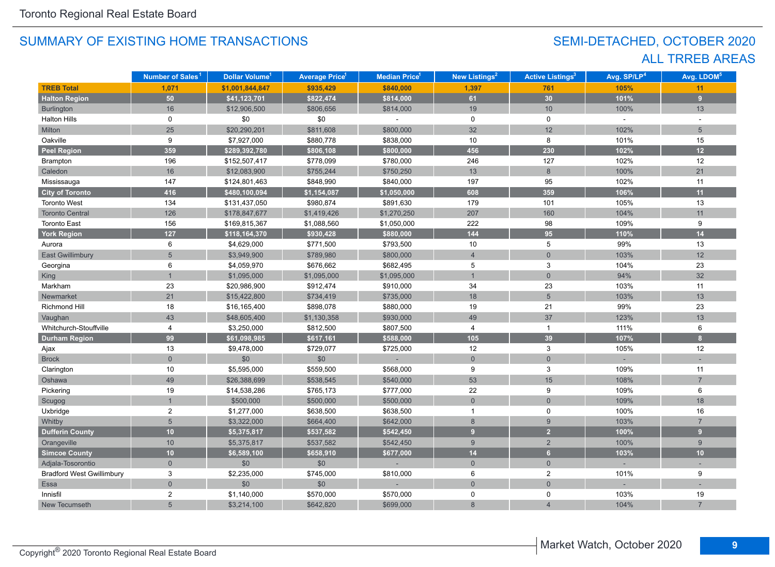## SEMI-DETACHED, OCTOBER 2020 ALL TRREB AREAS

|                                  | Number of Sales <sup>1</sup> | Dollar Volume <sup>1</sup> | <b>Average Price</b> <sup>1</sup> | <b>Median Price</b> <sup>1</sup> | New Listings <sup>2</sup> | <b>Active Listings<sup>3</sup></b> | Avg. SP/LP <sup>4</sup> | Avg. LDOM <sup>5</sup> |
|----------------------------------|------------------------------|----------------------------|-----------------------------------|----------------------------------|---------------------------|------------------------------------|-------------------------|------------------------|
| <b>TREB Total</b>                | 1,071                        | \$1,001,844,847            | \$935,429                         | \$840,000                        | 1,397                     | 761                                | 105%                    | 11                     |
| <b>Halton Region</b>             | 50                           | \$41,123,701               | \$822,474                         | \$814,000                        | 61                        | 30                                 | 101%                    | 9                      |
| Burlington                       | 16                           | \$12,906,500               | \$806,656                         | \$814,000                        | 19                        | 10                                 | 100%                    | 13                     |
| <b>Halton Hills</b>              | $\mathbf 0$                  | \$0                        | \$0                               |                                  | $\mathbf 0$               | $\mathbf 0$                        | $\mathbf{r}$            | $\sim$                 |
| Milton                           | 25                           | \$20,290,201               | \$811,608                         | \$800,000                        | 32                        | 12                                 | 102%                    | $5\overline{)}$        |
| Oakville                         | 9                            | \$7,927,000                | \$880,778                         | \$838,000                        | 10                        | 8                                  | 101%                    | 15                     |
| <b>Peel Region</b>               | 359                          | \$289,392,780              | \$806,108                         | \$800,000                        | 456                       | 230                                | 102%                    | 12                     |
| Brampton                         | 196                          | \$152,507,417              | \$778,099                         | \$780,000                        | 246                       | 127                                | 102%                    | 12                     |
| Caledon                          | 16                           | \$12,083,900               | \$755,244                         | \$750,250                        | 13                        | $8\phantom{1}$                     | 100%                    | 21                     |
| Mississauga                      | 147                          | \$124,801,463              | \$848,990                         | \$840,000                        | 197                       | 95                                 | 102%                    | 11                     |
| <b>City of Toronto</b>           | 416                          | \$480,100,094              | \$1,154,087                       | \$1,050,000                      | 608                       | 359                                | 106%                    | 11                     |
| <b>Toronto West</b>              | 134                          | \$131,437,050              | \$980,874                         | \$891,630                        | 179                       | 101                                | 105%                    | 13                     |
| <b>Toronto Central</b>           | 126                          | \$178,847,677              | \$1,419,426                       | \$1,270,250                      | 207                       | 160                                | 104%                    | 11                     |
| <b>Toronto East</b>              | 156                          | \$169,815,367              | \$1,088,560                       | \$1,050,000                      | 222                       | 98                                 | 109%                    | 9                      |
| <b>York Region</b>               | 127                          | \$118,164,370              | \$930,428                         | \$880,000                        | 144                       | 95                                 | 110%                    | 14                     |
| Aurora                           | 6                            | \$4,629,000                | \$771,500                         | \$793,500                        | 10                        | 5                                  | 99%                     | 13                     |
| <b>East Gwillimbury</b>          | 5                            | \$3,949,900                | \$789,980                         | \$800,000                        | $\overline{4}$            | $\overline{0}$                     | 103%                    | 12                     |
| Georgina                         | 6                            | \$4,059,970                | \$676,662                         | \$682,495                        | 5                         | $\mathbf{3}$                       | 104%                    | 23                     |
| King                             | $\overline{1}$               | \$1,095,000                | \$1,095,000                       | \$1,095,000                      | $\overline{1}$            | $\mathbf{0}$                       | 94%                     | 32                     |
| Markham                          | 23                           | \$20,986,900               | \$912,474                         | \$910,000                        | 34                        | 23                                 | 103%                    | 11                     |
| Newmarket                        | 21                           | \$15,422,800               | \$734,419                         | \$735,000                        | 18                        | 5                                  | 103%                    | 13                     |
| <b>Richmond Hill</b>             | 18                           | \$16,165,400               | \$898,078                         | \$880,000                        | 19                        | 21                                 | 99%                     | 23                     |
| Vaughan                          | 43                           | \$48,605,400               | \$1,130,358                       | \$930,000                        | 49                        | 37                                 | 123%                    | 13                     |
| Whitchurch-Stouffville           | 4                            | \$3,250,000                | \$812,500                         | \$807,500                        | 4                         | $\overline{1}$                     | 111%                    | 6                      |
| <b>Durham Region</b>             | 99                           | \$61,098,985               | \$617,161                         | \$588,000                        | 105                       | 39                                 | 107%                    | $\mathbf{8}$           |
| Ajax                             | 13                           | \$9,478,000                | \$729,077                         | \$725,000                        | 12                        | 3                                  | 105%                    | 12                     |
| <b>Brock</b>                     | $\overline{0}$               | \$0                        | \$0                               |                                  | $\overline{0}$            | $\mathbf 0$                        |                         |                        |
| Clarington                       | $10$                         | \$5,595,000                | \$559,500                         | \$568,000                        | 9                         | 3                                  | 109%                    | 11                     |
| Oshawa                           | 49                           | \$26,388,699               | \$538,545                         | \$540,000                        | 53                        | 15                                 | 108%                    | $\overline{7}$         |
| Pickering                        | 19                           | \$14,538,286               | \$765,173                         | \$777,000                        | 22                        | 9                                  | 109%                    | 6                      |
| Scugog                           | $\overline{1}$               | \$500,000                  | \$500,000                         | \$500,000                        | $\mathbf 0$               | $\overline{0}$                     | 109%                    | 18                     |
| Uxbridge                         | 2                            | \$1,277,000                | \$638,500                         | \$638,500                        | $\mathbf{1}$              | 0                                  | 100%                    | 16                     |
| Whitby                           | 5                            | \$3,322,000                | \$664,400                         | \$642,000                        | $\,8\,$                   | 9                                  | 103%                    | $\overline{7}$         |
| <b>Dufferin County</b>           | 10 <sup>°</sup>              | \$5,375,817                | \$537,582                         | \$542,450                        | 9                         | $\overline{2}$                     | 100%                    | 9                      |
| Orangeville                      | 10                           | \$5,375,817                | \$537,582                         | \$542,450                        | 9                         | $\overline{2}$                     | 100%                    | 9                      |
| <b>Simcoe County</b>             | 10 <sub>1</sub>              | \$6,589,100                | \$658,910                         | \$677,000                        | 14                        | 6 <sup>1</sup>                     | 103%                    | 10                     |
| Adjala-Tosorontio                | $\Omega$                     | $$0$$                      | \$0                               |                                  | $\overline{0}$            | $\overline{0}$                     |                         |                        |
| <b>Bradford West Gwillimbury</b> | 3                            | \$2,235,000                | \$745,000                         | \$810,000                        | 6                         | $\overline{c}$                     | 101%                    | 9                      |
| Essa                             | $\overline{0}$               | \$0                        | \$0                               |                                  | $\overline{0}$            | $\overline{0}$                     |                         |                        |
| Innisfil                         | $\overline{2}$               | \$1,140,000                | \$570,000                         | \$570,000                        | $\mathbf 0$               | 0                                  | 103%                    | 19                     |
| New Tecumseth                    | 5                            | \$3,214,100                | \$642,820                         | \$699,000                        | 8                         |                                    | 104%                    |                        |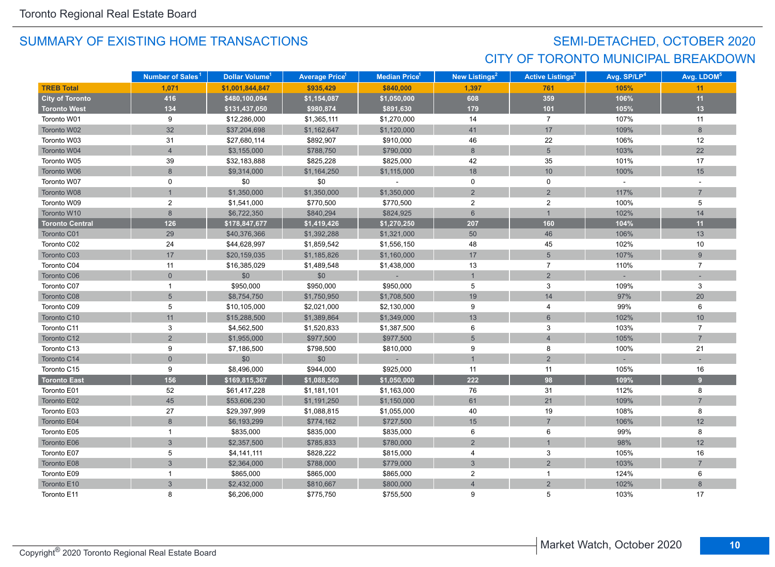## SEMI-DETACHED, OCTOBER 2020 CITY OF TORONTO MUNICIPAL BREAKDOWN

|                        | Number of Sales <sup>1</sup> | Dollar Volume <sup>1</sup> | <b>Average Price</b> 1 | Median Price <sup>1</sup> | New Listings <sup>2</sup> | <b>Active Listings<sup>3</sup></b> | Avg. SP/LP <sup>4</sup> | Avg. LDOM <sup>5</sup> |
|------------------------|------------------------------|----------------------------|------------------------|---------------------------|---------------------------|------------------------------------|-------------------------|------------------------|
| <b>TREB Total</b>      | 1,071                        | \$1,001,844,847            | \$935,429              | \$840,000                 | 1,397                     | 761                                | 105%                    | 11                     |
| <b>City of Toronto</b> | 416                          | \$480,100,094              | \$1,154,087            | \$1,050,000               | 608                       | 359                                | 106%                    | 11                     |
| <b>Toronto West</b>    | 134                          | \$131,437,050              | \$980,874              | \$891,630                 | 179                       | $101$                              | 105%                    | 13                     |
| Toronto W01            | 9                            | \$12,286,000               | \$1,365,111            | \$1,270,000               | 14                        | $\overline{7}$                     | 107%                    | 11                     |
| Toronto W02            | 32                           | \$37,204,698               | \$1,162,647            | \$1,120,000               | 41                        | 17                                 | 109%                    | 8                      |
| Toronto W03            | 31                           | \$27,680,114               | \$892,907              | \$910,000                 | 46                        | 22                                 | 106%                    | 12                     |
| Toronto W04            | $\overline{4}$               | \$3,155,000                | \$788,750              | \$790,000                 | 8                         | 5                                  | 103%                    | 22                     |
| Toronto W05            | 39                           | \$32,183,888               | \$825,228              | \$825,000                 | 42                        | 35                                 | 101%                    | 17                     |
| Toronto W06            | $\bf{8}$                     | \$9,314,000                | \$1,164,250            | \$1,115,000               | 18                        | 10                                 | 100%                    | 15                     |
| Toronto W07            | 0                            | \$0                        | \$0                    |                           | $\mathbf 0$               | 0                                  | $\sim$                  | $\overline{a}$         |
| Toronto W08            |                              | \$1,350,000                | \$1,350,000            | \$1,350,000               | $\overline{2}$            | $\overline{2}$                     | 117%                    | $\overline{7}$         |
| Toronto W09            | $\overline{\mathbf{c}}$      | \$1,541,000                | \$770,500              | \$770,500                 | $\overline{2}$            | $\boldsymbol{2}$                   | 100%                    | 5                      |
| Toronto W10            | $\bf 8$                      | \$6,722,350                | \$840,294              | \$824,925                 | $\,6\,$                   | $\mathbf{1}$                       | 102%                    | 14                     |
| <b>Toronto Central</b> | 126                          | \$178,847,677              | \$1,419,426            | \$1,270,250               | 207                       | 160                                | 104%                    | 11                     |
| Toronto C01            | 29                           | \$40,376,366               | \$1,392,288            | \$1,321,000               | 50                        | 46                                 | 106%                    | 13                     |
| Toronto C02            | 24                           | \$44,628,997               | \$1,859,542            | \$1,556,150               | 48                        | 45                                 | 102%                    | 10                     |
| Toronto C03            | 17                           | \$20,159,035               | \$1,185,826            | \$1,160,000               | $17\,$                    | 5                                  | 107%                    | 9                      |
| Toronto C04            | 11                           | \$16,385,029               | \$1,489,548            | \$1,438,000               | 13                        | $\overline{7}$                     | 110%                    | $\overline{7}$         |
| Toronto C06            | $\mathbf 0$                  | \$0                        | \$0                    |                           | $\overline{1}$            | $\overline{2}$                     |                         |                        |
| Toronto C07            | $\mathbf{1}$                 | \$950,000                  | \$950,000              | \$950,000                 | 5                         | 3                                  | 109%                    | 3                      |
| Toronto C08            | 5                            | \$8,754,750                | \$1,750,950            | \$1,708,500               | 19                        | 14                                 | 97%                     | 20                     |
| Toronto C09            | 5                            | \$10,105,000               | \$2,021,000            | \$2,130,000               | 9                         | 4                                  | 99%                     | 6                      |
| Toronto C10            | 11                           | \$15,288,500               | \$1,389,864            | \$1,349,000               | 13                        | $6\phantom{1}$                     | 102%                    | 10                     |
| Toronto C11            | 3                            | \$4,562,500                | \$1,520,833            | \$1,387,500               | 6                         | 3                                  | 103%                    | $\overline{7}$         |
| Toronto C12            | $\overline{2}$               | \$1,955,000                | \$977,500              | \$977,500                 | $5\overline{)}$           | $\overline{4}$                     | 105%                    | $\overline{7}$         |
| Toronto C13            | 9                            | \$7,186,500                | \$798,500              | \$810,000                 | 9                         | 8                                  | 100%                    | 21                     |
| Toronto C14            | $\overline{0}$               | \$0                        | \$0                    |                           | $\overline{1}$            | $\overline{2}$                     |                         |                        |
| Toronto C15            | 9                            | \$8,496,000                | \$944,000              | \$925,000                 | 11                        | 11                                 | 105%                    | 16                     |
| <b>Toronto East</b>    | 156                          | \$169,815,367              | \$1,088,560            | \$1,050,000               | 222                       | 98                                 | 109%                    | 9                      |
| Toronto E01            | 52                           | \$61,417,228               | \$1,181,101            | \$1,163,000               | 76                        | 31                                 | 112%                    | 8                      |
| Toronto E02            | 45                           | \$53,606,230               | \$1,191,250            | \$1,150,000               | 61                        | 21                                 | 109%                    | $\overline{7}$         |
| Toronto E03            | 27                           | \$29,397,999               | \$1,088,815            | \$1,055,000               | 40                        | 19                                 | 108%                    | 8                      |
| Toronto E04            | 8                            | \$6,193,299                | \$774,162              | \$727,500                 | 15                        | $\overline{7}$                     | 106%                    | 12                     |
| Toronto E05            | $\mathbf{1}$                 | \$835,000                  | \$835,000              | \$835,000                 | 6                         | 6                                  | 99%                     | 8                      |
| Toronto E06            | $\overline{3}$               | \$2,357,500                | \$785,833              | \$780,000                 | $\overline{2}$            |                                    | 98%                     | 12                     |
| Toronto E07            | 5                            | \$4,141,111                | \$828,222              | \$815,000                 | $\overline{4}$            | 3                                  | 105%                    | 16                     |
| Toronto E08            | $\mathbf{3}$                 | \$2,364,000                | \$788,000              | \$779,000                 | $\mathbf{3}$              | $\overline{2}$                     | 103%                    | $\overline{7}$         |
| Toronto E09            | $\mathbf{1}$                 | \$865,000                  | \$865,000              | \$865,000                 | $\overline{2}$            | $\mathbf{1}$                       | 124%                    | 6                      |
| Toronto E10            | $\mathbf{3}$                 | \$2,432,000                | \$810,667              | \$800,000                 | $\overline{4}$            | $\overline{2}$                     | 102%                    | 8                      |
| Toronto E11            | 8                            | \$6,206,000                | \$775,750              | \$755,500                 | 9                         | 5                                  | 103%                    | 17                     |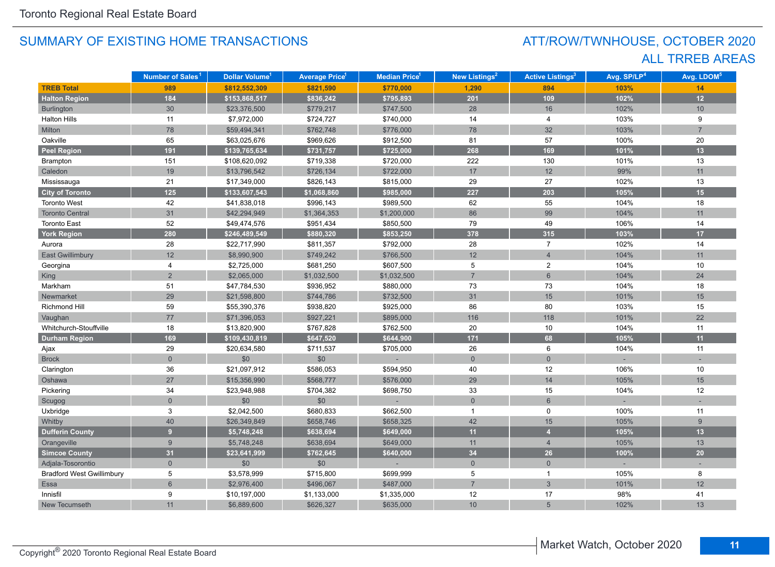## ATT/ROW/TWNHOUSE, OCTOBER 2020 ALL TRREB AREAS

|                                  | Number of Sales <sup>1</sup> | Dollar Volume <sup>1</sup> | <b>Average Price</b> <sup>1</sup> | <b>Median Price</b> <sup>1</sup> | New Listings <sup>2</sup> | <b>Active Listings<sup>3</sup></b> | Avg. SP/LP <sup>4</sup> | Avg. LDOM <sup>5</sup> |
|----------------------------------|------------------------------|----------------------------|-----------------------------------|----------------------------------|---------------------------|------------------------------------|-------------------------|------------------------|
| <b>TREB Total</b>                | 989                          | \$812,552,309              | \$821,590                         | \$770,000                        | 1,290                     | 894                                | 103%                    | 14                     |
| <b>Halton Region</b>             | 184                          | \$153,868,517              | \$836,242                         | \$795,893                        | 201                       | 109                                | 102%                    | 12                     |
| Burlington                       | 30                           | \$23,376,500               | \$779,217                         | \$747,500                        | 28                        | 16                                 | 102%                    | 10                     |
| <b>Halton Hills</b>              | 11                           | \$7,972,000                | \$724,727                         | \$740,000                        | 14                        | 4                                  | 103%                    | 9                      |
| Milton                           | 78                           | \$59,494,341               | \$762,748                         | \$776,000                        | 78                        | 32                                 | 103%                    | $\overline{7}$         |
| Oakville                         | 65                           | \$63,025,676               | \$969,626                         | \$912,500                        | 81                        | 57                                 | 100%                    | 20                     |
| <b>Peel Region</b>               | 191                          | \$139,765,634              | \$731,757                         | \$725,000                        | 268                       | 169                                | 101%                    | 13                     |
| Brampton                         | 151                          | \$108,620,092              | \$719,338                         | \$720,000                        | 222                       | 130                                | 101%                    | 13                     |
| Caledon                          | 19                           | \$13,796,542               | \$726,134                         | \$722,000                        | 17                        | 12                                 | 99%                     | 11                     |
| Mississauga                      | 21                           | \$17,349,000               | \$826,143                         | \$815,000                        | 29                        | 27                                 | 102%                    | 13                     |
| <b>City of Toronto</b>           | 125                          | \$133,607,543              | \$1,068,860                       | \$985,000                        | 227                       | 203                                | 105%                    | 15                     |
| <b>Toronto West</b>              | 42                           | \$41,838,018               | \$996,143                         | \$989,500                        | 62                        | 55                                 | 104%                    | 18                     |
| <b>Toronto Central</b>           | 31                           | \$42,294,949               | \$1,364,353                       | \$1,200,000                      | 86                        | 99                                 | 104%                    | 11                     |
| <b>Toronto East</b>              | 52                           | \$49,474,576               | \$951,434                         | \$850,500                        | 79                        | 49                                 | 106%                    | 14                     |
| <b>York Region</b>               | 280                          | \$246,489,549              | \$880,320                         | \$853,250                        | 378                       | 315                                | 103%                    | 17                     |
| Aurora                           | 28                           | \$22,717,990               | \$811,357                         | \$792,000                        | 28                        | $\overline{7}$                     | 102%                    | 14                     |
| <b>East Gwillimbury</b>          | 12                           | \$8,990,900                | \$749,242                         | \$766,500                        | 12                        | $\overline{4}$                     | 104%                    | 11                     |
| Georgina                         | 4                            | \$2,725,000                | \$681,250                         | \$607,500                        | 5                         | $\overline{2}$                     | 104%                    | 10                     |
| King                             | $\overline{2}$               | \$2,065,000                | \$1,032,500                       | \$1,032,500                      | $\overline{7}$            | $6\overline{6}$                    | 104%                    | 24                     |
| Markham                          | 51                           | \$47,784,530               | \$936,952                         | \$880,000                        | 73                        | 73                                 | 104%                    | 18                     |
| Newmarket                        | 29                           | \$21,598,800               | \$744,786                         | \$732,500                        | 31                        | 15                                 | 101%                    | 15                     |
| Richmond Hill                    | 59                           | \$55,390,376               | \$938,820                         | \$925,000                        | 86                        | 80                                 | 103%                    | 15                     |
| Vaughan                          | 77                           | \$71,396,053               | \$927,221                         | \$895,000                        | 116                       | 118                                | 101%                    | 22                     |
| Whitchurch-Stouffville           | 18                           | \$13,820,900               | \$767,828                         | \$762,500                        | 20                        | 10                                 | 104%                    | 11                     |
| <b>Durham Region</b>             | 169                          | \$109,430,819              | \$647,520                         | \$644,900                        | $171$                     | 68                                 | 105%                    | 11                     |
| Ajax                             | 29                           | \$20,634,580               | \$711,537                         | \$705,000                        | 26                        | 6                                  | 104%                    | 11                     |
| <b>Brock</b>                     | $\overline{0}$               | \$0                        | $$0$$                             |                                  | $\mathbf 0$               | $\overline{0}$                     |                         |                        |
| Clarington                       | 36                           | \$21,097,912               | \$586,053                         | \$594,950                        | 40                        | 12                                 | 106%                    | 10                     |
| Oshawa                           | 27                           | \$15,356,990               | \$568,777                         | \$576,000                        | 29                        | 14                                 | 105%                    | 15                     |
| Pickering                        | 34                           | \$23,948,988               | \$704,382                         | \$698,750                        | 33                        | 15                                 | 104%                    | 12                     |
| Scugog                           | $\overline{0}$               | \$0                        | \$0                               |                                  | $\overline{0}$            | $6\phantom{1}$                     |                         |                        |
| Uxbridge                         | 3                            | \$2,042,500                | \$680,833                         | \$662,500                        | $\mathbf{1}$              | $\mathbf 0$                        | 100%                    | 11                     |
| Whitby                           | 40                           | \$26,349,849               | \$658,746                         | \$658,325                        | 42                        | 15                                 | 105%                    | 9                      |
| <b>Dufferin County</b>           | 9                            | \$5,748,248                | \$638,694                         | \$649,000                        | 11                        | $\overline{4}$                     | 105%                    | 13                     |
| Orangeville                      | 9                            | \$5,748,248                | \$638,694                         | \$649,000                        | 11                        | $\overline{4}$                     | 105%                    | 13                     |
| <b>Simcoe County</b>             | 31                           | \$23,641,999               | \$762,645                         | \$640,000                        | 34                        | 26                                 | 100%                    | 20                     |
| Adjala-Tosorontio                | $\overline{0}$               | \$0                        | \$0                               |                                  | $\overline{0}$            | $\overline{0}$                     |                         |                        |
| <b>Bradford West Gwillimbury</b> | 5                            | \$3,578,999                | \$715,800                         | \$699,999                        | 5                         | $\mathbf{1}$                       | 105%                    | 8                      |
| Essa                             | $6\overline{6}$              | \$2,976,400                | \$496,067                         | \$487,000                        | $\overline{7}$            | $\mathbf{3}$                       | 101%                    | 12                     |
| Innisfil                         | 9                            | \$10,197,000               | \$1,133,000                       | \$1,335,000                      | 12                        | 17                                 | 98%                     | 41                     |
| New Tecumseth                    | 11                           | \$6,889,600                | \$626,327                         | \$635,000                        | 10                        | 5                                  | 102%                    | 13                     |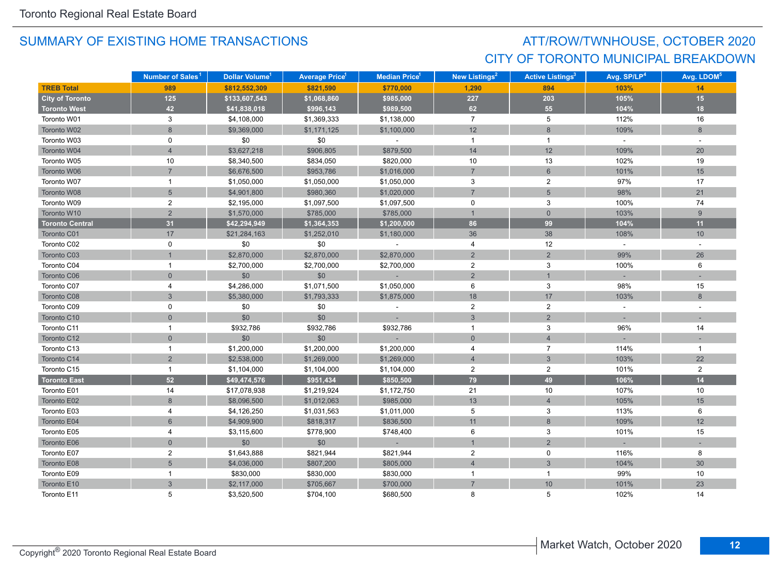## ATT/ROW/TWNHOUSE, OCTOBER 2020 CITY OF TORONTO MUNICIPAL BREAKDOWN

|                        | Number of Sales <sup>1</sup> | Dollar Volume <sup>1</sup> | <b>Average Price</b> 1 | Median Price <sup>1</sup> | New Listings <sup>2</sup> | <b>Active Listings<sup>3</sup></b> | Avg. SP/LP <sup>4</sup> | Avg. LDOM <sup>5</sup> |
|------------------------|------------------------------|----------------------------|------------------------|---------------------------|---------------------------|------------------------------------|-------------------------|------------------------|
| <b>TREB Total</b>      | 989                          | \$812,552,309              | \$821,590              | \$770,000                 | 1,290                     | 894                                | 103%                    | 14                     |
| <b>City of Toronto</b> | 125                          | \$133,607,543              | \$1,068,860            | \$985,000                 | 227                       | 203                                | 105%                    | 15                     |
| <b>Toronto West</b>    | 42                           | \$41,838,018               | \$996,143              | \$989,500                 | 62                        | 55                                 | 104%                    | 18                     |
| Toronto W01            | 3                            | \$4,108,000                | \$1,369,333            | \$1,138,000               | $\overline{7}$            | 5                                  | 112%                    | 16                     |
| Toronto W02            | 8                            | \$9,369,000                | \$1,171,125            | \$1,100,000               | 12                        | $8\,$                              | 109%                    | 8                      |
| Toronto W03            | 0                            | \$0                        | \$0                    | $\sim$                    | $\overline{1}$            | $\mathbf{1}$                       | $\sim$                  | $\sim$                 |
| Toronto W04            | $\overline{4}$               | \$3,627,218                | \$906,805              | \$879,500                 | 14                        | 12                                 | 109%                    | 20                     |
| Toronto W05            | 10                           | \$8,340,500                | \$834,050              | \$820,000                 | 10                        | 13                                 | 102%                    | 19                     |
| Toronto W06            | $\overline{7}$               | \$6,676,500                | \$953,786              | \$1,016,000               | $\overline{7}$            | $6\phantom{1}$                     | 101%                    | 15                     |
| Toronto W07            | $\mathbf{1}$                 | \$1,050,000                | \$1,050,000            | \$1,050,000               | 3                         | $\overline{2}$                     | 97%                     | 17                     |
| Toronto W08            | $5\overline{)}$              | \$4,901,800                | \$980,360              | \$1,020,000               | $\overline{7}$            | 5                                  | 98%                     | 21                     |
| Toronto W09            | $\overline{2}$               | \$2,195,000                | \$1,097,500            | \$1,097,500               | 0                         | 3                                  | 100%                    | 74                     |
| Toronto W10            | $\overline{2}$               | \$1,570,000                | \$785,000              | \$785,000                 | $\overline{1}$            | $\mathbf{0}$                       | 103%                    | 9                      |
| <b>Toronto Central</b> | 31                           | \$42,294,949               | \$1,364,353            | \$1,200,000               | 86                        | 99                                 | 104%                    | 11                     |
| Toronto C01            | 17                           | \$21,284,163               | \$1,252,010            | \$1,180,000               | 36                        | 38                                 | 108%                    | 10                     |
| Toronto C02            | 0                            | \$0                        | \$0                    |                           | 4                         | 12                                 | $\omega$                | $\sim$                 |
| Toronto C03            |                              | \$2,870,000                | \$2,870,000            | \$2,870,000               | $\overline{2}$            | $\overline{2}$                     | 99%                     | 26                     |
| Toronto C04            | 1                            | \$2,700,000                | \$2,700,000            | \$2,700,000               | $\overline{2}$            | 3                                  | 100%                    | 6                      |
| Toronto C06            | $\overline{0}$               | \$0                        | \$0                    |                           | 2                         |                                    |                         |                        |
| Toronto C07            | 4                            | \$4,286,000                | \$1,071,500            | \$1,050,000               | 6                         | 3                                  | 98%                     | 15                     |
| Toronto C08            | 3                            | \$5,380,000                | \$1,793,333            | \$1,875,000               | 18                        | 17                                 | 103%                    | 8                      |
| Toronto C09            | 0                            | \$0                        | \$0                    |                           | $\overline{2}$            | $\overline{c}$                     | $\sim$                  |                        |
| Toronto C10            | $\overline{0}$               | \$0                        | \$0                    |                           | 3                         | $\overline{2}$                     |                         |                        |
| Toronto C11            | 1                            | \$932,786                  | \$932,786              | \$932,786                 | $\overline{1}$            | 3                                  | 96%                     | 14                     |
| Toronto C12            | $\mathbf 0$                  | \$0                        | \$0                    |                           | $\mathbf 0$               | $\overline{4}$                     |                         |                        |
| Toronto C13            | $\mathbf{1}$                 | \$1,200,000                | \$1,200,000            | \$1,200,000               | $\overline{4}$            | $\overline{7}$                     | 114%                    | $\mathbf{1}$           |
| Toronto C14            | $\overline{2}$               | \$2,538,000                | \$1,269,000            | \$1,269,000               | $\overline{4}$            | $\mathbf{3}$                       | 103%                    | 22                     |
| Toronto C15            | $\mathbf{1}$                 | \$1,104,000                | \$1,104,000            | \$1,104,000               | $\overline{a}$            | $\overline{\mathbf{c}}$            | 101%                    | $\overline{2}$         |
| <b>Toronto East</b>    | 52                           | \$49,474,576               | \$951,434              | \$850,500                 | 79                        | 49                                 | 106%                    | 14                     |
| Toronto E01            | 14                           | \$17,078,938               | \$1,219,924            | \$1,172,750               | 21                        | 10                                 | 107%                    | 10                     |
| Toronto E02            | $\boldsymbol{8}$             | \$8,096,500                | \$1,012,063            | \$985,000                 | 13                        | $\overline{4}$                     | 105%                    | 15                     |
| Toronto E03            | $\overline{4}$               | \$4,126,250                | \$1,031,563            | \$1,011,000               | 5                         | 3                                  | 113%                    | 6                      |
| Toronto E04            | 6                            | \$4,909,900                | \$818,317              | \$836,500                 | 11                        | 8                                  | 109%                    | 12                     |
| Toronto E05            | 4                            | \$3,115,600                | \$778,900              | \$748,400                 | 6                         | 3                                  | 101%                    | 15                     |
| Toronto E06            | $\overline{0}$               | \$0                        | \$0                    | $\sim$                    | $\overline{1}$            | $\overline{2}$                     |                         |                        |
| Toronto E07            | 2                            | \$1,643,888                | \$821,944              | \$821,944                 | $\overline{2}$            | 0                                  | 116%                    | 8                      |
| Toronto E08            | $\overline{5}$               | \$4,036,000                | \$807,200              | \$805,000                 | $\overline{4}$            | $\mathbf{3}$                       | 104%                    | 30                     |
| Toronto E09            | $\mathbf{1}$                 | \$830,000                  | \$830,000              | \$830,000                 | $\overline{1}$            | $\mathbf{1}$                       | 99%                     | 10                     |
| Toronto E10            | $\mathfrak{S}$               | \$2,117,000                | \$705,667              | \$700,000                 | $\overline{7}$            | 10                                 | 101%                    | 23                     |
| Toronto E11            | 5                            | \$3,520,500                | \$704,100              | \$680,500                 | 8                         | 5                                  | 102%                    | 14                     |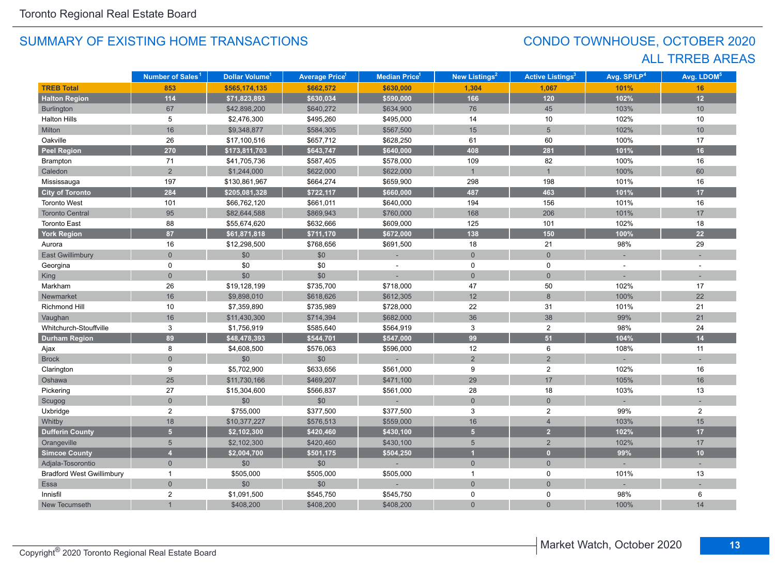## CONDO TOWNHOUSE, OCTOBER 2020 ALL TRREB AREAS

|                                  | Number of Sales <sup>1</sup> | Dollar Volume <sup>1</sup> | <b>Average Price<sup>1</sup></b> | <b>Median Price<sup>1</sup></b> | New Listings <sup>2</sup> | <b>Active Listings<sup>3</sup></b> | Avg. SP/LP <sup>4</sup> | Avg. LDOM <sup>5</sup> |
|----------------------------------|------------------------------|----------------------------|----------------------------------|---------------------------------|---------------------------|------------------------------------|-------------------------|------------------------|
| <b>TREB Total</b>                | 853                          | \$565,174,135              | \$662,572                        | \$630,000                       | 1,304                     | 1,067                              | 101%                    | 16                     |
| <b>Halton Region</b>             | $114$                        | \$71,823,893               | \$630,034                        | \$590,000                       | 166                       | $120$                              | 102%                    | 12                     |
| Burlington                       | 67                           | \$42,898,200               | \$640,272                        | \$634,900                       | 76                        | 45                                 | 103%                    | 10                     |
| <b>Halton Hills</b>              | 5                            | \$2,476,300                | \$495,260                        | \$495,000                       | 14                        | 10                                 | 102%                    | 10                     |
| Milton                           | 16                           | \$9,348,877                | \$584,305                        | \$567,500                       | 15                        | $\overline{5}$                     | 102%                    | 10                     |
| Oakville                         | 26                           | \$17,100,516               | \$657,712                        | \$628,250                       | 61                        | 60                                 | 100%                    | 17                     |
| <b>Peel Region</b>               | 270                          | \$173,811,703              | \$643,747                        | \$640,000                       | 408                       | 281                                | 101%                    | 16                     |
| Brampton                         | 71                           | \$41,705,736               | \$587,405                        | \$578,000                       | 109                       | 82                                 | 100%                    | 16                     |
| Caledon                          | $\overline{2}$               | \$1,244,000                | \$622,000                        | \$622,000                       | $\mathbf{1}$              | $\mathbf{1}$                       | 100%                    | 60                     |
| Mississauga                      | 197                          | \$130,861,967              | \$664,274                        | \$659,900                       | 298                       | 198                                | 101%                    | 16                     |
| <b>City of Toronto</b>           | 284                          | \$205,081,328              | \$722,117                        | \$660,000                       | 487                       | 463                                | 101%                    | 17                     |
| Toronto West                     | 101                          | \$66,762,120               | \$661,011                        | \$640,000                       | 194                       | 156                                | 101%                    | 16                     |
| <b>Toronto Central</b>           | 95                           | \$82,644,588               | \$869,943                        | \$760,000                       | 168                       | 206                                | 101%                    | 17                     |
| <b>Toronto East</b>              | 88                           | \$55,674,620               | \$632,666                        | \$609,000                       | 125                       | 101                                | 102%                    | 18                     |
| <b>York Region</b>               | 87                           | \$61,871,818               | \$711,170                        | \$672,000                       | 138                       | 150                                | 100%                    | 22                     |
| Aurora                           | 16                           | \$12,298,500               | \$768,656                        | \$691,500                       | 18                        | 21                                 | 98%                     | 29                     |
| East Gwillimbury                 | $\overline{0}$               | \$0                        | $$0$$                            |                                 | $\overline{0}$            | $\overline{0}$                     |                         |                        |
| Georgina                         | 0                            | \$0                        | \$0                              |                                 | $\mathbf 0$               | $\mathbf 0$                        | $\overline{a}$          |                        |
| King                             | $\overline{0}$               | \$0                        | \$0                              |                                 | $\overline{0}$            | $\overline{0}$                     |                         |                        |
| Markham                          | 26                           | \$19,128,199               | \$735,700                        | \$718,000                       | 47                        | 50                                 | 102%                    | 17                     |
| Newmarket                        | 16                           | \$9,898,010                | \$618,626                        | \$612,305                       | 12                        | 8                                  | 100%                    | 22                     |
| Richmond Hill                    | 10                           | \$7,359,890                | \$735,989                        | \$728,000                       | 22                        | 31                                 | 101%                    | 21                     |
| Vaughan                          | 16                           | \$11,430,300               | \$714,394                        | \$682,000                       | 36                        | 38                                 | 99%                     | 21                     |
| Whitchurch-Stouffville           | 3                            | \$1,756,919                | \$585,640                        | \$564,919                       | $\mathbf{3}$              | $\overline{c}$                     | 98%                     | 24                     |
| <b>Durham Region</b>             | 89                           | \$48,478,393               | \$544,701                        | \$547,000                       | 99                        | 51                                 | 104%                    | 14                     |
| Ajax                             | 8                            | \$4,608,500                | \$576,063                        | \$596,000                       | 12                        | 6                                  | 108%                    | 11                     |
| <b>Brock</b>                     | $\overline{0}$               | \$0                        | $$0$$                            |                                 | $\overline{2}$            | $\overline{2}$                     |                         |                        |
| Clarington                       | 9                            | \$5,702,900                | \$633,656                        | \$561,000                       | $9\,$                     | $\overline{2}$                     | 102%                    | 16                     |
| Oshawa                           | 25                           | \$11,730,166               | \$469,207                        | \$471,100                       | 29                        | 17                                 | 105%                    | 16                     |
| Pickering                        | 27                           | \$15,304,600               | \$566,837                        | \$561,000                       | 28                        | 18                                 | 103%                    | 13                     |
| Scugog                           | $\overline{0}$               | \$0                        | \$0                              |                                 | $\mathbf 0$               | $\overline{0}$                     |                         |                        |
| Uxbridge                         | $\overline{c}$               | \$755,000                  | \$377,500                        | \$377,500                       | 3                         | $\overline{2}$                     | 99%                     | $\overline{2}$         |
| Whitby                           | 18                           | \$10,377,227               | \$576,513                        | \$559,000                       | 16                        | $\overline{4}$                     | 103%                    | 15                     |
| <b>Dufferin County</b>           | 5 <sup>1</sup>               | \$2,102,300                | \$420,460                        | \$430,100                       | 5 <sup>1</sup>            | $\overline{2}$                     | 102%                    | 17                     |
| Orangeville                      | 5                            | \$2,102,300                | \$420,460                        | \$430,100                       | $5\overline{)}$           | $\overline{2}$                     | 102%                    | 17                     |
| <b>Simcoe County</b>             | $\overline{4}$               | \$2,004,700                | \$501,175                        | \$504,250                       | $\overline{1}$            | $\mathbf{0}$                       | 99%                     | 10                     |
| Adjala-Tosorontio                | $\overline{0}$               | \$0                        | \$0                              |                                 | $\overline{0}$            | $\overline{0}$                     |                         |                        |
| <b>Bradford West Gwillimbury</b> | $\mathbf{1}$                 | \$505,000                  | \$505,000                        | \$505,000                       | $\mathbf{1}$              | 0                                  | 101%                    | 13                     |
| Essa                             | $\overline{0}$               | \$0                        | \$0                              |                                 | $\overline{0}$            | $\overline{0}$                     |                         |                        |
| Innisfil                         | $\overline{2}$               | \$1,091,500                | \$545,750                        | \$545,750                       | 0                         | 0                                  | 98%                     | 6                      |
| New Tecumseth                    |                              | \$408,200                  | \$408,200                        | \$408,200                       | $\overline{0}$            | $\overline{0}$                     | 100%                    | 14                     |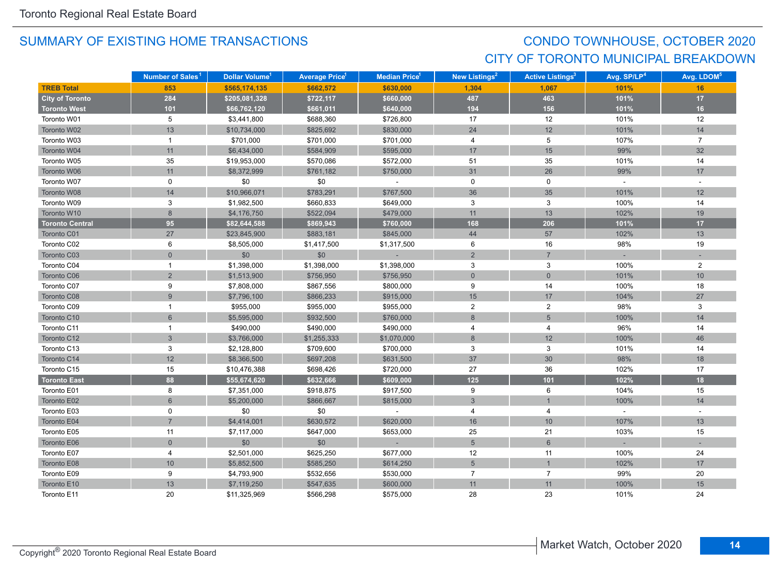## CONDO TOWNHOUSE, OCTOBER 2020 CITY OF TORONTO MUNICIPAL BREAKDOWN

|                        | Number of Sales <sup>1</sup> | Dollar Volume <sup>1</sup> | <b>Average Price</b> <sup>1</sup> | Median Price <sup>1</sup> | New Listings <sup>2</sup> | <b>Active Listings<sup>3</sup></b> | Avg. SP/LP <sup>4</sup> | Avg. LDOM <sup>5</sup> |
|------------------------|------------------------------|----------------------------|-----------------------------------|---------------------------|---------------------------|------------------------------------|-------------------------|------------------------|
| <b>TREB Total</b>      | 853                          | \$565,174,135              | \$662,572                         | \$630,000                 | 1,304                     | 1,067                              | 101%                    | 16                     |
| <b>City of Toronto</b> | 284                          | \$205,081,328              | \$722,117                         | \$660,000                 | 487                       | 463                                | 101%                    | 17                     |
| <b>Toronto West</b>    | 101                          | \$66,762,120               | \$661,011                         | \$640,000                 | 194                       | 156                                | 101%                    | 16                     |
| Toronto W01            | 5                            | \$3,441,800                | \$688,360                         | \$726,800                 | 17                        | 12                                 | 101%                    | 12                     |
| Toronto W02            | 13                           | \$10,734,000               | \$825,692                         | \$830,000                 | 24                        | 12                                 | 101%                    | 14                     |
| Toronto W03            | 1                            | \$701,000                  | \$701,000                         | \$701,000                 | 4                         | 5                                  | 107%                    | $\overline{7}$         |
| Toronto W04            | 11                           | \$6,434,000                | \$584,909                         | \$595,000                 | 17                        | 15                                 | 99%                     | 32                     |
| Toronto W05            | 35                           | \$19,953,000               | \$570,086                         | \$572,000                 | 51                        | 35                                 | 101%                    | 14                     |
| Toronto W06            | 11                           | \$8,372,999                | \$761,182                         | \$750,000                 | 31                        | 26                                 | 99%                     | 17                     |
| Toronto W07            | $\mathbf 0$                  | \$0                        | \$0                               | $\sim$                    | 0                         | $\mathbf 0$                        | $\sim$                  | $\sim$                 |
| Toronto W08            | 14                           | \$10,966,071               | \$783,291                         | \$767,500                 | 36                        | 35                                 | 101%                    | 12                     |
| Toronto W09            | 3                            | \$1,982,500                | \$660,833                         | \$649,000                 | 3                         | 3                                  | 100%                    | 14                     |
| Toronto W10            | 8                            | \$4,176,750                | \$522,094                         | \$479,000                 | 11                        | 13                                 | 102%                    | 19                     |
| <b>Toronto Central</b> | 95                           | \$82,644,588               | \$869,943                         | \$760,000                 | 168                       | 206                                | 101%                    | 17                     |
| Toronto C01            | 27                           | \$23,845,900               | \$883,181                         | \$845,000                 | 44                        | 57                                 | 102%                    | 13                     |
| Toronto C02            | 6                            | \$8,505,000                | \$1,417,500                       | \$1,317,500               | 6                         | 16                                 | 98%                     | 19                     |
| Toronto C03            | $\overline{0}$               | \$0                        | \$0                               |                           | $\overline{2}$            | $\overline{7}$                     |                         |                        |
| Toronto C04            | $\mathbf{1}$                 | \$1,398,000                | \$1,398,000                       | \$1,398,000               | $\mathbf{3}$              | $\mathsf 3$                        | 100%                    | $\overline{2}$         |
| Toronto C06            | $\overline{2}$               | \$1,513,900                | \$756,950                         | \$756,950                 | $\mathbf 0$               | $\mathbf{0}$                       | 101%                    | 10                     |
| Toronto C07            | 9                            | \$7,808,000                | \$867,556                         | \$800,000                 | 9                         | 14                                 | 100%                    | 18                     |
| Toronto C08            | 9 <sup>°</sup>               | \$7,796,100                | \$866,233                         | \$915,000                 | 15                        | 17                                 | 104%                    | 27                     |
| Toronto C09            | $\mathbf{1}$                 | \$955,000                  | \$955,000                         | \$955,000                 | $\overline{c}$            | $\overline{c}$                     | 98%                     | 3                      |
| Toronto C10            | 6                            | \$5,595,000                | \$932,500                         | \$760,000                 | $\,8\,$                   | $5\phantom{.}$                     | 100%                    | 14                     |
| Toronto C11            | $\mathbf{1}$                 | \$490,000                  | \$490,000                         | \$490,000                 | 4                         | $\overline{4}$                     | 96%                     | 14                     |
| Toronto C12            | 3                            | \$3,766,000                | \$1,255,333                       | \$1,070,000               | 8                         | 12                                 | 100%                    | 46                     |
| Toronto C13            | 3                            | \$2,128,800                | \$709,600                         | \$700,000                 | 3                         | 3                                  | 101%                    | 14                     |
| Toronto C14            | 12                           | \$8,366,500                | \$697,208                         | \$631,500                 | 37                        | 30                                 | 98%                     | 18                     |
| Toronto C15            | 15                           | \$10,476,388               | \$698,426                         | \$720,000                 | 27                        | 36                                 | 102%                    | 17                     |
| <b>Toronto East</b>    | 88                           | \$55,674,620               | \$632,666                         | \$609,000                 | $125$                     | 101                                | 102%                    | 18                     |
| Toronto E01            | 8                            | \$7,351,000                | \$918,875                         | \$917,500                 | 9                         | 6                                  | 104%                    | 15                     |
| Toronto E02            | 6                            | \$5,200,000                | \$866,667                         | \$815,000                 | 3                         | $\mathbf{1}$                       | 100%                    | 14                     |
| Toronto E03            | $\mathbf 0$                  | \$0                        | \$0                               |                           | 4                         | 4                                  | $\mathbf{r}$            |                        |
| Toronto E04            | $\overline{7}$               | \$4,414,001                | \$630,572                         | \$620,000                 | 16                        | 10                                 | 107%                    | 13                     |
| Toronto E05            | 11                           | \$7,117,000                | \$647,000                         | \$653,000                 | 25                        | 21                                 | 103%                    | 15                     |
| Toronto E06            | $\overline{0}$               | \$0                        | \$0                               | $\sim$                    | $5\overline{5}$           | $6\overline{6}$                    |                         |                        |
| Toronto E07            | 4                            | \$2,501,000                | \$625,250                         | \$677,000                 | 12                        | 11                                 | 100%                    | 24                     |
| Toronto E08            | $10$                         | \$5,852,500                | \$585,250                         | \$614,250                 | 5                         | $\mathbf{1}$                       | 102%                    | 17                     |
| Toronto E09            | 9                            | \$4,793,900                | \$532,656                         | \$530,000                 | $\overline{7}$            | $\overline{7}$                     | 99%                     | 20                     |
| Toronto E10            | 13                           | \$7,119,250                | \$547,635                         | \$600,000                 | 11                        | 11                                 | 100%                    | 15                     |
| Toronto E11            | 20                           | \$11,325,969               | \$566,298                         | \$575,000                 | 28                        | 23                                 | 101%                    | 24                     |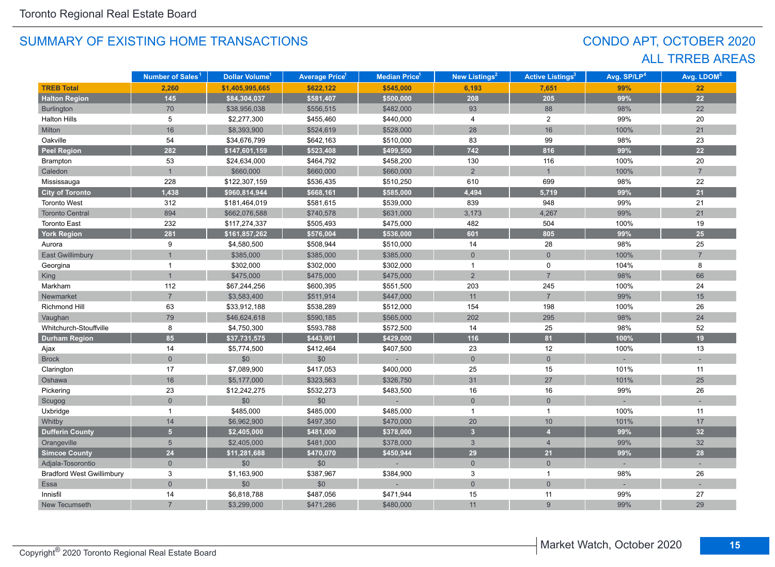## CONDO APT, OCTOBER 2020 ALL TRREB AREAS

|                                  | Number of Sales <sup>1</sup> | Dollar Volume <sup>1</sup> | <b>Average Price<sup>1</sup></b> | Median Price <sup>1</sup> | New Listings <sup>2</sup> | <b>Active Listings<sup>3</sup></b> | Avg. SP/LP <sup>4</sup> | Avg. LDOM <sup>5</sup> |
|----------------------------------|------------------------------|----------------------------|----------------------------------|---------------------------|---------------------------|------------------------------------|-------------------------|------------------------|
| <b>TREB Total</b>                | 2,260                        | \$1,405,995,665            | \$622,122                        | \$545,000                 | 6,193                     | 7,651                              | 99%                     | 22                     |
| <b>Halton Region</b>             | $145$                        | \$84,304,037               | \$581,407                        | \$500,000                 | 208                       | 205                                | 99%                     | 22                     |
| Burlington                       | 70                           | \$38,956,038               | \$556,515                        | \$482,000                 | 93                        | 88                                 | 98%                     | 22                     |
| <b>Halton Hills</b>              | 5                            | \$2,277,300                | \$455,460                        | \$440,000                 | 4                         | $\overline{2}$                     | 99%                     | 20                     |
| Milton                           | 16                           | \$8,393,900                | \$524,619                        | \$528,000                 | 28                        | 16                                 | 100%                    | 21                     |
| Oakville                         | 54                           | \$34,676,799               | \$642,163                        | \$510,000                 | 83                        | 99                                 | 98%                     | 23                     |
| <b>Peel Region</b>               | 282                          | \$147,601,159              | \$523,408                        | \$499,500                 | 742                       | 816                                | 99%                     | 22                     |
| Brampton                         | 53                           | \$24,634,000               | \$464,792                        | \$458,200                 | 130                       | 116                                | 100%                    | 20                     |
| Caledon                          | $\mathbf{1}$                 | \$660,000                  | \$660,000                        | \$660,000                 | $\overline{2}$            | $\mathbf{1}$                       | 100%                    | $\overline{7}$         |
| Mississauga                      | 228                          | \$122,307,159              | \$536,435                        | \$510,250                 | 610                       | 699                                | 98%                     | 22                     |
| <b>City of Toronto</b>           | 1,438                        | \$960,814,944              | \$668,161                        | \$585,000                 | 4,494                     | 5,719                              | 99%                     | 21                     |
| <b>Toronto West</b>              | 312                          | \$181,464,019              | \$581,615                        | \$539,000                 | 839                       | 948                                | 99%                     | 21                     |
| <b>Toronto Central</b>           | 894                          | \$662,076,588              | \$740,578                        | \$631,000                 | 3,173                     | 4,267                              | 99%                     | 21                     |
| <b>Toronto East</b>              | 232                          | \$117,274,337              | \$505,493                        | \$475,000                 | 482                       | 504                                | 100%                    | 19                     |
| <b>York Region</b>               | 281                          | \$161,857,262              | \$576,004                        | \$536,000                 | 601                       | 805                                | 99%                     | $25\overline{)}$       |
| Aurora                           | 9                            | \$4,580,500                | \$508,944                        | \$510,000                 | 14                        | 28                                 | 98%                     | 25                     |
| <b>East Gwillimbury</b>          |                              | \$385,000                  | \$385,000                        | \$385,000                 | $\mathbf{0}$              | $\overline{0}$                     | 100%                    | $\overline{7}$         |
| Georgina                         | 1                            | \$302,000                  | \$302,000                        | \$302,000                 | $\mathbf{1}$              | 0                                  | 104%                    | 8                      |
| King                             | $\overline{1}$               | \$475,000                  | \$475,000                        | \$475,000                 | $\overline{2}$            | $\overline{7}$                     | 98%                     | 66                     |
| Markham                          | 112                          | \$67,244,256               | \$600,395                        | \$551,500                 | 203                       | 245                                | 100%                    | 24                     |
| Newmarket                        | $\overline{7}$               | \$3,583,400                | \$511,914                        | \$447,000                 | 11                        | $\overline{7}$                     | 99%                     | 15                     |
| <b>Richmond Hill</b>             | 63                           | \$33,912,188               | \$538,289                        | \$512,000                 | 154                       | 198                                | 100%                    | 26                     |
| Vaughan                          | 79                           | \$46,624,618               | \$590,185                        | \$565,000                 | 202                       | 295                                | 98%                     | 24                     |
| Whitchurch-Stouffville           | 8                            | \$4,750,300                | \$593,788                        | \$572,500                 | 14                        | 25                                 | 98%                     | 52                     |
| <b>Durham Region</b>             | 85                           | \$37,731,575               | \$443.901                        | \$429,000                 | 116                       | 81                                 | 100%                    | 19                     |
| Ajax                             | 14                           | \$5,774,500                | \$412,464                        | \$407,500                 | 23                        | 12                                 | 100%                    | 13                     |
| <b>Brock</b>                     | $\mathbf 0$                  | \$0                        | \$0                              |                           | $\mathbf 0$               | $\mathbf 0$                        |                         |                        |
| Clarington                       | 17                           | \$7,089,900                | \$417,053                        | \$400,000                 | 25                        | 15                                 | 101%                    | 11                     |
| Oshawa                           | 16                           | \$5,177,000                | \$323,563                        | \$326,750                 | 31                        | $27\,$                             | 101%                    | 25                     |
| Pickering                        | 23                           | \$12,242,275               | \$532,273                        | \$483,500                 | 16                        | 16                                 | 99%                     | 26                     |
| Scugog                           | $\mathbf 0$                  | \$0                        | \$0                              |                           | $\mathsf{O}\xspace$       | $\mathbf 0$                        |                         |                        |
| Uxbridge                         | 1                            | \$485,000                  | \$485,000                        | \$485,000                 | $\overline{1}$            | $\mathbf{1}$                       | 100%                    | 11                     |
| Whitby                           | 14                           | \$6,962,900                | \$497,350                        | \$470,000                 | 20                        | 10                                 | 101%                    | 17                     |
| <b>Dufferin County</b>           | 5 <sup>1</sup>               | \$2,405,000                | \$481,000                        | \$378,000                 | $\overline{\mathbf{3}}$   | $\overline{4}$                     | 99%                     | 32                     |
| Orangeville                      | 5                            | \$2,405,000                | \$481,000                        | \$378,000                 | $\mathbf{3}$              | $\overline{4}$                     | 99%                     | 32                     |
| <b>Simcoe County</b>             | 24                           | \$11,281,688               | \$470,070                        | \$450,944                 | 29                        | 21                                 | 99%                     | 28                     |
| Adjala-Tosorontio                | $\overline{0}$               | \$0                        | \$0                              |                           | $\mathbf{0}$              | $\mathbf{0}$                       |                         |                        |
| <b>Bradford West Gwillimbury</b> | 3                            | \$1,163,900                | \$387,967                        | \$384,900                 | 3                         | $\mathbf{1}$                       | 98%                     | 26                     |
| Essa                             | $\Omega$                     | \$0                        | \$0                              |                           | $\mathbf 0$               | $\overline{0}$                     |                         |                        |
| Innisfil                         | 14                           | \$6,818,788                | \$487,056                        | \$471,944                 | 15                        | 11                                 | 99%                     | 27                     |
| New Tecumseth                    |                              | \$3,299,000                | \$471,286                        | \$480,000                 | 11                        | $\overline{9}$                     | 99%                     | 29                     |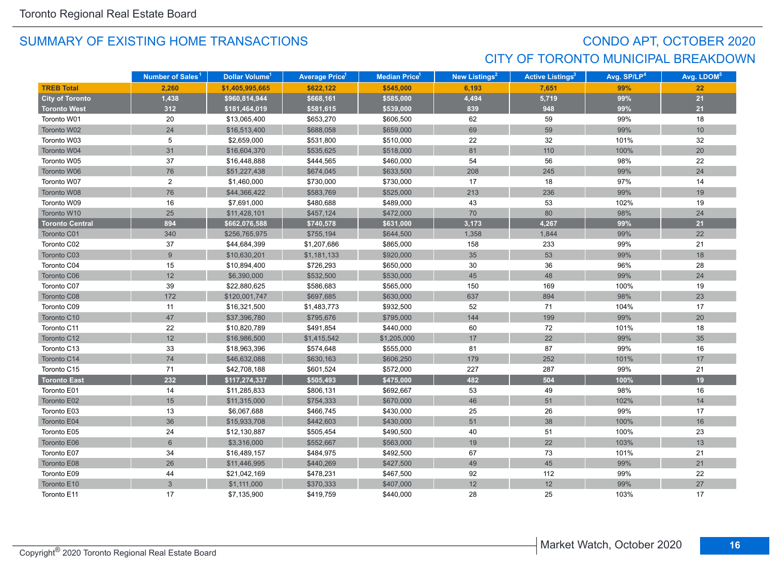## CONDO APT, OCTOBER 2020 CITY OF TORONTO MUNICIPAL BREAKDOWN

|                        | Number of Sales <sup>1</sup> | Dollar Volume <sup>1</sup> | <b>Average Price</b> <sup>1</sup> | <b>Median Price</b> <sup>1</sup> | New Listings <sup>2</sup> | <b>Active Listings<sup>3</sup></b> | Avg. SP/LP <sup>4</sup> | Avg. LDOM <sup>5</sup> |
|------------------------|------------------------------|----------------------------|-----------------------------------|----------------------------------|---------------------------|------------------------------------|-------------------------|------------------------|
| <b>TREB Total</b>      | 2.260                        | \$1,405,995,665            | \$622,122                         | \$545,000                        | 6.193                     | 7.651                              | 99%                     | 22                     |
| <b>City of Toronto</b> | 1,438                        | \$960,814,944              | \$668,161                         | \$585,000                        | 4,494                     | 5,719                              | 99%                     | 21                     |
| <b>Toronto West</b>    | 312                          | \$181,464,019              | \$581,615                         | \$539,000                        | 839                       | 948                                | 99%                     | 21                     |
| Toronto W01            | 20                           | \$13,065,400               | \$653,270                         | \$606,500                        | 62                        | 59                                 | 99%                     | 18                     |
| Toronto W02            | 24                           | \$16,513,400               | \$688,058                         | \$659,000                        | 69                        | 59                                 | 99%                     | 10                     |
| Toronto W03            | 5                            | \$2,659,000                | \$531,800                         | \$510,000                        | 22                        | 32                                 | 101%                    | 32                     |
| Toronto W04            | 31                           | \$16,604,370               | \$535,625                         | \$518,000                        | 81                        | 110                                | 100%                    | 20                     |
| Toronto W05            | 37                           | \$16,448,888               | \$444,565                         | \$460,000                        | 54                        | 56                                 | 98%                     | 22                     |
| Toronto W06            | 76                           | \$51,227,438               | \$674,045                         | \$633,500                        | 208                       | 245                                | 99%                     | 24                     |
| Toronto W07            | $\overline{c}$               | \$1,460,000                | \$730,000                         | \$730,000                        | 17                        | 18                                 | 97%                     | 14                     |
| Toronto W08            | 76                           | \$44,366,422               | \$583,769                         | \$525,000                        | 213                       | 236                                | 99%                     | 19                     |
| Toronto W09            | 16                           | \$7,691,000                | \$480,688                         | \$489,000                        | 43                        | 53                                 | 102%                    | 19                     |
| Toronto W10            | 25                           | \$11,428,101               | \$457,124                         | \$472,000                        | 70                        | 80                                 | 98%                     | 24                     |
| <b>Toronto Central</b> | 894                          | \$662,076,588              | \$740,578                         | \$631,000                        | 3,173                     | 4,267                              | 99%                     | 21                     |
| Toronto C01            | 340                          | \$256,765,975              | \$755,194                         | \$644,500                        | 1,358                     | 1,844                              | 99%                     | 22                     |
| Toronto C02            | 37                           | \$44,684,399               | \$1,207,686                       | \$865,000                        | 158                       | 233                                | 99%                     | 21                     |
| Toronto C03            | 9                            | \$10,630,201               | \$1,181,133                       | \$920,000                        | 35                        | 53                                 | 99%                     | 18                     |
| Toronto C04            | 15                           | \$10,894,400               | \$726,293                         | \$650,000                        | 30                        | 36                                 | 96%                     | 28                     |
| Toronto C06            | 12                           | \$6,390,000                | \$532,500                         | \$530,000                        | 45                        | 48                                 | 99%                     | 24                     |
| Toronto C07            | 39                           | \$22,880,625               | \$586,683                         | \$565,000                        | 150                       | 169                                | 100%                    | 19                     |
| Toronto C08            | 172                          | \$120,001,747              | \$697,685                         | \$630,000                        | 637                       | 894                                | 98%                     | 23                     |
| Toronto C09            | 11                           | \$16,321,500               | \$1,483,773                       | \$932,500                        | 52                        | 71                                 | 104%                    | 17                     |
| Toronto C10            | 47                           | \$37,396,780               | \$795,676                         | \$795,000                        | 144                       | 199                                | 99%                     | 20                     |
| Toronto C11            | 22                           | \$10,820,789               | \$491,854                         | \$440,000                        | 60                        | 72                                 | 101%                    | 18                     |
| Toronto C12            | 12                           | \$16,986,500               | \$1,415,542                       | \$1,205,000                      | 17                        | 22                                 | 99%                     | 35                     |
| Toronto C13            | 33                           | \$18,963,396               | \$574,648                         | \$555,000                        | 81                        | 87                                 | 99%                     | 16                     |
| Toronto C14            | 74                           | \$46,632,088               | \$630,163                         | \$606,250                        | 179                       | 252                                | 101%                    | 17                     |
| Toronto C15            | 71                           | \$42,708,188               | \$601,524                         | \$572,000                        | 227                       | 287                                | 99%                     | 21                     |
| <b>Toronto East</b>    | 232                          | \$117,274,337              | \$505,493                         | \$475,000                        | 482                       | 504                                | 100%                    | 19                     |
| Toronto E01            | 14                           | \$11,285,833               | \$806,131                         | \$692,667                        | 53                        | 49                                 | 98%                     | 16                     |
| Toronto E02            | 15                           | \$11,315,000               | \$754,333                         | \$670,000                        | 46                        | 51                                 | 102%                    | 14                     |
| Toronto E03            | 13                           | \$6,067,688                | \$466,745                         | \$430,000                        | 25                        | 26                                 | 99%                     | 17                     |
| Toronto E04            | 36                           | \$15,933,708               | \$442,603                         | \$430,000                        | 51                        | 38                                 | 100%                    | 16                     |
| Toronto E05            | 24                           | \$12,130,887               | \$505,454                         | \$490,500                        | 40                        | 51                                 | 100%                    | 23                     |
| Toronto E06            | 6                            | \$3,316,000                | \$552,667                         | \$563,000                        | 19                        | 22                                 | 103%                    | 13                     |
| Toronto E07            | 34                           | \$16,489,157               | \$484,975                         | \$492,500                        | 67                        | 73                                 | 101%                    | 21                     |
| Toronto E08            | 26                           | \$11,446,995               | \$440,269                         | \$427,500                        | 49                        | 45                                 | 99%                     | 21                     |
| Toronto E09            | 44                           | \$21,042,169               | \$478,231                         | \$467,500                        | 92                        | 112                                | 99%                     | 22                     |
| Toronto E10            | 3                            | \$1,111,000                | \$370,333                         | \$407,000                        | 12                        | 12                                 | 99%                     | $27\,$                 |
| Toronto E11            | 17                           | \$7,135,900                | \$419,759                         | \$440,000                        | 28                        | 25                                 | 103%                    | 17                     |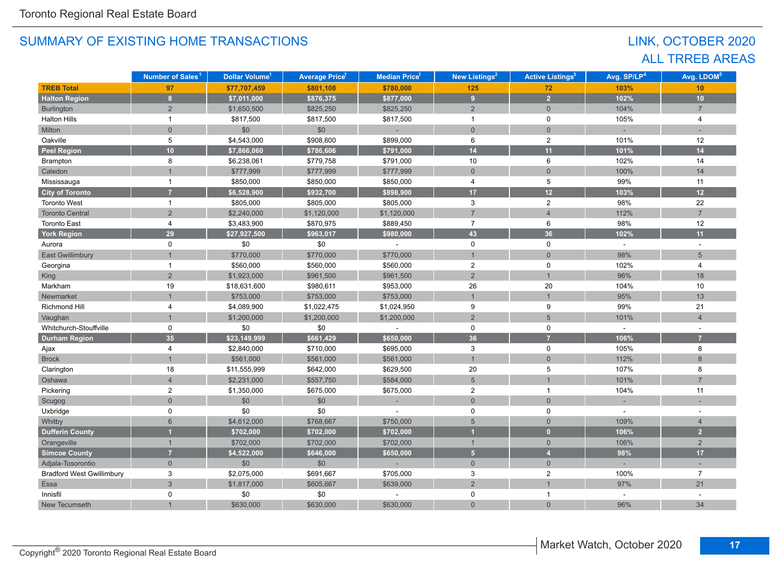## LINK, OCTOBER 2020 ALL TRREB AREAS

|                                  | Number of Sales <sup>1</sup> | Dollar Volume <sup>1</sup> | <b>Average Price</b> 1 | <b>Median Price<sup>1</sup></b> | New Listings <sup>2</sup> | <b>Active Listings<sup>3</sup></b> | Avg. SP/LP <sup>4</sup> | Avg. LDOM <sup>5</sup> |
|----------------------------------|------------------------------|----------------------------|------------------------|---------------------------------|---------------------------|------------------------------------|-------------------------|------------------------|
| <b>TREB Total</b>                | 97                           | \$77,707,459               | \$801,108              | \$780,000                       | 125                       | 72                                 | 103%                    | 10                     |
| <b>Halton Region</b>             | 8                            | \$7,011,000                | \$876,375              | \$877,000                       | 9                         | 2 <sup>1</sup>                     | 102%                    | 10                     |
| <b>Burlington</b>                | $\overline{2}$               | \$1,650,500                | \$825,250              | \$825,250                       | $\overline{2}$            | $\mathbf{0}$                       | 104%                    | $\overline{7}$         |
| <b>Halton Hills</b>              | $\mathbf{1}$                 | \$817,500                  | \$817,500              | \$817,500                       | $\overline{1}$            | $\mathsf 0$                        | 105%                    | $\overline{4}$         |
| Milton                           | $\overline{0}$               | \$0                        | \$0                    |                                 | $\mathbf{0}$              | $\mathbf{0}$                       |                         |                        |
| Oakville                         | 5                            | \$4,543,000                | \$908,600              | \$899,000                       | 6                         | $\overline{2}$                     | 101%                    | 12                     |
| <b>Peel Region</b>               | 10                           | \$7,866,060                | \$786,606              | \$791,000                       | 14                        | 11                                 | 101%                    | 14                     |
| Brampton                         | 8                            | \$6,238,061                | \$779,758              | \$791,000                       | 10                        | 6                                  | 102%                    | 14                     |
| Caledon                          |                              | \$777,999                  | \$777,999              | \$777,999                       | $\mathbf{0}$              | $\mathbf{0}$                       | 100%                    | 14                     |
| Mississauga                      | 1                            | \$850,000                  | \$850,000              | \$850,000                       | 4                         | 5                                  | 99%                     | 11                     |
| <b>City of Toronto</b>           | 7                            | \$6,528,900                | \$932,700              | \$898,900                       | 17                        | 12                                 | 103%                    | 12                     |
| <b>Toronto West</b>              | $\mathbf{1}$                 | \$805,000                  | \$805,000              | \$805,000                       | 3                         | $\boldsymbol{2}$                   | 98%                     | 22                     |
| <b>Toronto Central</b>           | $\overline{2}$               | \$2,240,000                | \$1,120,000            | \$1,120,000                     | $\overline{7}$            | $\overline{4}$                     | 112%                    | $\overline{7}$         |
| <b>Toronto East</b>              | 4                            | \$3,483,900                | \$870,975              | \$889,450                       | $\overline{7}$            | 6                                  | 98%                     | 12                     |
| <b>York Region</b>               | 29                           | \$27,927,500               | \$963,017              | \$980,000                       | 43                        | 36                                 | 102%                    | 11                     |
| Aurora                           | 0                            | \$0                        | \$0                    | $\sim$                          | $\mathbf 0$               | 0                                  | $\mathcal{L}$           | $\sim$                 |
| <b>East Gwillimbury</b>          |                              | \$770,000                  | \$770,000              | \$770,000                       | $\mathbf{1}$              | $\mathbf{0}$                       | 98%                     | $5\overline{)}$        |
| Georgina                         | 1                            | \$560,000                  | \$560,000              | \$560,000                       | $\overline{2}$            | 0                                  | 102%                    | 4                      |
| King                             | $\overline{2}$               | \$1,923,000                | \$961,500              | \$961,500                       | $\overline{c}$            | $\mathbf{1}$                       | 96%                     | 18                     |
| Markham                          | 19                           | \$18,631,600               | \$980,611              | \$953,000                       | 26                        | 20                                 | 104%                    | 10                     |
| Newmarket                        |                              | \$753,000                  | \$753,000              | \$753,000                       | $\overline{1}$            | $\overline{1}$                     | 95%                     | 13                     |
| Richmond Hill                    | 4                            | \$4,089,900                | \$1,022,475            | \$1,024,950                     | 9                         | 9                                  | 99%                     | 21                     |
| Vaughan                          |                              | \$1,200,000                | \$1,200,000            | \$1,200,000                     | $\overline{2}$            | 5                                  | 101%                    | $\overline{4}$         |
| Whitchurch-Stouffville           | 0                            | \$0                        | \$0                    |                                 | $\mathbf 0$               | $\mathbf 0$                        |                         |                        |
| <b>Durham Region</b>             | 35                           | \$23,149,999               | \$661,429              | \$650,000                       | 36                        | $\overline{7}$                     | 106%                    | $\overline{7}$         |
| Ajax                             | 4                            | \$2,840,000                | \$710,000              | \$695,000                       | 3                         | 0                                  | 105%                    | 8                      |
| <b>Brock</b>                     |                              | \$561,000                  | \$561,000              | \$561,000                       | $\overline{1}$            | $\Omega$                           | 112%                    | 8                      |
| Clarington                       | 18                           | \$11,555,999               | \$642,000              | \$629,500                       | 20                        | 5                                  | 107%                    | 8                      |
| Oshawa                           | $\overline{4}$               | \$2,231,000                | \$557,750              | \$584,000                       | $5\phantom{.}$            | $\overline{1}$                     | 101%                    | $\overline{7}$         |
| Pickering                        | $\overline{c}$               | \$1,350,000                | \$675,000              | \$675,000                       | $\overline{2}$            | $\mathbf{1}$                       | 104%                    | 11                     |
| Scugog                           | $\overline{0}$               | \$0                        | \$0                    |                                 | $\overline{0}$            | $\overline{0}$                     |                         |                        |
| Uxbridge                         | $\Omega$                     | \$0                        | \$0                    |                                 | 0                         | $\mathbf 0$                        |                         |                        |
| Whitby                           | 6                            | \$4,612,000                | \$768,667              | \$750,000                       | $5\overline{)}$           | $\mathbf{0}$                       | 109%                    | $\overline{4}$         |
| <b>Dufferin County</b>           |                              | \$702,000                  | \$702,000              | \$702,000                       | 1                         | $\mathbf{0}$                       | 106%                    | 2 <sup>2</sup>         |
| Orangeville                      |                              | \$702,000                  | \$702,000              | \$702,000                       | $\mathbf{1}$              | $\mathbf{0}$                       | 106%                    | $\overline{2}$         |
| <b>Simcoe County</b>             | 7                            | \$4,522,000                | \$646,000              | \$650,000                       | $\overline{5}$            | $\overline{4}$                     | 98%                     | 17                     |
| Adjala-Tosorontio                | $\mathbf 0$                  | \$0                        | \$0                    |                                 | $\mathbf 0$               | $\mathbf{0}$                       |                         |                        |
| <b>Bradford West Gwillimbury</b> | 3                            | \$2,075,000                | \$691,667              | \$705,000                       | 3                         | $\overline{2}$                     | 100%                    | $\overline{7}$         |
| Essa                             | $\overline{3}$               | \$1,817,000                | \$605,667              | \$639,000                       | $\overline{2}$            |                                    | 97%                     | 21                     |
| Innisfil                         | 0                            | \$0                        | \$0                    |                                 | 0                         | 1                                  |                         |                        |
| New Tecumseth                    |                              | \$630,000                  | \$630,000              | \$630,000                       | $\overline{0}$            | $\overline{0}$                     | 96%                     | 34                     |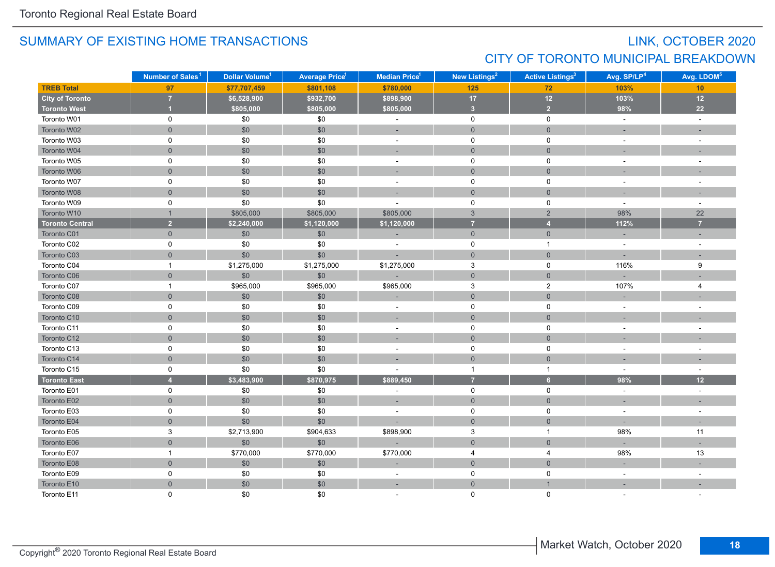## LINK, OCTOBER 2020 CITY OF TORONTO MUNICIPAL BREAKDOWN

|                        | Number of Sales <sup>1</sup> | Dollar Volume <sup>1</sup> | <b>Average Price<sup>1</sup></b> | Median Price <sup>1</sup> | New Listings <sup>2</sup> | <b>Active Listings<sup>3</sup></b> | Avg. SP/LP <sup>4</sup> | Avg. LDOM <sup>5</sup>   |
|------------------------|------------------------------|----------------------------|----------------------------------|---------------------------|---------------------------|------------------------------------|-------------------------|--------------------------|
| <b>TREB Total</b>      | 97                           | \$77,707,459               | \$801,108                        | \$780,000                 | 125                       | 72                                 | 103%                    | 10                       |
| <b>City of Toronto</b> | $\overline{7}$               | \$6,528,900                | \$932,700                        | \$898,900                 | 17                        | $12$                               | 103%                    | $12$                     |
| <b>Toronto West</b>    |                              | \$805,000                  | \$805,000                        | \$805,000                 | $\overline{\mathbf{3}}$   | $\overline{2}$                     | 98%                     | 22                       |
| Toronto W01            | $\mathbf 0$                  | \$0                        | \$0                              | $\blacksquare$            | $\mathbf 0$               | $\mathbf 0$                        | $\sim$                  | $\sim$                   |
| Toronto W02            | $\overline{0}$               | \$0                        | \$0                              | ÷,                        | $\mathbf{0}$              | $\mathbf{0}$                       |                         |                          |
| Toronto W03            | $\mathbf 0$                  | \$0                        | \$0                              | $\sim$                    | $\mathbf 0$               | $\mathbf 0$                        | $\sim$                  | $\sim$                   |
| Toronto W04            | $\mathbf{0}$                 | \$0                        | \$0                              | ÷.                        | $\mathsf{O}\xspace$       | $\overline{0}$                     |                         |                          |
| Toronto W05            | 0                            | $$0$$                      | \$0                              | $\blacksquare$            | $\mathsf{O}$              | $\mathbf 0$                        |                         | $\sim$                   |
| Toronto W06            | $\mathbf{0}$                 | \$0                        | \$0                              | ٠                         | $\mathsf{O}\xspace$       | $\mathbf{0}$                       |                         |                          |
| Toronto W07            | 0                            | \$0                        | \$0                              | ä,                        | $\mathbf 0$               | $\mathbf 0$                        | $\sim$                  |                          |
| Toronto W08            | $\overline{0}$               | \$0                        | \$0                              | ÷,                        | $\mathbf{0}$              | $\overline{0}$                     |                         |                          |
| Toronto W09            | 0                            | \$0                        | \$0                              |                           | $\mathsf 0$               | $\mathbf 0$                        |                         |                          |
| Toronto W10            | $\mathbf{1}$                 | \$805,000                  | \$805,000                        | \$805,000                 | $\mathbf{3}$              | $\overline{2}$                     | 98%                     | 22                       |
| <b>Toronto Central</b> | $\overline{2}$               | \$2,240,000                | \$1,120,000                      | \$1,120,000               | $\overline{7}$            | $\overline{4}$                     | 112%                    | $\overline{7}$           |
| Toronto C01            | $\overline{0}$               | \$0                        | \$0                              |                           | $\overline{0}$            | $\overline{0}$                     |                         |                          |
| Toronto C02            | 0                            | \$0                        | \$0                              | $\sim$                    | $\mathsf{O}$              | $\mathbf{1}$                       | $\sim$                  |                          |
| Toronto C03            | $\overline{0}$               | \$0                        | \$0                              | ÷,                        | $\mathbf{0}$              | $\overline{0}$                     |                         | ×.                       |
| Toronto C04            | $\mathbf{1}$                 | \$1,275,000                | \$1,275,000                      | \$1,275,000               | $\mathbf{3}$              | 0                                  | 116%                    | 9                        |
| Toronto C06            | $\overline{0}$               | \$0                        | \$0                              |                           | $\overline{0}$            | $\overline{0}$                     |                         |                          |
| Toronto C07            | $\mathbf{1}$                 | \$965,000                  | \$965,000                        | \$965,000                 | $\mathbf 3$               | $\mathbf{2}$                       | 107%                    | 4                        |
| Toronto C08            | $\mathbf{0}$                 | \$0                        | \$0                              |                           | $\mathbf{0}$              | $\mathbf{0}$                       |                         |                          |
| Toronto C09            | 0                            | \$0                        | \$0                              | $\blacksquare$            | 0                         | $\mathbf 0$                        | $\sim$                  | $\overline{\phantom{a}}$ |
| Toronto C10            | $\mathsf{O}\xspace$          | \$0                        | \$0                              |                           | $\mathbf 0$               | $\mathsf{O}\xspace$                |                         |                          |
| Toronto C11            | 0                            | $$0$$                      | \$0                              | $\bar{a}$                 | $\mathbf 0$               | $\mathbf 0$                        |                         | $\overline{\phantom{a}}$ |
| Toronto C12            | $\mathbf{0}$                 | \$0                        | \$0                              | $\sim$                    | $\mathbf{0}$              | $\mathbf{0}$                       |                         |                          |
| Toronto C13            | 0                            | \$0                        | \$0                              | $\sim$                    | $\mathsf 0$               | $\mathbf 0$                        |                         |                          |
| Toronto C14            | $\overline{0}$               | \$0                        | \$0                              |                           | $\mathbf 0$               | $\overline{0}$                     |                         |                          |
| Toronto C15            | $\mathbf 0$                  | \$0                        | \$0                              | ÷                         | $\overline{1}$            | $\mathbf{1}$                       | $\sim$                  | $\sim$                   |
| <b>Toronto East</b>    | $\overline{A}$               | \$3,483,900                | \$870,975                        | \$889,450                 | $\overline{7}$            | $6\overline{6}$                    | 98%                     | 12                       |
| Toronto E01            | 0                            | \$0                        | \$0                              | $\sim$                    | $\mathsf{O}$              | $\mathbf 0$                        | $\sim$                  | $\sim$                   |
| Toronto E02            | $\overline{0}$               | \$0                        | \$0                              | ÷                         | $\mathbf{0}$              | $\overline{0}$                     |                         | ٠                        |
| Toronto E03            | $\mathbf 0$                  | \$0                        | \$0                              | ä,                        | $\mathsf 0$               | $\mathbf 0$                        | $\sim$                  | $\sim$                   |
| Toronto E04            | $\overline{0}$               | \$0                        | \$0                              | ÷,                        | $\mathbf{0}$              | $\mathbf{0}$                       |                         |                          |
| Toronto E05            | $\mathsf 3$                  | \$2,713,900                | \$904,633                        | \$898,900                 | $\mathbf{3}$              | $\mathbf{1}$                       | 98%                     | 11                       |
| Toronto E06            | $\mathsf{O}\xspace$          | \$0                        | $$0$$                            |                           | $\mathbf{0}$              | $\mathbf 0$                        |                         |                          |
| Toronto E07            | $\mathbf{1}$                 | \$770,000                  | \$770,000                        | \$770,000                 | $\overline{4}$            | $\overline{4}$                     | 98%                     | 13                       |
| Toronto E08            | $\mathsf{O}\xspace$          | \$0                        | \$0                              | ÷                         | $\mathsf{O}\xspace$       | $\mathsf{O}\xspace$                |                         |                          |
| Toronto E09            | 0                            | $$0$$                      | \$0                              | $\sim$                    | 0                         | 0                                  | $\sim$                  | $\overline{a}$           |
| Toronto E10            | $\overline{0}$               | \$0                        | \$0                              | ÷,                        | $\overline{0}$            | $\overline{1}$                     |                         |                          |
| Toronto E11            | $\Omega$                     | \$0                        | \$0                              |                           | $\Omega$                  | $\Omega$                           |                         |                          |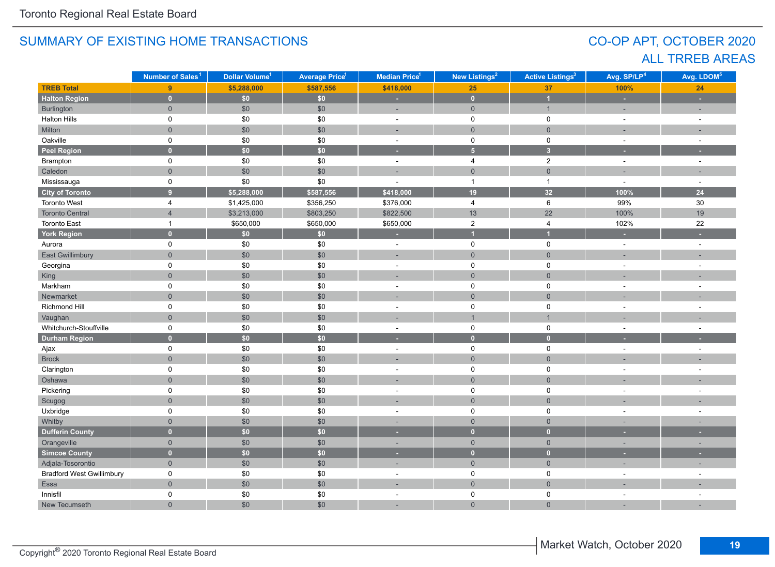## CO-OP APT, OCTOBER 2020 ALL TRREB AREAS

|                                  | Number of Sales <sup>1</sup> | Dollar Volume <sup>1</sup> | <b>Average Price<sup>1</sup></b> | <b>Median Price</b> <sup>1</sup> | New Listings <sup>2</sup> | <b>Active Listings<sup>3</sup></b> | Avg. SP/LP <sup>4</sup> | Avg. LDOM <sup>5</sup>   |
|----------------------------------|------------------------------|----------------------------|----------------------------------|----------------------------------|---------------------------|------------------------------------|-------------------------|--------------------------|
| <b>TREB Total</b>                | 9 <sup>°</sup>               | \$5,288,000                | \$587,556                        | \$418,000                        | 25                        | 37                                 | 100%                    | 24                       |
| <b>Halton Region</b>             | $\mathbf{0}$                 | \$0\$                      | \$0                              | ٠                                | $\mathbf{0}$              | $\overline{1}$                     | ×.                      | ÷                        |
| Burlington                       | $\overline{0}$               | \$0                        | \$0                              | ÷,                               | $\overline{0}$            | $\mathbf{1}$                       | ÷                       | ÷                        |
| <b>Halton Hills</b>              | 0                            | \$0                        | \$0                              | $\bar{a}$                        | $\mathsf{O}$              | $\mathsf 0$                        | $\sim$                  | $\sim$                   |
| Milton                           | $\overline{0}$               | $$0$$                      | \$0                              | ٠                                | $\mathbf 0$               | $\mathbf{0}$                       |                         |                          |
| Oakville                         | 0                            | \$0                        | \$0                              | $\sim$                           | $\mathsf{O}$              | $\mathsf 0$                        | $\sim$                  | $\sim$                   |
| <b>Peel Region</b>               | $\overline{0}$               | \$0\$                      | \$0                              | ٠                                | $\overline{5}$            | $\overline{\mathbf{3}}$            |                         |                          |
| Brampton                         | 0                            | \$0                        | \$0                              | $\omega$                         | $\overline{4}$            | $\overline{2}$                     | $\sim$                  | $\bar{a}$                |
| Caledon                          | $\overline{0}$               | \$0                        | \$0                              | ÷,                               | $\mathsf{O}\xspace$       | $\mathsf{O}\xspace$                |                         |                          |
| Mississauga                      | 0                            | \$0                        | \$0                              | $\sim$                           | $\overline{1}$            | $\mathbf{1}$                       | $\sim$                  | $\bar{a}$                |
| City of Toronto                  | $\overline{9}$               | \$5,288,000                | \$587,556                        | \$418,000                        | 19                        | 32                                 | 100%                    | 24                       |
| <b>Toronto West</b>              | 4                            | \$1,425,000                | \$356,250                        | \$376,000                        | $\overline{4}$            | 6                                  | 99%                     | 30                       |
| <b>Toronto Central</b>           | $\overline{4}$               | \$3,213,000                | \$803,250                        | \$822,500                        | 13                        | 22                                 | 100%                    | 19                       |
| <b>Toronto East</b>              | $\mathbf{1}$                 | \$650,000                  | \$650,000                        | \$650,000                        | $\overline{c}$            | 4                                  | 102%                    | 22                       |
| <b>York Region</b>               | $\overline{0}$               | \$0                        | \$0                              | ×                                | и                         | $\overline{1}$                     | ٠                       |                          |
| Aurora                           | 0                            | \$0                        | \$0                              | ÷                                | $\mathsf 0$               | $\mathsf 0$                        | $\sim$                  |                          |
| East Gwillimbury                 | $\overline{0}$               | \$0                        | \$0                              |                                  | $\mathbf{0}$              | $\mathbf{0}$                       |                         |                          |
| Georgina                         | 0                            | \$0                        | \$0                              | $\sim$                           | 0                         | 0                                  |                         | $\overline{\phantom{a}}$ |
| King                             | $\overline{0}$               | $$0$$                      | \$0                              | ÷.                               | $\mathbf 0$               | $\overline{0}$                     |                         |                          |
| Markham                          | 0                            | $\$0$                      | \$0                              | ä,                               | $\mathbf 0$               | $\mathsf 0$                        |                         |                          |
| Newmarket                        | $\overline{0}$               | $$0$$                      | \$0                              |                                  | $\mathbf 0$               | $\overline{0}$                     |                         |                          |
| Richmond Hill                    | 0                            | $\$0$                      | \$0                              | $\overline{\phantom{a}}$         | 0                         | 0                                  |                         | ÷                        |
| Vaughan                          | $\overline{0}$               | \$0                        | \$0                              |                                  | $\overline{1}$            | $\overline{1}$                     |                         |                          |
| Whitchurch-Stouffville           | 0                            | \$0                        | \$0                              | $\overline{\phantom{a}}$         | $\mathsf 0$               | $\mathsf 0$                        |                         | $\sim$                   |
| <b>Durham Region</b>             | $\overline{0}$               | $\overline{50}$            | \$0                              | ٠                                | $\overline{0}$            | $\mathbf{0}$                       |                         |                          |
| Ajax                             | 0                            | \$0                        | \$0                              | $\sim$                           | $\mathsf{O}$              | $\mathsf 0$                        | $\sim$                  | $\sim$                   |
| <b>Brock</b>                     | $\overline{0}$               | $$0$$                      | \$0                              |                                  | $\mathbf{0}$              | $\mathbf 0$                        |                         |                          |
| Clarington                       | 0                            | \$0                        | \$0                              | $\sim$                           | 0                         | 0                                  |                         |                          |
| Oshawa                           | $\overline{0}$               | \$0                        | \$0                              |                                  | $\mathbf 0$               | $\mathbf 0$                        |                         |                          |
| Pickering                        | 0                            | \$0                        | \$0                              | $\blacksquare$                   | 0                         | $\mathsf 0$                        | ÷.                      | $\sim$                   |
| Scugog                           | $\overline{0}$               | $$0$$                      | \$0                              | ÷                                | $\mathbf 0$               | $\mathsf{O}\xspace$                |                         |                          |
| Uxbridge                         | $\mathsf{O}$                 | \$0                        | \$0                              | $\sim$                           | 0                         | 0                                  | $\sim$                  | $\sim$                   |
| Whitby                           | $\mathbf 0$                  | \$0                        | \$0                              |                                  | $\mathbf{0}$              | $\mathbf{0}$                       |                         |                          |
| <b>Dufferin County</b>           | $\mathbf{0}$                 | $\overline{50}$            | $\overline{50}$                  |                                  | $\overline{0}$            | $\overline{0}$                     |                         |                          |
| Orangeville                      | $\overline{0}$               | \$0                        | \$0                              | $\overline{\phantom{a}}$         | $\overline{0}$            | $\overline{0}$                     | ٠                       | ٠                        |
| <b>Simcoe County</b>             | $\overline{0}$               | \$0\$                      | \$0                              | ٠                                | $\overline{0}$            | $\mathbf{0}$                       |                         |                          |
| Adjala-Tosorontio                | $\overline{0}$               | $\$0$                      | \$0                              | ÷.                               | $\overline{0}$            | $\mathbf 0$                        | ÷,                      | ÷,                       |
| <b>Bradford West Gwillimbury</b> | 0                            | \$0                        | \$0                              | ÷,                               | $\mathsf 0$               | $\mathsf 0$                        | $\sim$                  |                          |
| Essa                             | $\overline{0}$               | $$0$$                      | \$0                              | ÷,                               | $\mathbf 0$               | $\mathbf 0$                        |                         |                          |
| Innisfil                         | 0                            | \$0                        | \$0                              | ÷.                               | 0                         | 0                                  |                         | ÷.                       |
| New Tecumseth                    | $\overline{0}$               | \$0                        | \$0                              | ÷,                               | $\mathbf 0$               | $\overline{0}$                     |                         |                          |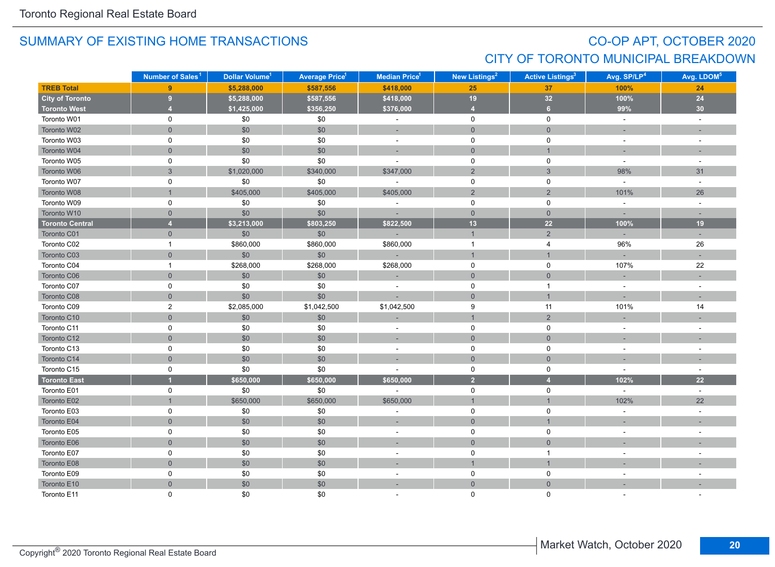## CO-OP APT, OCTOBER 2020 CITY OF TORONTO MUNICIPAL BREAKDOWN

|                        | Number of Sales <sup>1</sup> | Dollar Volume <sup>1</sup> | <b>Average Price<sup>1</sup></b> | Median Price <sup>1</sup> | New Listings <sup>2</sup> | <b>Active Listings<sup>3</sup></b> | Avg. SP/LP <sup>4</sup> | Avg. LDOM <sup>5</sup>   |
|------------------------|------------------------------|----------------------------|----------------------------------|---------------------------|---------------------------|------------------------------------|-------------------------|--------------------------|
| <b>TREB Total</b>      | $\overline{9}$               | \$5,288,000                | \$587,556                        | \$418,000                 | 25                        | 37                                 | 100%                    | 24                       |
| <b>City of Toronto</b> | 9                            | \$5,288,000                | \$587,556                        | \$418,000                 | 19                        | 32                                 | 100%                    | 24                       |
| <b>Toronto West</b>    | $\overline{4}$               | \$1,425,000                | \$356,250                        | \$376,000                 | $\overline{4}$            | 6 <sup>1</sup>                     | 99%                     | 30                       |
| Toronto W01            | 0                            | \$0                        | \$0                              | $\sim$                    | 0                         | $\mathbf 0$                        | $\omega$                | $\sim$                   |
| Toronto W02            | $\overline{0}$               | \$0                        | \$0                              | ٠                         | $\mathbf{0}$              | $\mathsf{O}\xspace$                |                         |                          |
| Toronto W03            | $\mathbf 0$                  | \$0                        | \$0                              | $\sim$                    | $\pmb{0}$                 | $\mathsf 0$                        | $\sim$                  | $\overline{\phantom{a}}$ |
| Toronto W04            | $\mathbf{0}$                 | \$0                        | \$0                              |                           | $\mathsf{O}\xspace$       | $\mathbf{1}$                       |                         |                          |
| Toronto W05            | 0                            | \$0                        | \$0                              | $\overline{a}$            | $\mathbf 0$               | $\mathbf 0$                        | $\sim$                  | $\sim$                   |
| Toronto W06            | $\mathbf{3}$                 | \$1,020,000                | \$340,000                        | \$347,000                 | $\overline{2}$            | $\mathbf{3}$                       | 98%                     | 31                       |
| Toronto W07            | $\mathbf 0$                  | \$0                        | \$0                              | $\sim$                    | 0                         | $\mathbf 0$                        | $\sim$                  | $\sim$                   |
| Toronto W08            | $\mathbf{1}$                 | \$405,000                  | \$405,000                        | \$405,000                 | $\overline{2}$            | $\overline{2}$                     | 101%                    | 26                       |
| Toronto W09            | $\mathbf 0$                  | \$0                        | \$0                              | $\bar{a}$                 | 0                         | 0                                  | $\sim$                  | $\sim$                   |
| Toronto W10            | $\overline{0}$               | \$0                        | \$0                              |                           | $\overline{0}$            | $\overline{0}$                     |                         |                          |
| <b>Toronto Central</b> | $\overline{4}$               | \$3,213,000                | \$803,250                        | \$822,500                 | 13                        | 22                                 | 100%                    | 19                       |
| Toronto C01            | $\mathbf{0}$                 | \$0                        | \$0                              | $\sim$                    | $\mathbf{1}$              | $\overline{2}$                     | $\sim$                  | ÷,                       |
| Toronto C02            | $\mathbf{1}$                 | \$860,000                  | \$860,000                        | \$860,000                 | $\overline{1}$            | $\overline{4}$                     | 96%                     | 26                       |
| Toronto C03            | $\mathbf{0}$                 | \$0                        | $$0$$                            | ÷                         | $\mathbf{1}$              | $\mathbf{1}$                       |                         |                          |
| Toronto C04            | $\mathbf{1}$                 | \$268,000                  | \$268,000                        | \$268,000                 | $\mathbf 0$               | $\mathbf 0$                        | 107%                    | 22                       |
| Toronto C06            | $\overline{0}$               | \$0                        | \$0                              |                           | $\mathbf{0}$              | $\mathbf{0}$                       |                         |                          |
| Toronto C07            | 0                            | $\$0$                      | \$0                              |                           | $\mathbf 0$               | $\mathbf{1}$                       |                         |                          |
| Toronto C08            | $\overline{0}$               | \$0                        | \$0                              |                           | $\overline{0}$            | $\mathbf{1}$                       |                         |                          |
| Toronto C09            | $\overline{2}$               | \$2,085,000                | \$1,042,500                      | \$1,042,500               | 9                         | 11                                 | 101%                    | 14                       |
| Toronto C10            | $\overline{0}$               | \$0                        | \$0                              |                           | $\mathbf{1}$              | $\overline{2}$                     |                         |                          |
| Toronto C11            | 0                            | \$0                        | \$0                              | $\overline{\phantom{a}}$  | $\mathbf 0$               | $\mathbf 0$                        |                         | $\sim$                   |
| Toronto C12            | $\mathbf{0}$                 | \$0                        | \$0                              | $\sim$                    | $\mathbf{0}$              | $\mathbf{0}$                       |                         |                          |
| Toronto C13            | 0                            | $\$0$                      | \$0                              | $\blacksquare$            | $\mathsf 0$               | $\mathbf 0$                        | $\sim$                  |                          |
| Toronto C14            | $\mathbf{0}$                 | \$0                        | \$0                              |                           | $\mathbf{0}$              | $\mathbf{0}$                       |                         |                          |
| Toronto C15            | 0                            | \$0                        | \$0                              | $\overline{\phantom{a}}$  | $\mathbf 0$               | $\mathbf 0$                        | $\sim$                  | $\sim$                   |
| <b>Toronto East</b>    |                              | \$650,000                  | \$650,000                        | \$650,000                 | $\overline{2}$            | $\overline{4}$                     | 102%                    | 22                       |
| Toronto E01            | $\mathbf 0$                  | \$0                        | \$0                              | ÷.                        | $\mathsf{O}$              | $\mathbf 0$                        | $\sim$                  | $\sim$                   |
| Toronto E02            | $\mathbf{1}$                 | \$650,000                  | \$650,000                        | \$650,000                 | $\mathbf{1}$              | $\overline{1}$                     | 102%                    | 22                       |
| Toronto E03            | $\mathbf 0$                  | \$0                        | \$0                              |                           | 0                         | $\mathbf 0$                        |                         |                          |
| Toronto E04            | $\overline{0}$               | \$0                        | \$0                              | ×.                        | $\overline{0}$            | $\overline{1}$                     |                         |                          |
| Toronto E05            | 0                            | $\$0$                      | \$0                              | $\overline{\phantom{a}}$  | 0                         | 0                                  |                         |                          |
| Toronto E06            | $\mathbf{0}$                 | \$0                        | \$0                              |                           | $\mathbf 0$               | $\mathbf{0}$                       |                         |                          |
| Toronto E07            | $\mathbf 0$                  | $\$0$                      | \$0                              | $\overline{\phantom{a}}$  | $\pmb{0}$                 | $\mathbf{1}$                       | $\overline{a}$          |                          |
| Toronto E08            | $\mathsf{O}\xspace$          | \$0                        | \$0                              | ÷,                        | $\mathbf{1}$              | $\mathbf{1}$                       |                         |                          |
| Toronto E09            | 0                            | $\$0$                      | \$0                              | $\blacksquare$            | 0                         | $\mathbf 0$                        | $\sim$                  |                          |
| Toronto E10            | $\mathbf{0}$                 | \$0                        | \$0                              | ÷                         | $\mathsf{O}\xspace$       | $\mathbf{0}$                       |                         |                          |
| Toronto E11            | $\Omega$                     | \$0                        | \$0                              |                           | $\Omega$                  | $\Omega$                           |                         |                          |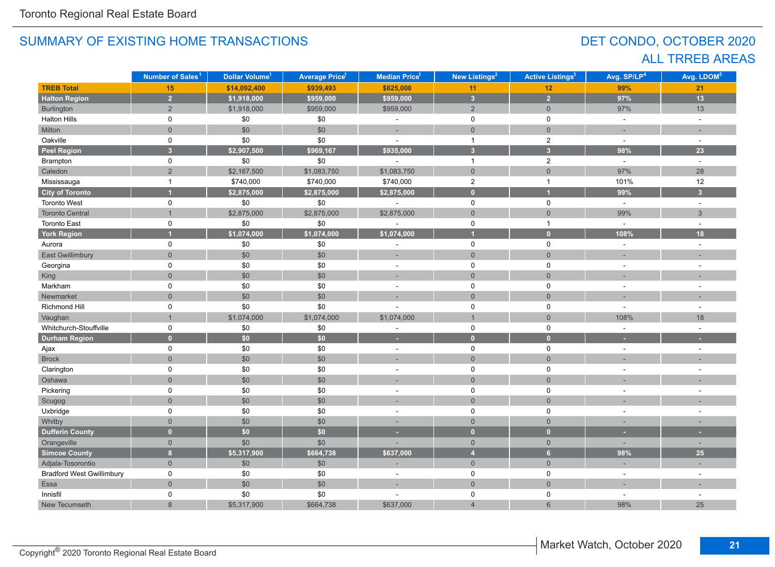## DET CONDO, OCTOBER 2020 ALL TRREB AREAS

|                                  | Number of Sales <sup>1</sup> | Dollar Volume <sup>1</sup> | <b>Average Price<sup>1</sup></b> | <b>Median Price</b> <sup>1</sup> | New Listings <sup>2</sup>  | <b>Active Listings<sup>3</sup></b> | Avg. SP/LP <sup>4</sup>  | Avg. LDOM <sup>5</sup>   |
|----------------------------------|------------------------------|----------------------------|----------------------------------|----------------------------------|----------------------------|------------------------------------|--------------------------|--------------------------|
| <b>TREB Total</b>                | 15 <sub>1</sub>              | \$14,092,400               | \$939,493                        | \$825,000                        | 11                         | 12                                 | 99%                      | 21                       |
| <b>Halton Region</b>             | $\overline{2}$               | \$1,918,000                | \$959,000                        | \$959,000                        | $\overline{\mathbf{3}}$    | $\overline{2}$                     | 97%                      | $\overline{13}$          |
| Burlington                       | $\overline{2}$               | \$1,918,000                | \$959,000                        | \$959,000                        | 2                          | $\overline{0}$                     | 97%                      | 13                       |
| <b>Halton Hills</b>              | 0                            | $\$0$                      | \$0                              | $\bar{a}$                        | $\mathbf 0$                | 0                                  | $\sim$                   | $\bar{\phantom{a}}$      |
| Milton                           | $\mathbf 0$                  | \$0                        | \$0                              | ÷                                | $\mathbf 0$                | $\mathbf 0$                        | $\sim$                   | ÷.                       |
| Oakville                         | 0                            | \$0                        | \$0                              | ä,                               | $\mathbf{1}$               | $\sqrt{2}$                         | $\sim$                   | $\overline{\phantom{a}}$ |
| <b>Peel Region</b>               | $\overline{3}$               | \$2,907,500                | \$969,167                        | \$935,000                        | $\overline{\mathbf{3}}$    | $\overline{\mathbf{3}}$            | 98%                      | 23                       |
| Brampton                         | 0                            | \$0                        | \$0                              |                                  | $\overline{1}$             | $\mathbf{2}$                       | $\omega$                 | $\sim$                   |
| Caledon                          | $\overline{2}$               | \$2,167,500                | \$1,083,750                      | \$1,083,750                      | $\mathbf 0$                | $\mathbf 0$                        | 97%                      | 28                       |
| Mississauga                      | $\overline{1}$               | \$740,000                  | \$740,000                        | \$740,000                        | $\overline{2}$             | $\mathbf{1}$                       | 101%                     | 12                       |
| <b>City of Toronto</b>           |                              | \$2,875,000                | \$2,875,000                      | \$2,875,000                      | $\bullet$                  | $\blacksquare$                     | 99%                      | $\overline{3}$           |
| <b>Toronto West</b>              | 0                            | \$0                        | $\$0$                            | $\sim$                           | $\mathbf 0$                | $\mathbf 0$                        | $\omega$                 | $\sim$                   |
| <b>Toronto Central</b>           | $\mathbf{1}$                 | \$2,875,000                | \$2,875,000                      | \$2,875,000                      | $\mathsf{O}\xspace$        | $\mathbf 0$                        | 99%                      | 3                        |
| <b>Toronto East</b>              | 0                            | \$0                        | \$0                              | L,                               | $\mathbf 0$                | $\mathbf{1}$                       | $\sim$                   | ÷,                       |
| <b>York Region</b>               |                              | \$1,074,000                | \$1,074,000                      | \$1,074,000                      | 4                          | $\overline{0}$                     | 108%                     | 18                       |
| Aurora                           | 0                            | \$0                        | \$0                              |                                  | $\mathbf 0$                | $\mathbf 0$                        | $\sim$                   | L.                       |
| <b>East Gwillimbury</b>          | $\mathbf 0$                  | \$0                        | \$0                              | ٠                                | $\mathsf{O}\xspace$        | $\mathbf 0$                        | ٠                        |                          |
| Georgina                         | 0                            | $\$0$                      | \$0                              | $\sim$                           | $\mathsf 0$<br>$\pmb{0}$   |                                    | $\sim$                   | $\overline{\phantom{a}}$ |
| King                             | $\overline{0}$               | \$0                        | \$0                              | ÷,                               | $\mathbf 0$<br>$\mathbf 0$ |                                    |                          |                          |
| Markham                          | 0                            | \$0                        | \$0                              |                                  | 0                          | 0                                  |                          |                          |
| Newmarket                        | $\Omega$                     | \$0                        | \$0                              |                                  | $\overline{0}$             | $\overline{0}$                     |                          |                          |
| <b>Richmond Hill</b>             | 0                            | \$0                        | \$0                              |                                  | 0                          | 0                                  | ÷                        |                          |
| Vaughan                          |                              | \$1,074,000                | \$1,074,000                      | \$1,074,000                      | $\overline{1}$             | $\overline{0}$                     | 108%                     | 18                       |
| Whitchurch-Stouffville           | 0                            | \$0                        | $\$0$                            |                                  | 0                          | 0                                  |                          |                          |
| <b>Durham Region</b>             | $\overline{0}$               | \$0\$                      | \$0                              | ٠                                | $\mathbf{0}$               | $\mathbf{0}$                       |                          |                          |
| Ajax                             | 0                            | $\$0$                      | \$0                              | $\blacksquare$                   | $\mathbf 0$                | $\mathsf 0$                        | $\overline{\phantom{a}}$ |                          |
| <b>Brock</b>                     | $\mathsf{O}\xspace$          | \$0                        | \$0                              |                                  | $\mathbf 0$                | $\mathsf{O}\xspace$                |                          |                          |
| Clarington                       | 0                            | \$0                        | \$0                              | $\sim$                           | $\mathsf 0$                | 0                                  | $\overline{a}$           |                          |
| Oshawa                           | $\overline{0}$               | \$0                        | \$0                              |                                  | $\mathbf 0$                | $\mathbf 0$                        |                          |                          |
| Pickering                        | 0                            | \$0                        | \$0                              | $\sim$                           | $\mathbf 0$                | $\mathsf 0$                        | $\overline{\phantom{a}}$ |                          |
| Scugog                           | $\overline{0}$               | \$0                        | \$0                              | ٠                                | $\mathbf 0$                | $\mathbf 0$                        |                          |                          |
| Uxbridge                         | 0                            | $\$0$                      | \$0                              | $\sim$                           | 0                          | 0                                  | ٠                        |                          |
| Whitby                           | $\mathbf 0$                  | \$0                        | \$0                              |                                  | $\mathbf{0}$               | $\mathbf 0$                        |                          |                          |
| <b>Dufferin County</b>           | $\overline{0}$               | \$0\$                      | \$0                              | ٠                                | $\mathbf{0}$               | $\mathbf{0}$                       | ٠                        | ٠                        |
| Orangeville                      | $\mathbf{0}$                 | \$0                        | \$0                              |                                  | $\overline{0}$             | $\overline{0}$                     | ÷.                       | ٠                        |
| <b>Simcoe County</b>             | $\overline{\mathbf{8}}$      | \$5,317,900                | \$664,738                        | \$637,000                        | $\overline{4}$             | 6 <sup>1</sup>                     | 98%                      | 25                       |
| Adjala-Tosorontio                | $\mathbf{0}$                 | \$0                        | \$0                              |                                  | $\mathsf{O}\xspace$        | $\overline{0}$                     | ٠                        |                          |
| <b>Bradford West Gwillimbury</b> | 0                            | \$0                        | \$0                              | $\bar{a}$                        | $\mathbf 0$                | 0                                  | $\sim$                   | ÷,                       |
| Essa                             | $\mathbf 0$                  | \$0                        | $$0$$                            |                                  | $\mathsf{O}\xspace$        | $\mathsf{O}\xspace$                |                          |                          |
| Innisfil                         | 0                            | \$0                        | \$0                              |                                  | 0                          | 0                                  | $\overline{\phantom{a}}$ |                          |
| New Tecumseth                    | $\boldsymbol{8}$             | \$5,317,900                | \$664,738                        | \$637,000                        | $\overline{4}$             | $6\phantom{a}$                     | 98%                      | 25                       |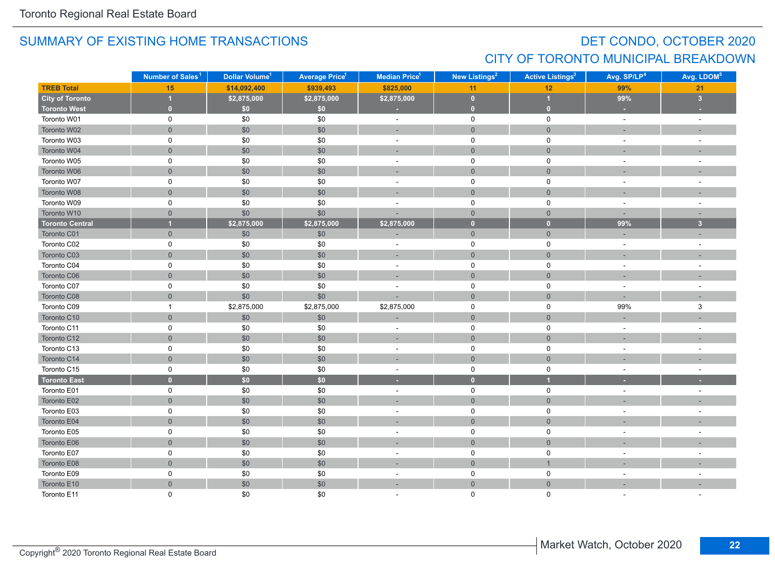## DET CONDO, OCTOBER 2020 CITY OF TORONTO MUNICIPAL BREAKDOWN

|                        | Number of Sales <sup>1</sup> | Dollar Volume <sup>1</sup> | <b>Average Price<sup>1</sup></b> | <b>Median Price</b> <sup>1</sup>                 | <b>New Listings<sup>2</sup></b> | <b>Active Listings<sup>3</sup></b> | Avg. SP/LP <sup>4</sup>  | Avg. LDOM <sup>5</sup>  |
|------------------------|------------------------------|----------------------------|----------------------------------|--------------------------------------------------|---------------------------------|------------------------------------|--------------------------|-------------------------|
| <b>TREB Total</b>      | 15                           | \$14,092,400               | \$939,493                        | \$825,000                                        | 11                              | 12                                 | 99%                      | 21                      |
| <b>City of Toronto</b> | и                            | \$2,875,000                | \$2,875,000                      | \$2,875,000                                      | $\mathbf{0}$                    | $\overline{1}$                     | 99%                      | $\overline{\mathbf{3}}$ |
| <b>Toronto West</b>    | $\mathbf{0}$                 | \$0                        | \$0                              |                                                  | $\mathbf{0}$                    | $\overline{0}$                     | ×                        |                         |
| Toronto W01            | 0                            | \$0                        | \$0                              | $\sim$                                           | $\mathbf 0$                     | $\mathbf 0$                        | $\omega$                 | $\sim$                  |
| Toronto W02            | $\mathsf{O}\xspace$          | \$0                        | \$0                              |                                                  | $\mathsf{O}\xspace$             | $\mathsf{O}\xspace$                |                          |                         |
| Toronto W03            | 0                            | \$0                        | \$0                              | $\blacksquare$                                   | $\mathsf 0$                     | $\pmb{0}$                          | $\overline{\phantom{a}}$ |                         |
| Toronto W04            | $\overline{0}$               | $$0$$                      | \$0                              |                                                  | $\mathsf{O}\xspace$             | $\mathsf{O}$                       |                          |                         |
| Toronto W05            | 0                            | \$0                        | \$0                              | $\blacksquare$                                   | $\mathsf 0$                     | $\mathbf 0$                        | $\sim$                   |                         |
| Toronto W06            | $\overline{0}$               | \$0                        | \$0                              |                                                  | $\mathsf{O}\xspace$             | $\mathbf 0$                        |                          |                         |
| Toronto W07            | 0                            | \$0                        | \$0                              | ÷,                                               | $\pmb{0}$                       | $\mathbf 0$                        |                          |                         |
| Toronto W08            | $\overline{0}$               | \$0                        | \$0                              | ÷                                                | $\overline{0}$                  | $\overline{0}$                     |                          |                         |
| Toronto W09            | 0                            | \$0                        | \$0                              | ÷                                                | $\mathbf 0$                     | 0                                  | $\blacksquare$           |                         |
| Toronto W10            | $\overline{0}$               | \$0                        | \$0                              |                                                  | $\overline{0}$                  | $\mathbf{0}$                       |                          |                         |
| <b>Toronto Central</b> | $\overline{\mathbf{1}}$      | \$2,875,000                | \$2,875,000                      | \$2,875,000                                      | $\mathbf{0}$                    | $\bullet$                          | 99%                      | 3 <sup>2</sup>          |
| Toronto C01            | $\overline{0}$               | \$0                        | \$0                              |                                                  | $\mathsf{O}\xspace$             | $\mathbf 0$                        |                          |                         |
| Toronto C02            | 0                            | $\$0$                      | \$0                              | $\sim$                                           | $\mathsf 0$                     | $\mathbf 0$                        | $\sim$                   |                         |
| Toronto C03            | $\overline{0}$               | \$0                        | \$0                              | $\mathsf{O}\xspace$<br>$\mathsf{O}\xspace$<br>÷, |                                 | ٠                                  |                          |                         |
| Toronto C04            | 0                            | \$0                        | \$0                              | $\sim$                                           | $\mathsf 0$                     | $\mathsf 0$                        | $\blacksquare$           | $\sim$                  |
| Toronto C06            | $\overline{0}$               | $$0$$                      | \$0                              | ÷.                                               | $\mathbf 0$                     | $\mathbf{0}$                       |                          |                         |
| Toronto C07            | 0                            | $\$0$                      | \$0                              | ÷,                                               | $\pmb{0}$                       | $\mathbf 0$                        | $\sim$                   |                         |
| Toronto C08            | $\overline{0}$               | \$0                        | \$0                              |                                                  | $\mathbf 0$                     | $\overline{0}$                     |                          |                         |
| Toronto C09            | $\mathbf{1}$                 | \$2,875,000                | \$2,875,000                      | \$2,875,000                                      | $\mathsf{O}$                    | $\mathsf{O}$                       | 99%                      | 3                       |
| Toronto C10            | $\overline{0}$               | \$0                        | \$0                              |                                                  | $\mathsf{O}\xspace$             | $\overline{0}$                     |                          |                         |
| Toronto C11            | 0                            | \$0                        | \$0                              | $\sim$                                           | $\mathsf{O}$                    | $\mathsf{O}$                       | $\sim$                   |                         |
| Toronto C12            | $\overline{0}$               | $$0$$                      | \$0                              | ×,                                               | $\mathbf 0$                     | $\mathbf{0}$                       | $\overline{\phantom{a}}$ |                         |
| Toronto C13            | 0                            | \$0                        | \$0                              | $\sim$                                           | $\pmb{0}$                       | $\mathbf 0$                        | $\overline{\phantom{a}}$ |                         |
| Toronto C14            | $\mathsf{O}\xspace$          | $$0$$                      | \$0                              |                                                  | $\mathsf{O}\xspace$             | $\mathbf{0}$                       |                          |                         |
| Toronto C15            | 0                            | $\$0$                      | \$0                              | $\sim$                                           | $\mathsf 0$                     | $\mathbf 0$                        | $\blacksquare$           | $\sim$                  |
| <b>Toronto East</b>    | $\mathbf{0}$                 | \$0                        | \$0                              | ٠                                                | $\bullet$                       | $\overline{1}$                     |                          |                         |
| Toronto E01            | $\mathsf{O}$                 | \$0                        | \$0                              | $\sim$                                           | $\mathsf 0$                     | $\mathsf{O}$                       | $\sim$                   | $\sim$                  |
| Toronto E02            | $\overline{0}$               | \$0                        | \$0                              | ÷                                                | $\mathbf 0$                     | $\mathbf{0}$                       |                          |                         |
| Toronto E03            | 0                            | \$0                        | \$0                              | ÷,                                               | $\mathsf 0$                     | $\mathbf 0$                        |                          |                         |
| Toronto E04            | $\overline{0}$               | \$0                        | \$0                              |                                                  | $\overline{0}$                  | $\mathbf{0}$                       |                          |                         |
| Toronto E05            | 0                            | $\$0$                      | \$0                              | ÷                                                | 0                               | 0                                  | ÷,                       |                         |
| Toronto E06            | $\mathsf{O}\xspace$          | $$0$$                      | \$0                              |                                                  | $\mathbf 0$                     | $\mathbf{0}$                       |                          |                         |
| Toronto E07            | 0                            | \$0                        | \$0                              | $\blacksquare$                                   | $\mathsf 0$                     | $\pmb{0}$                          | $\overline{\phantom{a}}$ |                         |
| Toronto E08            | $\mathsf{O}\xspace$          | \$0                        | \$0                              | ÷                                                | $\mathsf{O}\xspace$             | $\overline{1}$                     |                          |                         |
| Toronto E09            | 0                            | $\$0$                      | \$0                              | $\sim$                                           | $\mathsf{O}$                    | 0                                  | $\sim$                   |                         |
| Toronto E10            | $\overline{0}$               | \$0                        | \$0                              | ÷                                                | $\mathsf{O}\xspace$             | $\mathbf 0$                        |                          |                         |
| Toronto E11            | $\Omega$                     | \$0                        | \$0                              |                                                  | $\mathbf 0$                     | $\Omega$                           |                          |                         |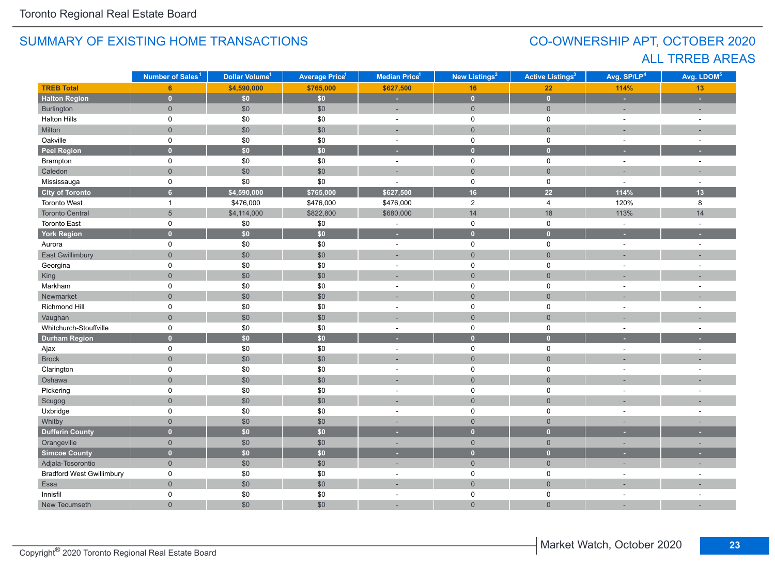## CO-OWNERSHIP APT, OCTOBER 2020 ALL TRREB AREAS

|                                  | Number of Sales <sup>1</sup> | Dollar Volume <sup>1</sup> | <b>Average Price<sup>1</sup></b> | New Listings <sup>2</sup><br>Median Price <sup>1</sup> |                     | <b>Active Listings<sup>3</sup></b> | Avg. SP/LP <sup>4</sup> | Avg. LDOM <sup>5</sup>   |
|----------------------------------|------------------------------|----------------------------|----------------------------------|--------------------------------------------------------|---------------------|------------------------------------|-------------------------|--------------------------|
| <b>TREB Total</b>                | 6 <sup>1</sup>               | \$4,590,000                | \$765,000                        | \$627,500                                              | 16                  | 22                                 | 114%                    | 13                       |
| <b>Halton Region</b>             | $\mathbf{0}$                 | $\overline{$}$             | \$0\$                            | ÷                                                      | $\mathbf{0}$        | $\bullet$                          | ×                       | ٠                        |
| Burlington                       | $\overline{0}$               | \$0                        | \$0                              | ÷,                                                     | $\mathbf{0}$        | $\mathbf 0$                        |                         | ÷                        |
| <b>Halton Hills</b>              | 0                            | $\$0$                      | \$0                              | $\bar{a}$                                              | $\mathbf 0$         | $\mathsf 0$                        | $\sim$                  | $\sim$                   |
| Milton                           | $\overline{0}$               | \$0                        | \$0                              | ц.                                                     | $\mathsf{O}\xspace$ | $\mathbf{0}$                       |                         |                          |
| Oakville                         | 0                            | \$0                        | \$0                              | $\bar{a}$                                              | $\mathsf 0$         | $\mathbf 0$                        | $\sim$                  | $\sim$                   |
| <b>Peel Region</b>               | $\overline{0}$               | \$0                        | \$0                              | ٠                                                      | $\bullet$           | $\mathbf{0}$                       | ٠                       |                          |
| Brampton                         | $\mathsf{O}$                 | \$0                        | \$0                              | $\sim$                                                 | $\mathsf{O}$        | $\mathbf 0$                        | $\sim$                  | $\sim$                   |
| Caledon                          | $\overline{0}$               | $$0$$                      | \$0                              | ÷.                                                     | $\mathsf{O}\xspace$ | $\overline{0}$                     |                         |                          |
| Mississauga                      | 0                            | $\$0$                      | \$0                              | ÷.                                                     | $\mathsf{O}$        | $\mathbf 0$                        | $\sim$                  | $\sim$                   |
| <b>City of Toronto</b>           | 6 <sup>1</sup>               | \$4,590,000                | \$765,000                        | \$627,500                                              | 16                  | $\overline{22}$                    | 114%                    | 13                       |
| Toronto West                     | $\mathbf{1}$                 | \$476,000                  | \$476,000                        | \$476,000                                              | $\overline{2}$      | $\overline{4}$                     | 120%                    | 8                        |
| <b>Toronto Central</b>           | $\overline{5}$               | \$4,114,000                | \$822,800                        | \$680,000                                              | 14                  | 18                                 | 113%                    | 14                       |
| <b>Toronto East</b>              | 0                            | \$0                        | \$0                              | $\sim$                                                 | $\mathsf 0$         | $\mathsf 0$                        | $\sim$                  | $\sim$                   |
| <b>York Region</b>               | $\overline{0}$               | \$0\$                      | \$0                              | ٠                                                      | $\bullet$           | $\mathbf{0}$                       | ×.                      | ٠                        |
| Aurora                           | $\mathsf{O}$                 | \$0                        | \$0                              | $\sim$                                                 | $\mathbf 0$         | $\mathbf 0$                        | $\sim$                  | $\sim$                   |
| East Gwillimbury                 | $\overline{0}$               | $$0$$                      | \$0                              | ä,                                                     | $\overline{0}$      | $\mathbf{0}$                       |                         |                          |
| Georgina                         | 0                            | \$0                        | \$0                              | $\mathbf 0$<br>$\mathbf 0$<br>÷.                       |                     |                                    |                         | ÷.                       |
| King                             | $\overline{0}$               | \$0                        | \$0                              |                                                        | $\overline{0}$      | $\overline{0}$                     |                         |                          |
| Markham                          | 0                            | \$0                        | \$0                              | $\overline{\phantom{a}}$                               | $\mathbf 0$         | $\pmb{0}$                          |                         |                          |
| Newmarket                        | $\overline{0}$               | $$0$$                      | \$0                              |                                                        | $\overline{0}$      | $\overline{0}$                     |                         |                          |
| Richmond Hill                    | 0                            | $\$0$                      | \$0                              | ÷,                                                     | $\mathbf 0$         | $\mathbf 0$                        |                         | ÷,                       |
| Vaughan                          | $\overline{0}$               | $$0$$                      | \$0                              |                                                        | $\mathbf 0$         | $\mathbf 0$                        |                         |                          |
| Whitchurch-Stouffville           | 0                            | \$0                        | \$0                              | $\overline{\phantom{a}}$                               | $\mathsf 0$         | $\mathbf 0$                        |                         |                          |
| <b>Durham Region</b>             | $\mathbf{0}$                 | \$0\$                      | $\overline{50}$                  | ٠                                                      | $\overline{0}$      | $\overline{0}$                     |                         |                          |
| Ajax                             | 0                            | \$0                        | \$0                              | $\sim$                                                 | $\mathsf{O}$        | $\mathbf 0$                        | $\sim$                  | $\sim$                   |
| <b>Brock</b>                     | $\overline{0}$               | \$0                        | \$0                              | ÷.                                                     | $\mathsf{O}\xspace$ | $\mathbf{0}$                       |                         |                          |
| Clarington                       | 0                            | \$0                        | \$0                              | $\sim$                                                 | $\mathsf 0$         | $\mathbf 0$                        | $\overline{a}$          | $\overline{\phantom{a}}$ |
| Oshawa                           | $\overline{0}$               | $$0$$                      | \$0                              |                                                        | $\mathsf{O}\xspace$ | $\overline{0}$                     |                         |                          |
| Pickering                        | 0                            | \$0                        | \$0                              | $\sim$                                                 | $\mathbf 0$         | $\mathbf 0$                        | $\sim$                  | $\sim$                   |
| Scugog                           | $\overline{0}$               | \$0                        | \$0                              | ÷.                                                     | $\mathsf{O}\xspace$ | $\overline{0}$                     |                         |                          |
| Uxbridge                         | $\mathsf{O}$                 | $\$0$                      | \$0                              | $\sim$                                                 | $\mathbf 0$         | $\mathbf 0$                        |                         | $\sim$                   |
| Whitby                           | $\overline{0}$               | \$0                        | \$0                              |                                                        | $\overline{0}$      | $\overline{0}$                     |                         |                          |
| <b>Dufferin County</b>           | $\overline{0}$               | \$0\$                      | \$0                              | ٠                                                      | $\overline{0}$      | $\mathbf{0}$                       |                         |                          |
| Orangeville                      | $\overline{0}$               | \$0                        | \$0                              | ٠                                                      | $\mathbf 0$         | $\mathbf 0$                        | $\sim$                  | ۰                        |
| Simcoe County                    | $\overline{0}$               | \$0\$                      | \$0                              | ٠                                                      | $\overline{0}$      | $\mathbf{0}$                       |                         |                          |
| Adjala-Tosorontio                | $\overline{0}$               | \$0                        | \$0                              | $\overline{a}$                                         | $\overline{0}$      | $\mathsf{O}\xspace$                | п.                      | ÷                        |
| <b>Bradford West Gwillimbury</b> | 0                            | \$0                        | \$0                              | $\sim$                                                 | $\mathbf 0$         | $\mathbf 0$                        |                         |                          |
| Essa                             | $\overline{0}$               | $$0$$                      | \$0                              | ÷,                                                     | $\mathbf 0$         | $\mathbf{0}$                       |                         |                          |
| Innisfil                         | 0                            | \$0                        | \$0                              | $\overline{\phantom{a}}$                               | 0                   | $\mathbf 0$                        |                         | ÷.                       |
| New Tecumseth                    | $\overline{0}$               | \$0                        | \$0                              | ÷.                                                     | $\overline{0}$      | $\overline{0}$                     |                         |                          |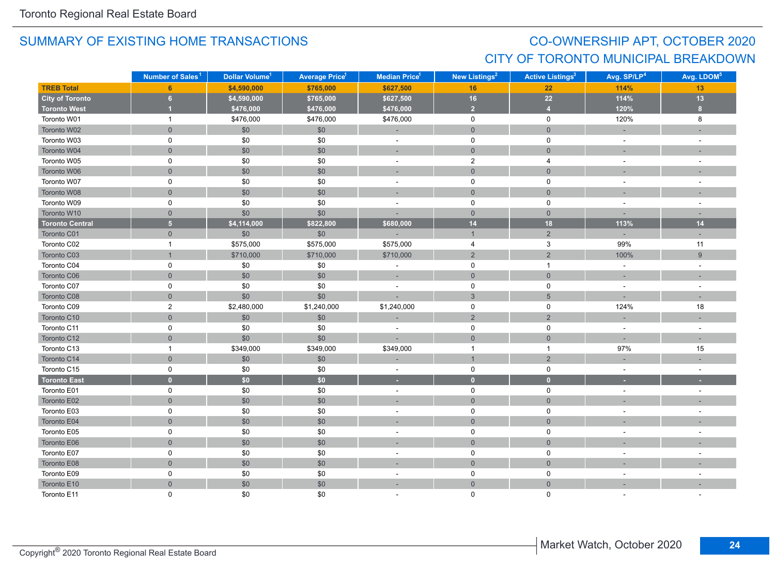## CO-OWNERSHIP APT, OCTOBER 2020 CITY OF TORONTO MUNICIPAL BREAKDOWN

|                        | Number of Sales <sup>1</sup> | Dollar Volume <sup>1</sup> | <b>Average Price<sup>1</sup></b> | <b>Median Price</b> <sup>1</sup> | <b>New Listings<sup>2</sup></b> |                     | Avg. SP/LP <sup>4</sup>  | Avg. LDOM <sup>5</sup> |
|------------------------|------------------------------|----------------------------|----------------------------------|----------------------------------|---------------------------------|---------------------|--------------------------|------------------------|
| <b>TREB Total</b>      | 6                            | \$4,590,000                | \$765,000                        | \$627,500                        | 16                              | 22                  | 114%                     | 13                     |
| <b>City of Toronto</b> | 6                            | \$4,590,000                | \$765,000                        | \$627,500                        | 16                              | $22\,$              | 114%                     | $13$                   |
| <b>Toronto West</b>    | $\overline{1}$               | \$476,000                  | \$476,000                        | \$476,000                        | $\overline{2}$                  | $\overline{4}$      | 120%                     | 8 <sup>1</sup>         |
| Toronto W01            | $\mathbf{1}$                 | \$476,000                  | \$476,000                        | \$476,000                        | $\mathsf 0$                     | $\mathsf{O}$        | 120%                     | 8                      |
| Toronto W02            | $\mathbf 0$                  | \$0                        | \$0                              |                                  | $\mathsf{O}$                    | $\overline{0}$      |                          |                        |
| Toronto W03            | 0                            | \$0                        | \$0                              | $\blacksquare$                   | $\pmb{0}$                       | 0                   | $\blacksquare$           | $\sim$                 |
| Toronto W04            | $\overline{0}$               | \$0                        | \$0                              | $\overline{a}$                   | $\mathbf{0}$                    | $\overline{0}$      |                          |                        |
| Toronto W05            | 0                            | \$0                        | \$0                              | $\blacksquare$                   | $\overline{2}$                  | 4                   | $\sim$                   |                        |
| Toronto W06            | $\mathbf{0}$                 | $$0$$                      | \$0                              | ×.                               | $\mathsf{O}$                    | $\mathbf{0}$        |                          |                        |
| Toronto W07            | 0                            | \$0                        | \$0                              | $\omega$                         | $\mathbf 0$                     | 0                   | $\sim$                   | $\sim$                 |
| Toronto W08            | $\mathsf{O}\xspace$          | \$0                        | \$0                              | $\sim$                           | $\mathsf{O}\xspace$             | $\mathbf 0$         | $\sim$                   | $\sim$                 |
| Toronto W09            | $\mathsf 0$                  | \$0                        | \$0                              | ÷,                               | $\mathsf 0$                     | $\mathbf 0$         | $\blacksquare$           | $\sim$                 |
| Toronto W10            | $\mathbf{0}$                 | \$0                        | \$0                              | ÷.                               | $\overline{0}$                  | $\overline{0}$      | $\sim$                   | $\sim$                 |
| <b>Toronto Central</b> | $\overline{5}$               | \$4,114,000                | \$822,800                        | \$680,000                        | 14                              | 18                  | 113%                     | 14                     |
| Toronto C01            | $\overline{0}$               | \$0                        | \$0                              |                                  | $\mathbf{1}$                    | $\overline{2}$      |                          | $\sim$                 |
| Toronto C02            | $\mathbf{1}$                 | \$575,000                  | \$575,000                        | \$575,000                        | $\overline{4}$                  | $\mathbf{3}$        | 99%                      | 11                     |
| Toronto C03            | $\mathbf{1}$                 | \$710,000                  | \$710,000                        | \$710,000                        | $\sqrt{2}$                      | $\overline{2}$      | 100%                     | $\boldsymbol{9}$       |
| Toronto C04            | 0                            | $$0$$                      | \$0                              | ÷,                               | $\mathsf 0$                     | $\overline{1}$      | $\blacksquare$           | $\sim$                 |
| Toronto C06            | $\mathbf 0$                  | \$0                        | \$0                              | $\sim$                           | $\mathbf 0$                     | $\mathbf 0$         | $\sim$                   | $\sim$                 |
| Toronto C07            | 0                            | \$0                        | \$0                              | $\overline{a}$                   | $\mathsf 0$                     | 0                   | $\sim$                   |                        |
| Toronto C08            | $\overline{0}$               | \$0                        | \$0                              |                                  | $\mathbf{3}$                    | $5\phantom{1}$      |                          |                        |
| Toronto C09            | $\overline{2}$               | \$2,480,000                | \$1,240,000                      | \$1,240,000                      | $\mathbf 0$                     | $\mathsf{O}$        | 124%                     | 18                     |
| Toronto C10            | $\mathsf{O}\xspace$          | \$0                        | \$0                              |                                  | $\sqrt{2}$                      | $\sqrt{2}$          |                          |                        |
| Toronto C11            | 0                            | $$0$$                      | \$0                              | $\bar{a}$                        | $\mathsf 0$                     | $\mathbf 0$         | $\sim$                   | $\sim$                 |
| Toronto C12            | $\mathsf{O}\xspace$          | \$0                        | \$0                              |                                  | $\mathsf{O}$                    | $\mathsf{O}\xspace$ | $\sim$                   | $\sim$                 |
| Toronto C13            | $\mathbf{1}$                 | \$349,000                  | \$349,000                        | \$349,000                        | $\overline{1}$                  | $\overline{1}$      | 97%                      | 15                     |
| Toronto C14            | $\overline{0}$               | \$0                        | \$0                              | ä,                               | $\overline{1}$                  | $\overline{2}$      |                          |                        |
| Toronto C15            | 0                            | \$0                        | \$0                              | $\blacksquare$                   | $\mathbf 0$                     | $\mathbf 0$         | $\sim$                   | $\sim$                 |
| <b>Toronto East</b>    | $\mathbf{0}$                 | \$0                        | \$0                              | н                                | $\bullet$                       | $\mathbf{0}$        |                          |                        |
| Toronto E01            | $\mathsf 0$                  | $\$0$                      | \$0                              | $\overline{\phantom{a}}$         | $\mathsf 0$                     | $\mathsf{O}\xspace$ | $\blacksquare$           | $\sim$                 |
| Toronto E02            | $\mathbf 0$                  | \$0                        | \$0                              | ÷,                               | $\mathsf{O}$                    | $\mathsf{O}\xspace$ |                          |                        |
| Toronto E03            | $\mathsf 0$                  | \$0                        | \$0                              | $\bar{a}$                        | $\mathsf 0$                     | $\mathsf{O}$        | $\overline{\phantom{a}}$ |                        |
| Toronto E04            | $\overline{0}$               | \$0                        | \$0                              | ÷.                               | $\overline{0}$                  | $\overline{0}$      |                          |                        |
| Toronto E05            | 0                            | \$0                        | \$0                              | $\overline{\phantom{a}}$         | 0                               | 0                   | $\sim$                   |                        |
| Toronto E06            | $\mathbf 0$                  | \$0                        | \$0                              |                                  | $\mathbf{0}$                    | $\mathbf{0}$        |                          |                        |
| Toronto E07            | 0                            | $\$0$                      | \$0                              | $\overline{\phantom{a}}$         | $\mathbf 0$                     | $\mathbf 0$         | $\overline{\phantom{a}}$ |                        |
| Toronto E08            | $\mathsf{O}\xspace$          | $$0$$                      | \$0                              | ×.                               | $\,0\,$                         | $\mathsf{O}\xspace$ |                          |                        |
| Toronto E09            | 0                            | $$0$$                      | \$0                              | $\bar{a}$                        | $\mathbf 0$                     | 0                   | $\sim$                   | $\sim$                 |
| Toronto E10            | $\mathbf 0$                  | $$0$$                      | \$0                              | $\overline{a}$                   | $\mathsf{O}\xspace$             | $\mathbf 0$         |                          |                        |
| Toronto E11            | $\Omega$                     | \$0                        | \$0                              |                                  | $\Omega$                        | $\Omega$            |                          |                        |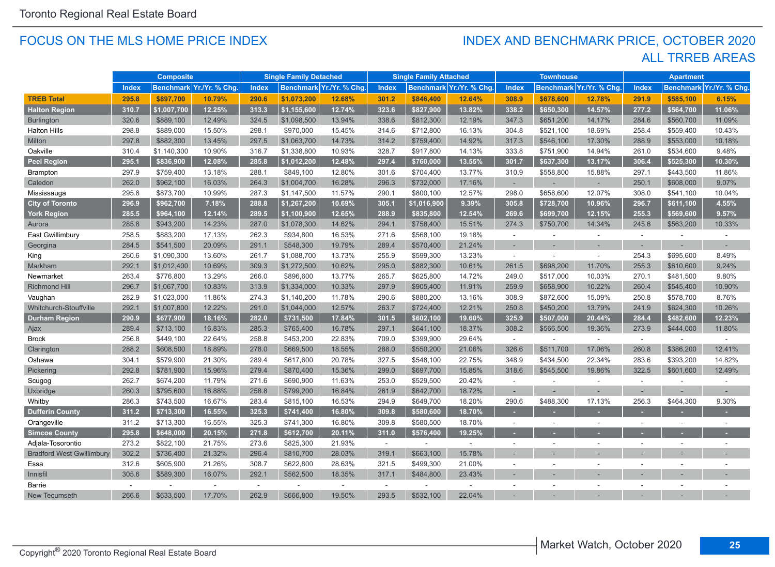#### FOCUS ON THE MLS HOME PRICE INDEX

#### ALL TRREB AREAS INDEX AND BENCHMARK PRICE, OCTOBER 2020

|                                  |              | <b>Composite</b> |                          |        | <b>Single Family Detached</b> |                          |                             | <b>Single Family Attached</b> |                          |                          | <b>Townhouse</b>         |                         |               | <b>Apartment</b>         |               |
|----------------------------------|--------------|------------------|--------------------------|--------|-------------------------------|--------------------------|-----------------------------|-------------------------------|--------------------------|--------------------------|--------------------------|-------------------------|---------------|--------------------------|---------------|
|                                  | <b>Index</b> |                  | Benchmark Yr./Yr. % Chg. | Index  |                               | Benchmark Yr./Yr. % Chg. | Index                       |                               | Benchmark Yr./Yr. % Chg  | <b>Index</b>             |                          | Benchmark Yr./Yr. % Chg | <b>Index</b>  | <b>Benchmark</b>         | Yr./Yr. % Chg |
| <b>TREB Total</b>                | 295.8        | \$897,700        | 10.79%                   | 290.6  | \$1,073,200                   | 12.68%                   | 301.2                       | \$846,400                     | 12.64%                   | 308.9                    | \$678,600                | 12.78%                  | 291.9         | \$585,100                | 6.15%         |
| <b>Halton Region</b>             | 310.7        | \$1,007,700      | 12.25%                   | 313.3  | \$1,155,600                   | 12.74%                   | 323.6                       | \$827,900                     | 13.82%                   | 338.2                    | \$650,300                | 14.57%                  | 277.2         | \$564,700                | 11.06%        |
| <b>Burlington</b>                | 320.6        | \$889,100        | 12.49%                   | 324.5  | \$1,098,500                   | 13.94%                   | 338.6                       | \$812,300                     | 12.19%                   | 347.3                    | \$651,200                | 14.17%                  | 284.6         | \$560,700                | 11.09%        |
| <b>Halton Hills</b>              | 298.8        | \$889,000        | 15.50%                   | 298.1  | \$970,000                     | 15.45%                   | 314.6                       | \$712,800                     | 16.13%                   | 304.8                    | \$521,100                | 18.69%                  | 258.4         | \$559,400                | 10.43%        |
| Milton                           | 297.8        | \$882,300        | 13.45%                   | 297.5  | \$1,063,700                   | 14.73%                   | 314.2                       | \$759,400                     | 14.92%                   | 317.3                    | \$546,100                | 17.30%                  | 288.9         | \$553,000                | 10.18%        |
| Oakville                         | 310.4        | \$1,140,300      | 10.90%                   | 316.7  | \$1,338,800                   | 10.93%                   | 328.7                       | \$917,800                     | 14.13%                   | 333.8                    | \$751,900                | 14.94%                  | 261.0         | \$534,600                | 9.48%         |
| <b>Peel Region</b>               | 295.1        | \$836,900        | 12.08%                   | 285.8  | \$1,012,200                   | 12.48%                   | 297.4                       | \$760,000                     | 13.55%                   | 301.7                    | \$637,300                | 13.17%                  | 306.4         | \$525,300                | 10.30%        |
| <b>Brampton</b>                  | 297.9        | \$759,400        | 13.18%                   | 288.1  | \$849,100                     | 12.80%                   | 301.6                       | \$704,400                     | 13.77%                   | 310.9                    | \$558,800                | 15.88%                  | 297.1         | \$443,500                | 11.86%        |
| Caledon                          | 262.0        | \$962,100        | 16.03%                   | 264.3  | \$1,004,700                   | 16.28%                   | 296.3                       | \$732,000                     | 17.16%                   | $\sim$                   |                          |                         | 250.1         | \$608,000                | 9.07%         |
| Mississauga                      | 295.8        | \$873,700        | 10.99%                   | 287.3  | \$1,147,500                   | 11.57%                   | 290.1                       | \$800,100                     | 12.57%                   | 298.0                    | \$658,600                | 12.07%                  | 308.0         | \$541,100                | 10.04%        |
| <b>City of Toronto</b>           | 296.9        | \$962,700        | 7.18%                    | 288.8  | \$1,267,200                   | 10.69%                   | 305.1                       | \$1,016,900                   | 9.39%                    | 305.8                    | \$728,700                | 10.96%                  | 296.7         | \$611,100                | 4.55%         |
| <b>York Region</b>               | 285.5        | \$964.100        | 12.14%                   | 289.5  | \$1.100.900                   | 12.65%                   | 288.9                       | \$835,800                     | 12.54%                   | 269.6                    | \$699,700                | 12.15%                  | 255.3         | \$569,600                | 9.57%         |
| Aurora                           | 285.8        | \$943,200        | 14.23%                   | 287.0  | \$1,078,300                   | 14.62%                   | 294.1                       | \$758,400                     | 15.51%                   | 274.3                    | \$750,700                | 14.34%                  | 245.6         | \$563,200                | 10.33%        |
| East Gwillimbury                 | 258.5        | \$883,200        | 17.13%                   | 262.3  | \$934,800                     | 16.53%                   | 271.6                       | \$568,100                     | 19.18%                   | $\sim$                   |                          | $\sim$                  | $\omega$      |                          | $\sim$        |
| Georgina                         | 284.5        | \$541,500        | 20.09%                   | 291.1  | \$548,300                     | 19.79%                   | 289.4                       | \$570,400                     | 21.24%                   | ٠                        |                          |                         |               |                          |               |
| King                             | 260.6        | \$1,090,300      | 13.60%                   | 261.7  | \$1,088,700                   | 13.73%                   | 255.9                       | \$599,300                     | 13.23%                   | $\sim$                   |                          | $\sim$                  | 254.3         | \$695,600                | 8.49%         |
| Markham                          | 292.1        | \$1,012,400      | 10.69%                   | 309.3  | \$1,272,500                   | 10.62%                   | 295.0                       | \$882,300                     | 10.61%                   | 261.5                    | \$698,200                | 11.70%                  | 255.3         | \$610,600                | 9.24%         |
| Newmarket                        | 263.4        | \$776,800        | 13.29%                   | 266.0  | \$896,600                     | 13.77%                   | 265.7                       | \$625,800                     | 14.72%                   | 249.0                    | \$517,000                | 10.03%                  | 270.1         | \$481,500                | 9.80%         |
| <b>Richmond Hill</b>             | 296.7        | \$1,067,700      | 10.83%                   | 313.9  | \$1,334,000                   | 10.33%                   | 297.9                       | \$905,400                     | 11.91%                   | 259.9                    | \$658,900                | 10.22%                  | 260.4         | \$545,400                | 10.90%        |
| Vaughan                          | 282.9        | \$1,023,000      | 11.86%                   | 274.3  | \$1,140,200                   | 11.78%                   | 290.6                       | \$880,200                     | 13.16%                   | 308.9                    | \$872,600                | 15.09%                  | 250.8         | \$578,700                | 8.76%         |
| Whitchurch-Stouffville           | 292.1        | \$1,007,800      | 12.22%                   | 291.0  | \$1,044,000                   | 12.57%                   | 263.7                       | \$724,400                     | 12.21%                   | 250.8                    | \$450,200                | 13.79%                  | 241.9         | \$624,300                | 10.26%        |
| <b>Durham Region</b>             | 290.9        | \$677,900        | 18.16%                   | 282.0  | \$731,500                     | 17.84%                   | 301.5                       | \$602,100                     | 19.60%                   | 325.9                    | \$507,000                | 20.44%                  | 284.4         | \$482,600                | 12.23%        |
| Ajax                             | 289.4        | \$713,100        | 16.83%                   | 285.3  | \$765,400                     | 16.78%                   | 297.1                       | \$641,100                     | 18.37%                   | 308.2                    | \$566,500                | 19.36%                  | 273.9         | \$444,000                | 11.80%        |
| <b>Brock</b>                     | 256.8        | \$449,100        | 22.64%                   | 258.8  | \$453,200                     | 22.83%                   | 709.0                       | \$399,900                     | 29.64%                   | $\sim$                   |                          | $\sim$                  | $\mathcal{L}$ |                          | $\sim$        |
| Clarington                       | 288.2        | \$608,500        | 18.89%                   | 278.0  | \$669,500                     | 18.55%                   | 288.0                       | \$550,200                     | 21.06%                   | 326.6                    | \$511,700                | 17.06%                  | 260.8         | \$386,200                | 12.41%        |
| Oshawa                           | 304.1        | \$579,900        | 21.30%                   | 289.4  | \$617,600                     | 20.78%                   | 327.5                       | \$548,100                     | 22.75%                   | 348.9                    | \$434,500                | 22.34%                  | 283.6         | \$393,200                | 14.82%        |
| Pickering                        | 292.8        | \$781,900        | 15.96%                   | 279.4  | \$870,400                     | 15.36%                   | 299.0                       | \$697,700                     | 15.85%                   | 318.6                    | \$545,500                | 19.86%                  | 322.5         | \$601,600                | 12.49%        |
| Scugog                           | 262.7        | \$674,200        | 11.79%                   | 271.6  | \$690,900                     | 11.63%                   | 253.0                       | \$529,500                     | 20.42%                   | ÷                        |                          |                         | $\sim$        |                          |               |
| Uxbridge                         | 260.3        | \$795,600        | 16.88%                   | 258.8  | \$799,200                     | 16.84%                   | 261.9                       | \$642,700                     | 18.72%                   | $\sim$                   |                          |                         |               |                          |               |
| Whitby                           | 286.3        | \$743,500        | 16.67%                   | 283.4  | \$815,100                     | 16.53%                   | 294.9                       | \$649,700                     | 18.20%                   | 290.6                    | \$488,300                | 17.13%                  | 256.3         | \$464,300                | 9.30%         |
| <b>Dufferin County</b>           | 311.2        | \$713,300        | 16.55%                   | 325.3  | \$741,400                     | 16.80%                   | 309.8                       | \$580,600                     | 18.70%                   |                          |                          |                         |               |                          |               |
| Orangeville                      | 311.2        | \$713,300        | 16.55%                   | 325.3  | \$741,300                     | 16.80%                   | 309.8                       | \$580,500                     | 18.70%                   | $\overline{\phantom{a}}$ | $\overline{\phantom{a}}$ |                         |               | $\overline{\phantom{a}}$ |               |
| <b>Simcoe County</b>             | 295.8        | \$648,000        | 20.15%                   | 271.8  | \$612,700                     | 20.11%                   | 311.0                       | \$576,400                     | 19.25%                   | ٠                        |                          |                         |               |                          |               |
| Adjala-Tosorontio                | 273.2        | \$822,100        | 21.75%                   | 273.6  | \$825,300                     | 21.93%                   | $\mathcal{L}_{\mathcal{A}}$ | $\sim$                        | $\overline{\phantom{a}}$ | $\sim$                   | $\sim$                   |                         | $\sim$        | $\overline{\phantom{a}}$ |               |
| <b>Bradford West Gwillimbury</b> | 302.2        | \$736,400        | 21.32%                   | 296.4  | \$810,700                     | 28.03%                   | 319.1                       | \$663,100                     | 15.78%                   |                          |                          |                         |               |                          |               |
| Essa                             | 312.6        | \$605,900        | 21.26%                   | 308.7  | \$622,800                     | 28.63%                   | 321.5                       | \$499,300                     | 21.00%                   | $\sim$                   | $\sim$                   |                         |               |                          |               |
| Innisfil                         | 305.6        | \$589,300        | 16.07%                   | 292.1  | \$562,500                     | 18.35%                   | 317.1                       | \$484,800                     | 23.43%                   |                          |                          |                         |               |                          |               |
| Barrie                           | $\sim$       |                  | ÷                        | $\sim$ |                               |                          | $\sim$                      |                               | $\sim$                   |                          |                          |                         |               |                          |               |
| <b>New Tecumseth</b>             | 266.6        | \$633,500        | 17.70%                   | 262.9  | \$666,800                     | 19.50%                   | 293.5                       | \$532,100                     | 22.04%                   |                          |                          |                         |               |                          |               |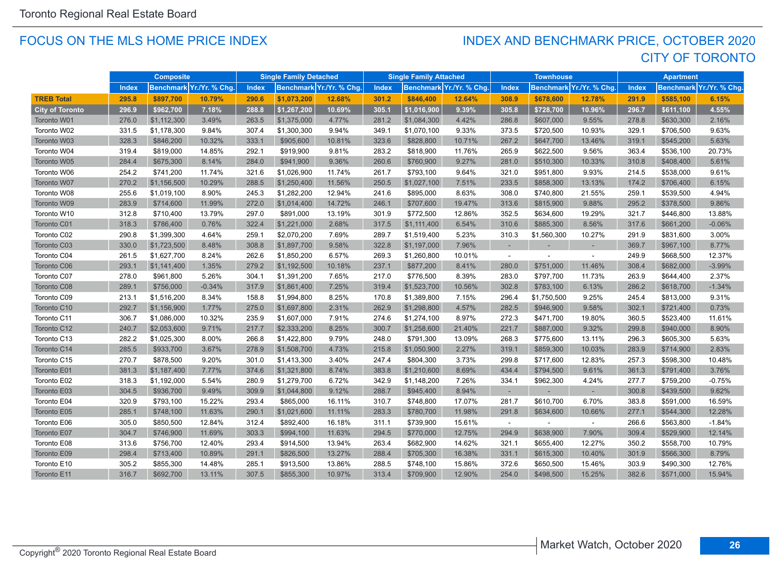#### FOCUS ON THE MLS HOME PRICE INDEX

## CITY OF TORONTO INDEX AND BENCHMARK PRICE, OCTOBER 2020

|                        |       | <b>Composite</b> |                          |              | <b>Single Family Detached</b> |                          |              | <b>Single Family Attached</b> |                          |        | <b>Townhouse</b> |                          |              | <b>Apartment</b> |                         |
|------------------------|-------|------------------|--------------------------|--------------|-------------------------------|--------------------------|--------------|-------------------------------|--------------------------|--------|------------------|--------------------------|--------------|------------------|-------------------------|
|                        | Index |                  | Benchmark Yr./Yr. % Chg. | <b>Index</b> |                               | Benchmark Yr./Yr. % Chg. | <b>Index</b> |                               | Benchmark Yr./Yr. % Chg. | Index  |                  | Benchmark Yr./Yr. % Chg. | <b>Index</b> |                  | Benchmark Yr./Yr. % Chg |
| <b>TREB Total</b>      | 295.8 | \$897,700        | 10.79%                   | 290.6        | \$1,073,200                   | 12.68%                   | 301.2        | \$846,400                     | 12.64%                   | 308.9  | \$678,600        | 12.78%                   | 291.9        | \$585,100        | 6.15%                   |
| <b>City of Toronto</b> | 296.9 | \$962,700        | 7.18%                    | 288.8        | \$1,267,200                   | 10.69%                   | 305.1        | \$1,016,900                   | 9.39%                    | 305.8  | \$728,700        | 10.96%                   | 296.7        | \$611,100        | 4.55%                   |
| Toronto W01            | 276.0 | \$1,112,300      | 3.49%                    | 263.5        | \$1,375,000                   | 4.77%                    | 281.2        | \$1,084,300                   | 4.42%                    | 286.8  | \$607,000        | 9.55%                    | 278.8        | \$630,300        | 2.16%                   |
| Toronto W02            | 331.5 | \$1,178,300      | 9.84%                    | 307.4        | \$1,300,300                   | 9.94%                    | 349.1        | \$1,070,100                   | 9.33%                    | 373.5  | \$720,500        | 10.93%                   | 329.1        | \$706,500        | 9.63%                   |
| Toronto W03            | 328.3 | \$846,200        | 10.32%                   | 333.1        | \$905,600                     | 10.81%                   | 323.6        | \$828,800                     | 10.71%                   | 267.2  | \$647,700        | 13.46%                   | 319.1        | \$545,200        | 5.63%                   |
| Toronto W04            | 319.4 | \$819,000        | 14.85%                   | 292.1        | \$919,900                     | 9.81%                    | 283.2        | \$818,900                     | 11.76%                   | 265.9  | \$622,500        | 9.56%                    | 363.4        | \$536,100        | 20.73%                  |
| Toronto W05            | 284.4 | \$675,300        | 8.14%                    | 284.0        | \$941,900                     | 9.36%                    | 260.6        | \$760,900                     | 9.27%                    | 281.0  | \$510,300        | 10.33%                   | 310.8        | \$408,400        | 5.61%                   |
| Toronto W06            | 254.2 | \$741,200        | 11.74%                   | 321.6        | \$1,026,900                   | 11.74%                   | 261.7        | \$793,100                     | 9.64%                    | 321.0  | \$951,800        | 9.93%                    | 214.5        | \$538,000        | 9.61%                   |
| Toronto W07            | 270.2 | \$1,156,500      | 10.29%                   | 288.5        | \$1,250,400                   | 11.56%                   | 250.5        | \$1,027,100                   | 7.51%                    | 233.5  | \$858,300        | 13.13%                   | 174.2        | \$706,400        | 6.15%                   |
| Toronto W08            | 255.6 | \$1,019,100      | 8.90%                    | 245.3        | \$1,282,200                   | 12.94%                   | 241.6        | \$895,000                     | 8.63%                    | 308.0  | \$740,800        | 21.55%                   | 259.1        | \$539,500        | 4.94%                   |
| Toronto W09            | 283.9 | \$714,600        | 11.99%                   | 272.0        | \$1,014,400                   | 14.72%                   | 246.1        | \$707,600                     | 19.47%                   | 313.6  | \$815,900        | 9.88%                    | 295.2        | \$378,500        | 9.86%                   |
| Toronto W10            | 312.8 | \$710,400        | 13.79%                   | 297.0        | \$891,000                     | 13.19%                   | 301.9        | \$772,500                     | 12.86%                   | 352.5  | \$634,600        | 19.29%                   | 321.7        | \$446,800        | 13.88%                  |
| Toronto C01            | 318.3 | \$786,400        | 0.76%                    | 322.4        | \$1,221,000                   | 2.68%                    | 317.5        | \$1,111,400                   | 6.54%                    | 310.6  | \$885,300        | 8.56%                    | 317.6        | \$661,200        | $-0.06%$                |
| Toronto C02            | 290.8 | \$1,399,300      | 4.64%                    | 259.1        | \$2,070,200                   | 7.69%                    | 289.7        | \$1,519,400                   | 5.23%                    | 310.3  | \$1,560,300      | 10.27%                   | 291.9        | \$831,600        | 3.00%                   |
| Toronto C03            | 330.0 | \$1,723,500      | 8.48%                    | 308.8        | \$1,897,700                   | 9.58%                    | 322.8        | \$1,197,000                   | 7.96%                    |        |                  |                          | 369.7        | \$967,100        | 8.77%                   |
| Toronto C04            | 261.5 | \$1,627,700      | 8.24%                    | 262.6        | \$1,850,200                   | 6.57%                    | 269.3        | \$1,260,800                   | 10.01%                   | $\sim$ |                  | $\sim$                   | 249.9        | \$668,500        | 12.37%                  |
| Toronto C06            | 293.1 | \$1,141,400      | 1.35%                    | 279.2        | \$1,192,500                   | 10.18%                   | 237.1        | \$877,200                     | 8.41%                    | 280.0  | \$751,000        | 11.46%                   | 308.4        | \$682,000        | $-3.99%$                |
| Toronto C07            | 278.0 | \$961,800        | 5.26%                    | 304.1        | \$1,391,200                   | 7.65%                    | 217.0        | \$776,500                     | 8.39%                    | 283.0  | \$797,700        | 11.73%                   | 263.9        | \$644,400        | 2.37%                   |
| Toronto C08            | 289.1 | \$756,000        | $-0.34%$                 | 317.9        | \$1,861,400                   | 7.25%                    | 319.4        | \$1,523,700                   | 10.56%                   | 302.8  | \$783,100        | 6.13%                    | 286.2        | \$618,700        | $-1.34%$                |
| Toronto C09            | 213.1 | \$1,516,200      | 8.34%                    | 158.8        | \$1,994,800                   | 8.25%                    | 170.8        | \$1,389,800                   | 7.15%                    | 296.4  | \$1,750,500      | 9.25%                    | 245.4        | \$813,000        | 9.31%                   |
| Toronto C10            | 292.7 | \$1,156,900      | 1.77%                    | 275.0        | \$1,697,800                   | 2.31%                    | 262.9        | \$1,298,800                   | 4.57%                    | 282.5  | \$946,900        | 9.58%                    | 302.1        | \$721,400        | 0.73%                   |
| Toronto C11            | 306.7 | \$1,086,000      | 10.32%                   | 235.9        | \$1,607,000                   | 7.91%                    | 274.6        | \$1,274,100                   | 8.97%                    | 272.3  | \$471,700        | 19.80%                   | 360.5        | \$523,400        | 11.61%                  |
| Toronto C12            | 240.7 | \$2,053,600      | 9.71%                    | 217.7        | \$2,333,200                   | 8.25%                    | 300.7        | \$1,258,600                   | 21.40%                   | 221.7  | \$887,000        | 9.32%                    | 299.8        | \$940,000        | 8.90%                   |
| Toronto C13            | 282.2 | \$1,025,300      | 8.00%                    | 266.8        | \$1,422,800                   | 9.79%                    | 248.0        | \$791,300                     | 13.09%                   | 268.3  | \$775,600        | 13.11%                   | 296.3        | \$605,300        | 5.63%                   |
| Toronto C14            | 285.5 | \$933,700        | 3.67%                    | 278.9        | \$1,508,700                   | 4.73%                    | 215.8        | \$1,050,900                   | 2.27%                    | 319.1  | \$859,300        | 10.03%                   | 283.9        | \$714,900        | 2.83%                   |
| Toronto C15            | 270.7 | \$878,500        | 9.20%                    | 301.0        | \$1,413,300                   | 3.40%                    | 247.4        | \$804,300                     | 3.73%                    | 299.8  | \$717,600        | 12.83%                   | 257.3        | \$598,300        | 10.48%                  |
| Toronto E01            | 381.3 | \$1,187,400      | 7.77%                    | 374.6        | \$1,321,800                   | 8.74%                    | 383.8        | \$1,210,600                   | 8.69%                    | 434.4  | \$794,500        | 9.61%                    | 361.3        | \$791,400        | 3.76%                   |
| Toronto E02            | 318.3 | \$1,192,000      | 5.54%                    | 280.9        | \$1,279,700                   | 6.72%                    | 342.9        | \$1,148,200                   | 7.26%                    | 334.1  | \$962,300        | 4.24%                    | 277.7        | \$759,200        | $-0.75%$                |
| Toronto E03            | 304.5 | \$936,700        | 9.49%                    | 309.9        | \$1,044,800                   | 9.12%                    | 288.7        | \$945,400                     | 8.94%                    |        |                  | $\sim$                   | 300.8        | \$439,500        | 9.62%                   |
| Toronto E04            | 320.9 | \$793,100        | 15.22%                   | 293.4        | \$865,000                     | 16.11%                   | 310.7        | \$748,800                     | 17.07%                   | 281.7  | \$610,700        | 6.70%                    | 383.8        | \$591,000        | 16.59%                  |
| Toronto E05            | 285.1 | \$748,100        | 11.63%                   | 290.1        | \$1,021,600                   | 11.11%                   | 283.3        | \$780,700                     | 11.98%                   | 291.8  | \$634,600        | 10.66%                   | 277.1        | \$544,300        | 12.28%                  |
| Toronto E06            | 305.0 | \$850,500        | 12.84%                   | 312.4        | \$892,400                     | 16.18%                   | 311.1        | \$739,900                     | 15.61%                   | $\sim$ |                  |                          | 266.6        | \$563,800        | $-1.84%$                |
| Toronto E07            | 304.7 | \$746,900        | 11.69%                   | 303.3        | \$994,100                     | 11.63%                   | 294.5        | \$770,000                     | 12.75%                   | 294.9  | \$638,900        | 7.90%                    | 309.4        | \$529,900        | 12.14%                  |
| Toronto E08            | 313.6 | \$756,700        | 12.40%                   | 293.4        | \$914,500                     | 13.94%                   | 263.4        | \$682,900                     | 14.62%                   | 321.1  | \$655,400        | 12.27%                   | 350.2        | \$558,700        | 10.79%                  |
| Toronto E09            | 298.4 | \$713,400        | 10.89%                   | 291.1        | \$826,500                     | 13.27%                   | 288.4        | \$705,300                     | 16.38%                   | 331.1  | \$615,300        | 10.40%                   | 301.9        | \$566,300        | 8.79%                   |
| Toronto E10            | 305.2 | \$855,300        | 14.48%                   | 285.1        | \$913,500                     | 13.86%                   | 288.5        | \$748,100                     | 15.86%                   | 372.6  | \$650,500        | 15.46%                   | 303.9        | \$490,300        | 12.76%                  |
| Toronto E11            | 316.7 | \$692,700        | 13.11%                   | 307.5        | \$855,300                     | 10.97%                   | 313.4        | \$709,900                     | 12.90%                   | 254.0  | \$498,500        | 15.25%                   | 382.6        | \$571,000        | 15.94%                  |